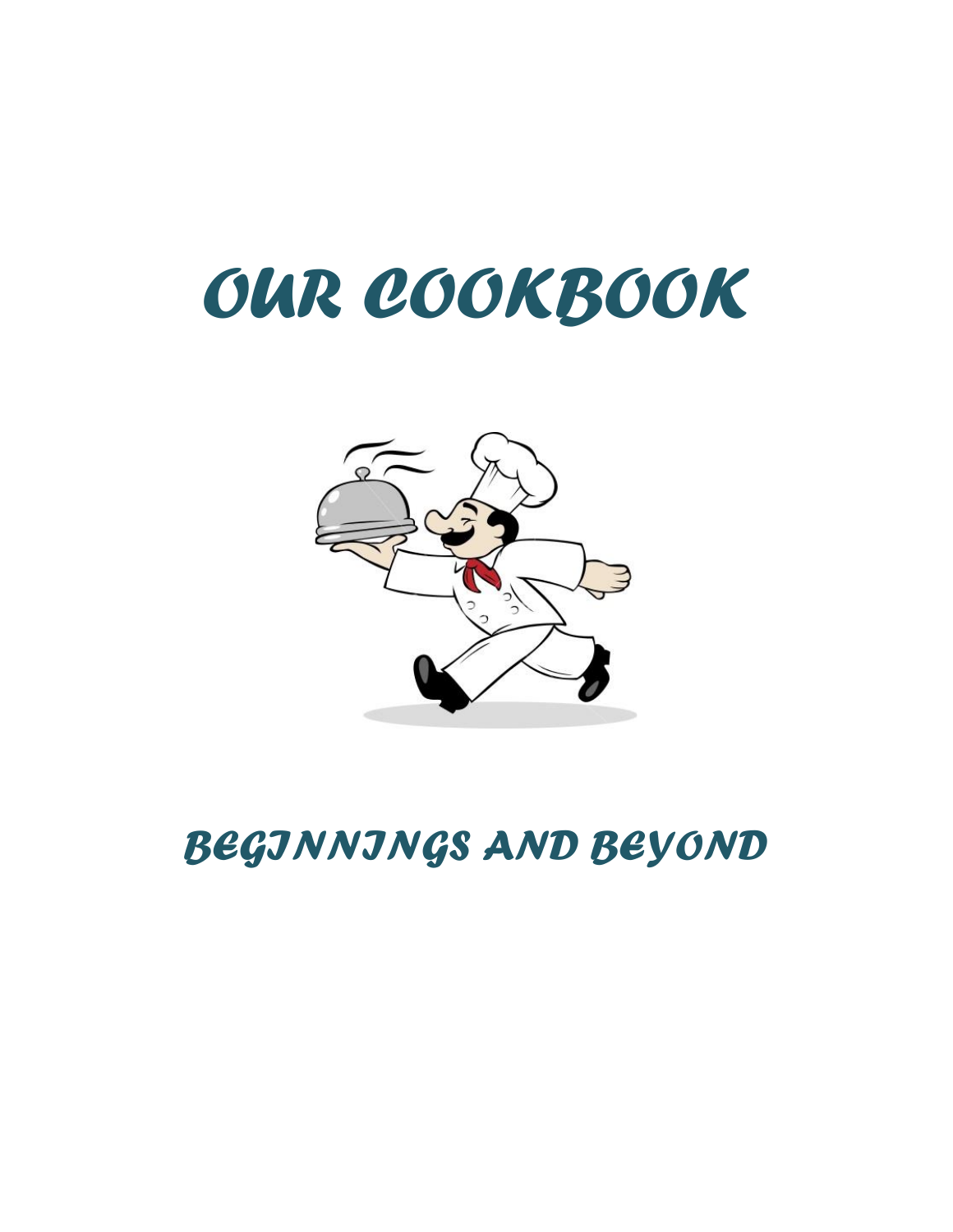



*BEGINNINGS AND BEYOND*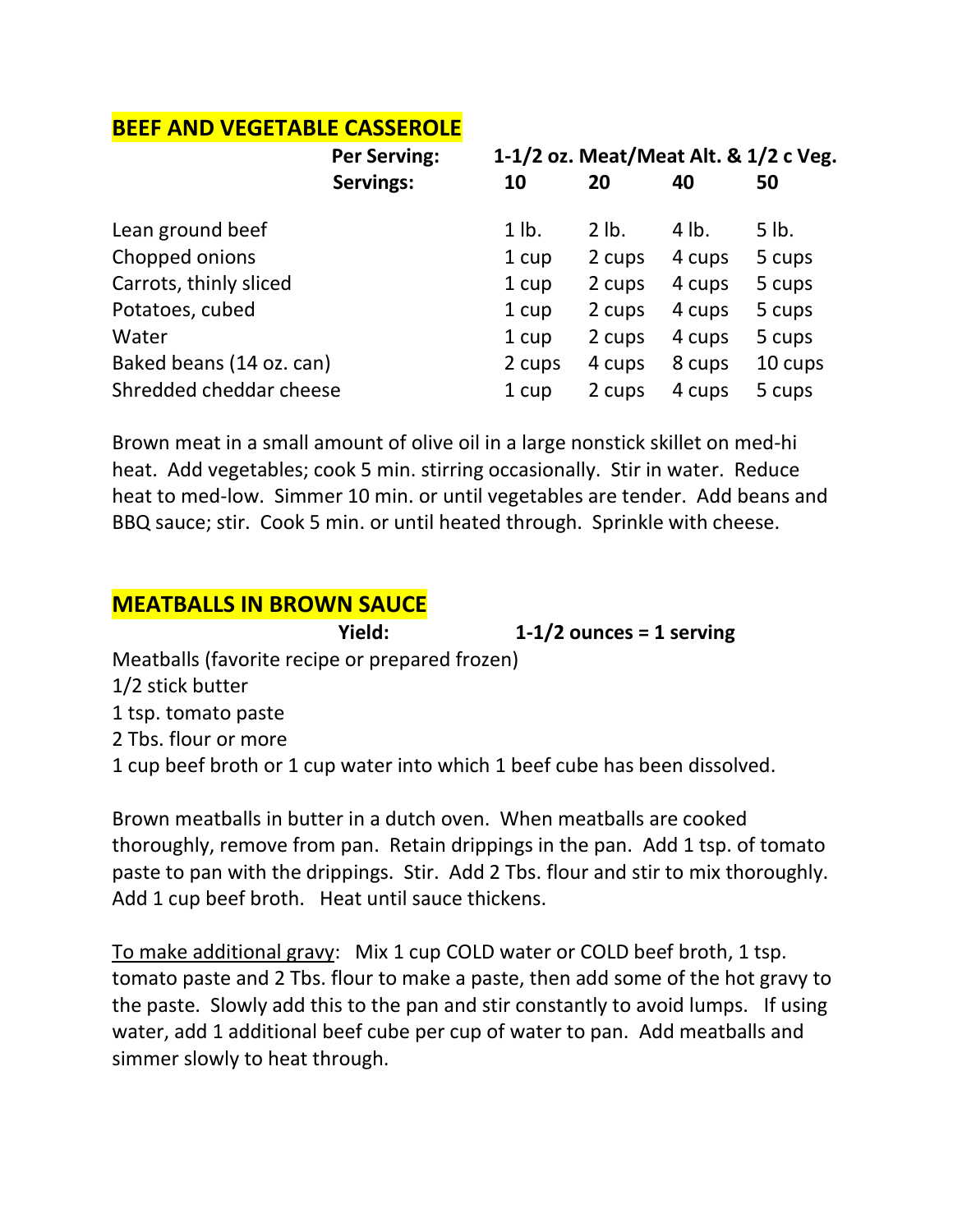## **BEEF AND VEGETABLE CASSEROLE**

|                          | <b>Per Serving:</b> | 1-1/2 oz. Meat/Meat Alt. & 1/2 c Veg. |         |        |         |  |  |
|--------------------------|---------------------|---------------------------------------|---------|--------|---------|--|--|
|                          | <b>Servings:</b>    | 10                                    | 20      | 40     | 50      |  |  |
| Lean ground beef         |                     | $1$ lb.                               | $2$ lb. | 4 lb.  | 5 lb.   |  |  |
| Chopped onions           |                     | 1 cup                                 | 2 cups  | 4 cups | 5 cups  |  |  |
| Carrots, thinly sliced   |                     | 1 cup                                 | 2 cups  | 4 cups | 5 cups  |  |  |
| Potatoes, cubed          |                     | 1 cup                                 | 2 cups  | 4 cups | 5 cups  |  |  |
| Water                    |                     | 1 cup                                 | 2 cups  | 4 cups | 5 cups  |  |  |
| Baked beans (14 oz. can) |                     | 2 cups                                | 4 cups  | 8 cups | 10 cups |  |  |
| Shredded cheddar cheese  |                     | 1 cup                                 | 2 cups  | 4 cups | 5 cups  |  |  |

Brown meat in a small amount of olive oil in a large nonstick skillet on med-hi heat. Add vegetables; cook 5 min. stirring occasionally. Stir in water. Reduce heat to med-low. Simmer 10 min. or until vegetables are tender. Add beans and BBQ sauce; stir. Cook 5 min. or until heated through. Sprinkle with cheese.

## **MEATBALLS IN BROWN SAUCE**

**Yield: 1-1/2 ounces = 1 serving**

Meatballs (favorite recipe or prepared frozen)

1/2 stick butter

1 tsp. tomato paste

2 Tbs. flour or more

1 cup beef broth or 1 cup water into which 1 beef cube has been dissolved.

Brown meatballs in butter in a dutch oven. When meatballs are cooked thoroughly, remove from pan. Retain drippings in the pan. Add 1 tsp. of tomato paste to pan with the drippings. Stir. Add 2 Tbs. flour and stir to mix thoroughly. Add 1 cup beef broth. Heat until sauce thickens.

To make additional gravy: Mix 1 cup COLD water or COLD beef broth, 1 tsp. tomato paste and 2 Tbs. flour to make a paste, then add some of the hot gravy to the paste. Slowly add this to the pan and stir constantly to avoid lumps. If using water, add 1 additional beef cube per cup of water to pan. Add meatballs and simmer slowly to heat through.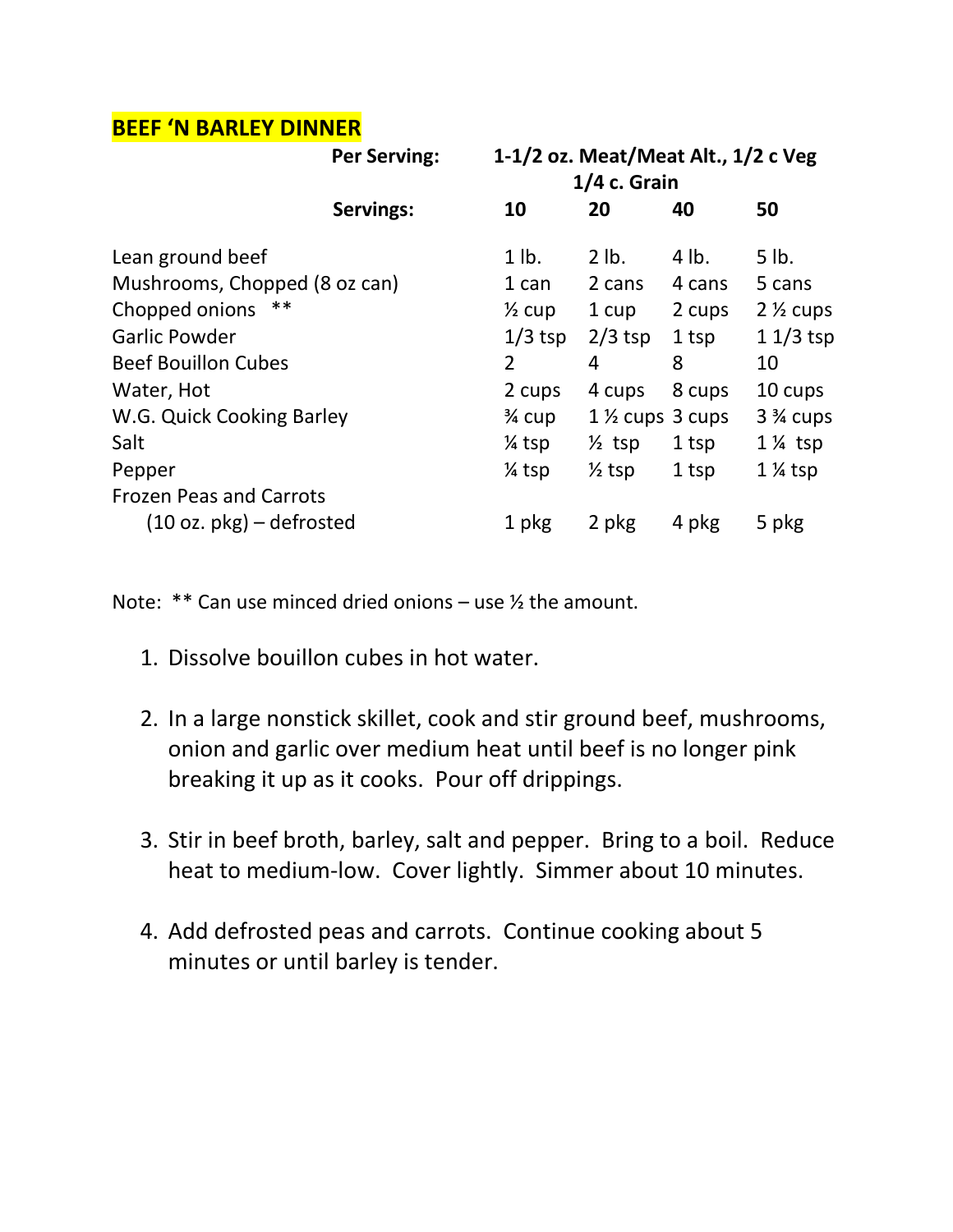## **BEEF 'N BARLEY DINNER**

|                                     | 1-1/2 oz. Meat/Meat Alt., 1/2 c Veg<br><b>Per Serving:</b><br>$1/4$ c. Grain |                   |                   |        |                     |  |  |
|-------------------------------------|------------------------------------------------------------------------------|-------------------|-------------------|--------|---------------------|--|--|
|                                     | <b>Servings:</b>                                                             | 10                | 20                | 40     | 50                  |  |  |
| Lean ground beef                    |                                                                              | 1 lb.             | 2 lb.             | 4 lb.  | 5 lb.               |  |  |
| Mushrooms, Chopped (8 oz can)       |                                                                              | 1 can             | 2 cans            | 4 cans | 5 cans              |  |  |
| **<br>Chopped onions                |                                                                              | $\frac{1}{2}$ cup | 1 cup             | 2 cups | $2\frac{1}{2}$ cups |  |  |
| <b>Garlic Powder</b>                |                                                                              | $1/3$ tsp         | $2/3$ tsp         | 1 tsp  | $11/3$ tsp          |  |  |
| <b>Beef Bouillon Cubes</b>          |                                                                              | $\overline{2}$    | 4                 | 8      | 10                  |  |  |
| Water, Hot                          |                                                                              | 2 cups            | 4 cups            | 8 cups | 10 cups             |  |  |
| W.G. Quick Cooking Barley           |                                                                              | $\frac{3}{4}$ cup | $1\%$ cups 3 cups |        | $3\frac{3}{4}$ cups |  |  |
| Salt                                |                                                                              | $\frac{1}{4}$ tsp | $\frac{1}{2}$ tsp | 1 tsp  | $1\%$ tsp           |  |  |
| Pepper                              |                                                                              | $\frac{1}{4}$ tsp | $\frac{1}{2}$ tsp | 1 tsp  | $1\%$ tsp           |  |  |
| <b>Frozen Peas and Carrots</b>      |                                                                              |                   |                   |        |                     |  |  |
| $(10 \text{ oz. } pkg)$ – defrosted |                                                                              | 1 pkg             | 2 pkg             | 4 pkg  | 5 pkg               |  |  |

Note: \*\* Can use minced dried onions – use ½ the amount.

- 1. Dissolve bouillon cubes in hot water.
- 2. In a large nonstick skillet, cook and stir ground beef, mushrooms, onion and garlic over medium heat until beef is no longer pink breaking it up as it cooks. Pour off drippings.
- 3. Stir in beef broth, barley, salt and pepper. Bring to a boil. Reduce heat to medium-low. Cover lightly. Simmer about 10 minutes.
- 4. Add defrosted peas and carrots. Continue cooking about 5 minutes or until barley is tender.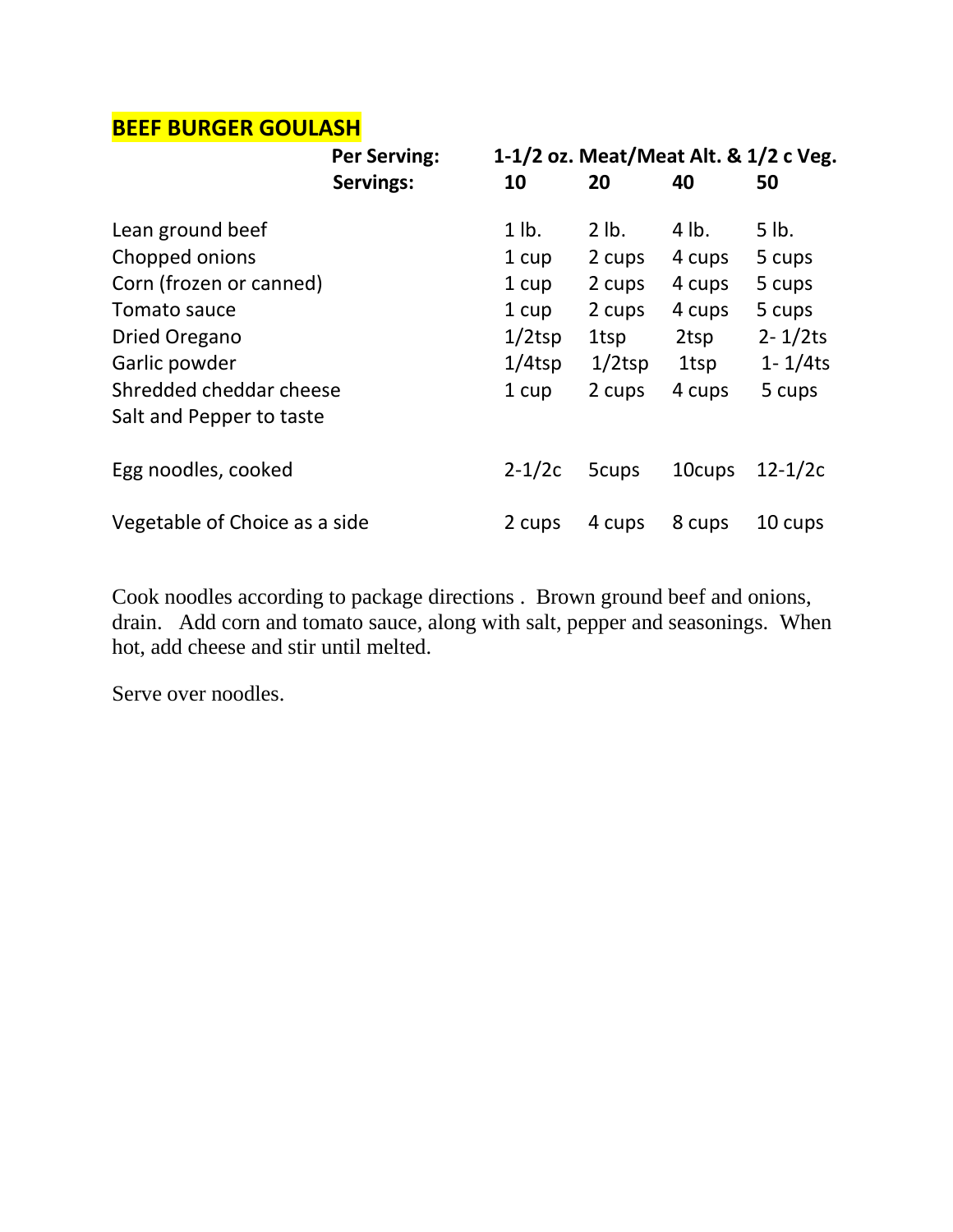## **BEEF BURGER GOULASH**

|                               | <b>Per Serving:</b> |            |           | 1-1/2 oz. Meat/Meat Alt. & 1/2 c Veg. |              |  |
|-------------------------------|---------------------|------------|-----------|---------------------------------------|--------------|--|
|                               | <b>Servings:</b>    | 10         | 20        | 40                                    | 50           |  |
| Lean ground beef              |                     | $1$ lb.    | 2 lb.     | $4$ lb.                               | 5 lb.        |  |
| Chopped onions                |                     | 1 cup      | 2 cups    | 4 cups                                | 5 cups       |  |
| Corn (frozen or canned)       |                     | 1 cup      | 2 cups    | 4 cups                                | 5 cups       |  |
| Tomato sauce                  |                     | 1 cup      | 2 cups    | 4 cups                                | 5 cups       |  |
| <b>Dried Oregano</b>          |                     | $1/2$ tsp  | 1tsp      | 2tsp                                  | $2 - 1/2$ ts |  |
| Garlic powder                 |                     | $1/4$ tsp  | $1/2$ tsp | 1tsp                                  | $1 - 1/4$ ts |  |
| Shredded cheddar cheese       |                     | 1 cup      | 2 cups    | 4 cups                                | 5 cups       |  |
| Salt and Pepper to taste      |                     |            |           |                                       |              |  |
| Egg noodles, cooked           |                     | $2 - 1/2c$ | 5cups     | 10cups                                | $12 - 1/2c$  |  |
| Vegetable of Choice as a side |                     | 2 cups     | 4 cups    | 8 cups                                | 10 cups      |  |

Cook noodles according to package directions . Brown ground beef and onions, drain. Add [corn](http://www.recipelion.com/Budget-Friendly-Recipes/Poor-Mans-Hamburger-Goulash/ml/1) and tomato sauce, along with salt, pepper and seasonings. When hot, add cheese and stir until melted.

Serve over noodles.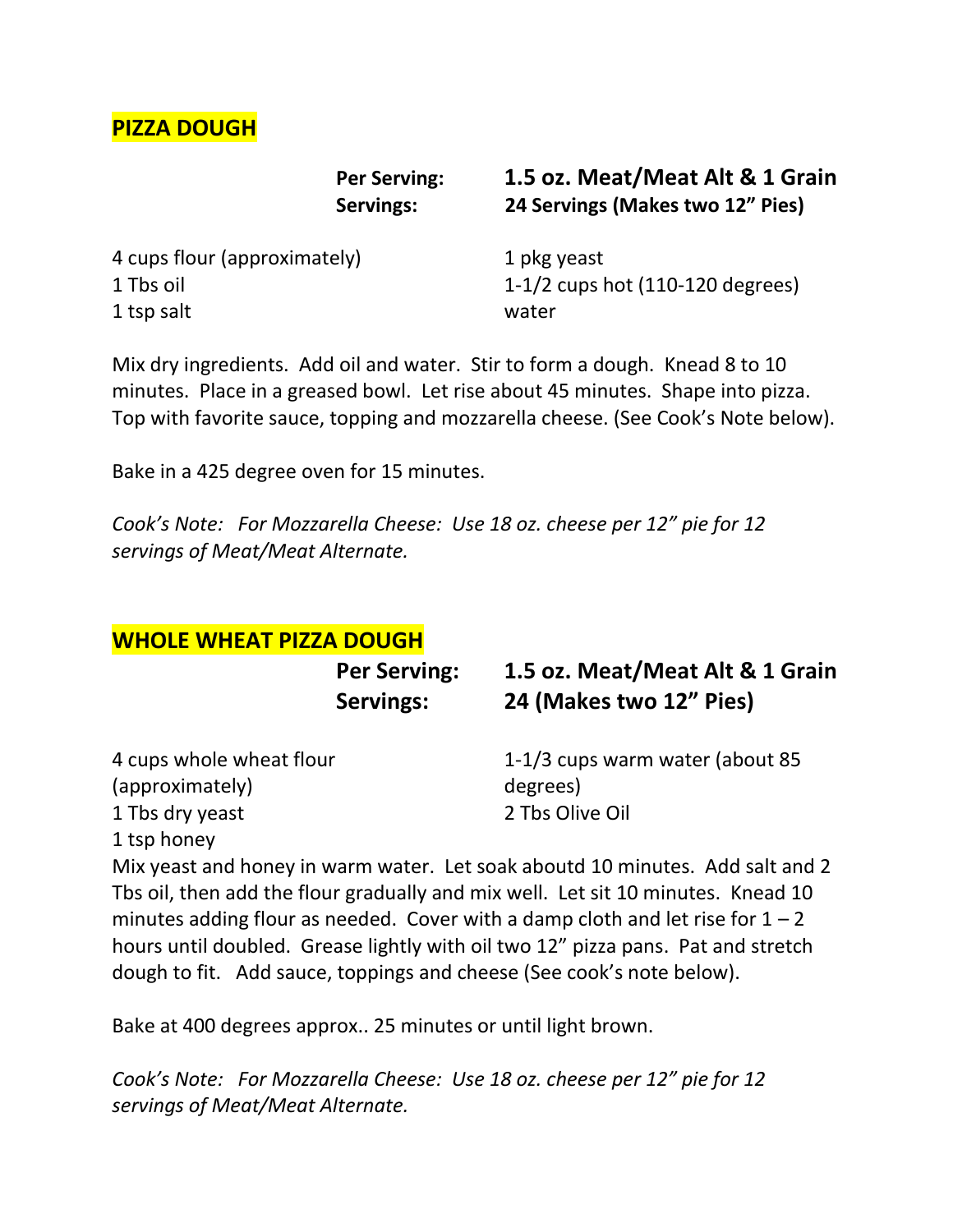|                              | <b>Per Serving:</b><br><b>Servings:</b> | 1.5 oz. Meat/Meat Alt & 1 Grain<br>24 Servings (Makes two 12" Pies) |
|------------------------------|-----------------------------------------|---------------------------------------------------------------------|
| 4 cups flour (approximately) |                                         | 1 pkg yeast                                                         |
| 1 Tbs oil                    |                                         | 1-1/2 cups hot (110-120 degrees)                                    |
| 1 tsp salt                   |                                         | water                                                               |

Mix dry ingredients. Add oil and water. Stir to form a dough. Knead 8 to 10 minutes. Place in a greased bowl. Let rise about 45 minutes. Shape into pizza. Top with favorite sauce, topping and mozzarella cheese. (See Cook's Note below).

Bake in a 425 degree oven for 15 minutes.

*Cook's Note: For Mozzarella Cheese: Use 18 oz. cheese per 12" pie for 12 servings of Meat/Meat Alternate.* 

## **WHOLE WHEAT PIZZA DOUGH**

**Per Serving: 1.5 oz. Meat/Meat Alt & 1 Grain Servings: 24 (Makes two 12" Pies)**

4 cups whole wheat flour (approximately) 1 Tbs dry yeast 1 tsp honey

1-1/3 cups warm water (about 85 degrees) 2 Tbs Olive Oil

Mix yeast and honey in warm water. Let soak aboutd 10 minutes. Add salt and 2 Tbs oil, then add the flour gradually and mix well. Let sit 10 minutes. Knead 10 minutes adding flour as needed. Cover with a damp cloth and let rise for  $1 - 2$ hours until doubled. Grease lightly with oil two 12" pizza pans. Pat and stretch dough to fit. Add sauce, toppings and cheese (See cook's note below).

Bake at 400 degrees approx.. 25 minutes or until light brown.

*Cook's Note: For Mozzarella Cheese: Use 18 oz. cheese per 12" pie for 12 servings of Meat/Meat Alternate.*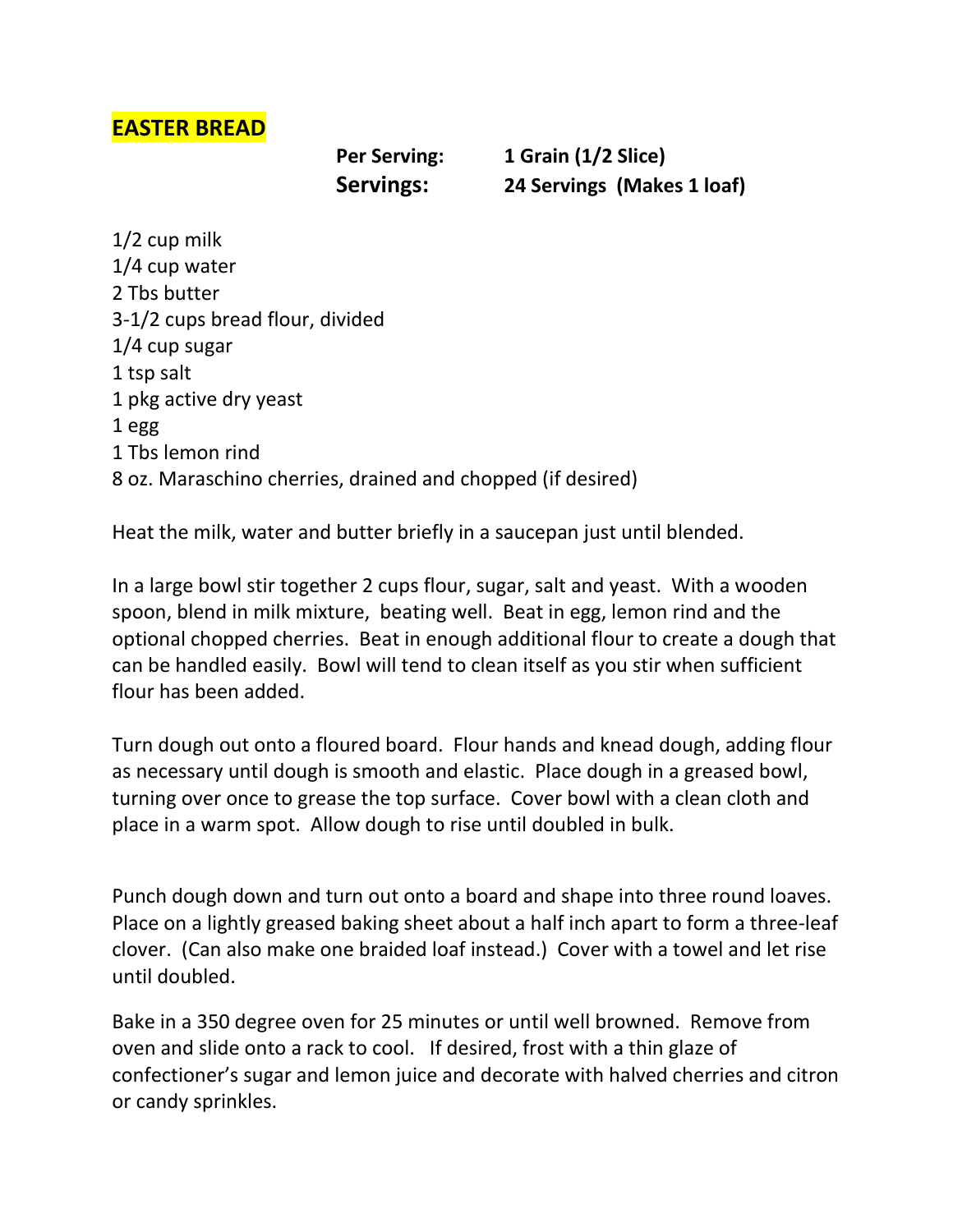## **EASTER BREAD**

 **Per Serving: 1 Grain (1/2 Slice) Servings: 24 Servings (Makes 1 loaf)**

1/2 cup milk 1/4 cup water 2 Tbs butter 3-1/2 cups bread flour, divided 1/4 cup sugar 1 tsp salt 1 pkg active dry yeast 1 egg 1 Tbs lemon rind 8 oz. Maraschino cherries, drained and chopped (if desired)

Heat the milk, water and butter briefly in a saucepan just until blended.

In a large bowl stir together 2 cups flour, sugar, salt and yeast. With a wooden spoon, blend in milk mixture, beating well. Beat in egg, lemon rind and the optional chopped cherries. Beat in enough additional flour to create a dough that can be handled easily. Bowl will tend to clean itself as you stir when sufficient flour has been added.

Turn dough out onto a floured board. Flour hands and knead dough, adding flour as necessary until dough is smooth and elastic. Place dough in a greased bowl, turning over once to grease the top surface. Cover bowl with a clean cloth and place in a warm spot. Allow dough to rise until doubled in bulk.

Punch dough down and turn out onto a board and shape into three round loaves. Place on a lightly greased baking sheet about a half inch apart to form a three-leaf clover. (Can also make one braided loaf instead.) Cover with a towel and let rise until doubled.

Bake in a 350 degree oven for 25 minutes or until well browned. Remove from oven and slide onto a rack to cool. If desired, frost with a thin glaze of confectioner's sugar and lemon juice and decorate with halved cherries and citron or candy sprinkles.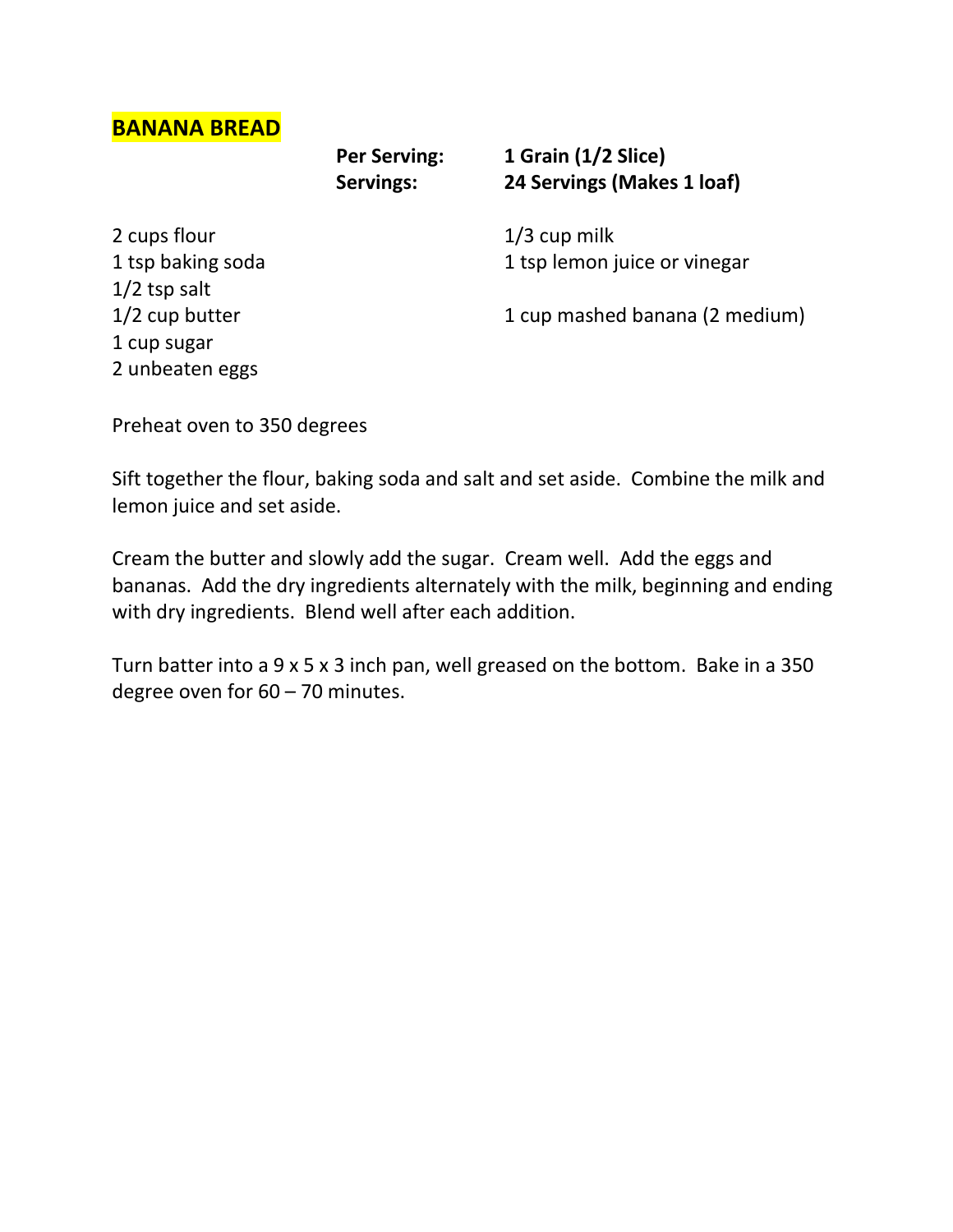## **BANANA BREAD**

|                                                    | <b>Per Serving:</b><br><b>Servings:</b> | 1 Grain (1/2 Slice)<br>24 Servings (Makes 1 loaf) |
|----------------------------------------------------|-----------------------------------------|---------------------------------------------------|
| 2 cups flour                                       |                                         | $1/3$ cup milk                                    |
| 1 tsp baking soda<br>$1/2$ tsp salt                |                                         | 1 tsp lemon juice or vinegar                      |
| $1/2$ cup butter<br>1 cup sugar<br>2 unbeaten eggs |                                         | 1 cup mashed banana (2 medium)                    |

Preheat oven to 350 degrees

Sift together the flour, baking soda and salt and set aside. Combine the milk and lemon juice and set aside.

Cream the butter and slowly add the sugar. Cream well. Add the eggs and bananas. Add the dry ingredients alternately with the milk, beginning and ending with dry ingredients. Blend well after each addition.

Turn batter into a 9 x 5 x 3 inch pan, well greased on the bottom. Bake in a 350 degree oven for 60 – 70 minutes.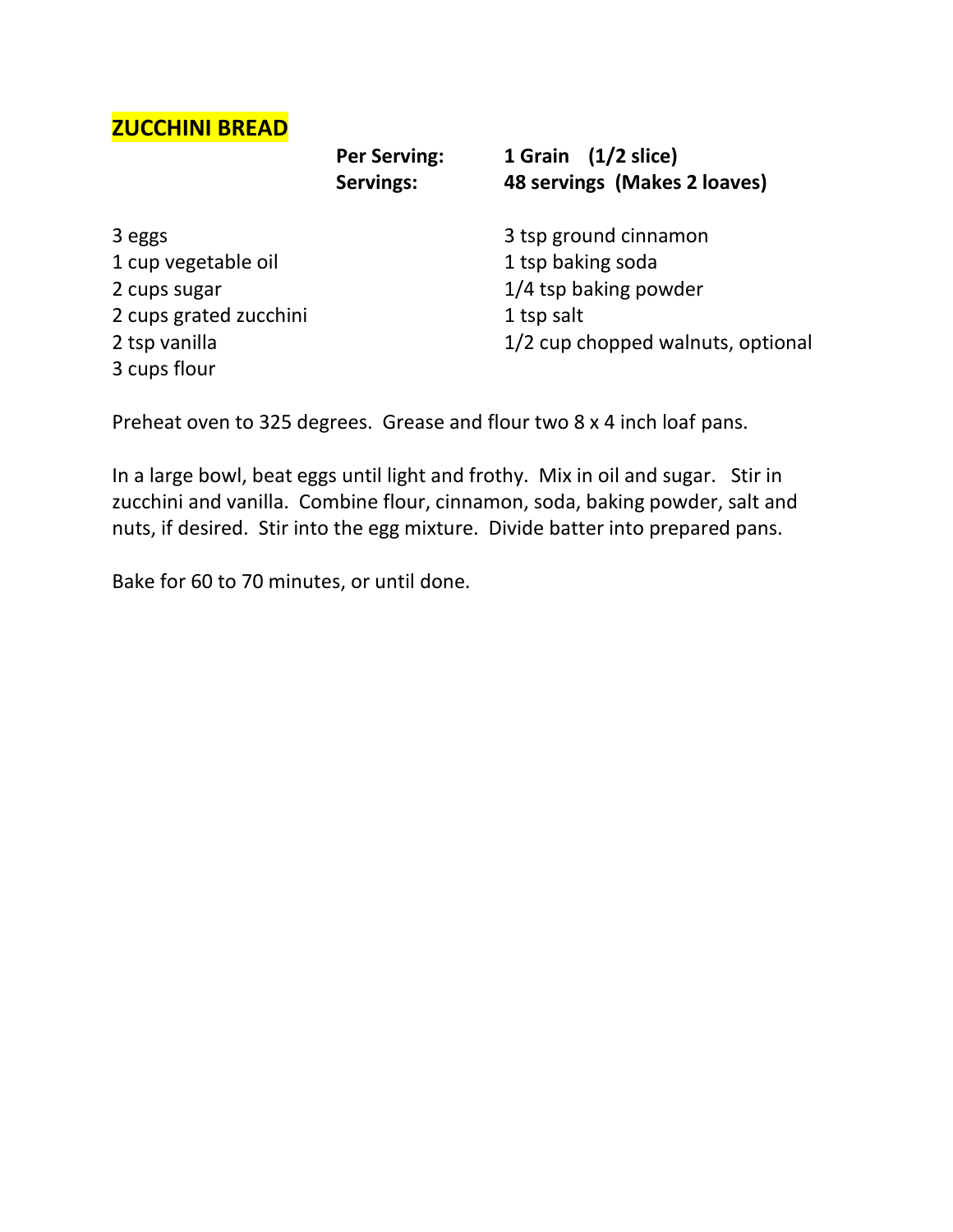# **ZUCCHINI BREAD**

|                        | <b>Per Serving:</b><br><b>Servings:</b> | 1 Grain (1/2 slice)<br>48 servings (Makes 2 loaves) |
|------------------------|-----------------------------------------|-----------------------------------------------------|
| 3 eggs                 |                                         | 3 tsp ground cinnamon                               |
| 1 cup vegetable oil    |                                         | 1 tsp baking soda                                   |
| 2 cups sugar           |                                         | 1/4 tsp baking powder                               |
| 2 cups grated zucchini |                                         | 1 tsp salt                                          |
| 2 tsp vanilla          |                                         | 1/2 cup chopped walnuts, optional                   |
| 3 cups flour           |                                         |                                                     |

Preheat oven to 325 degrees. Grease and flour two 8 x 4 inch loaf pans.

In a large bowl, beat eggs until light and frothy. Mix in oil and sugar. Stir in zucchini and vanilla. Combine flour, cinnamon, soda, baking powder, salt and nuts, if desired. Stir into the egg mixture. Divide batter into prepared pans.

Bake for 60 to 70 minutes, or until done.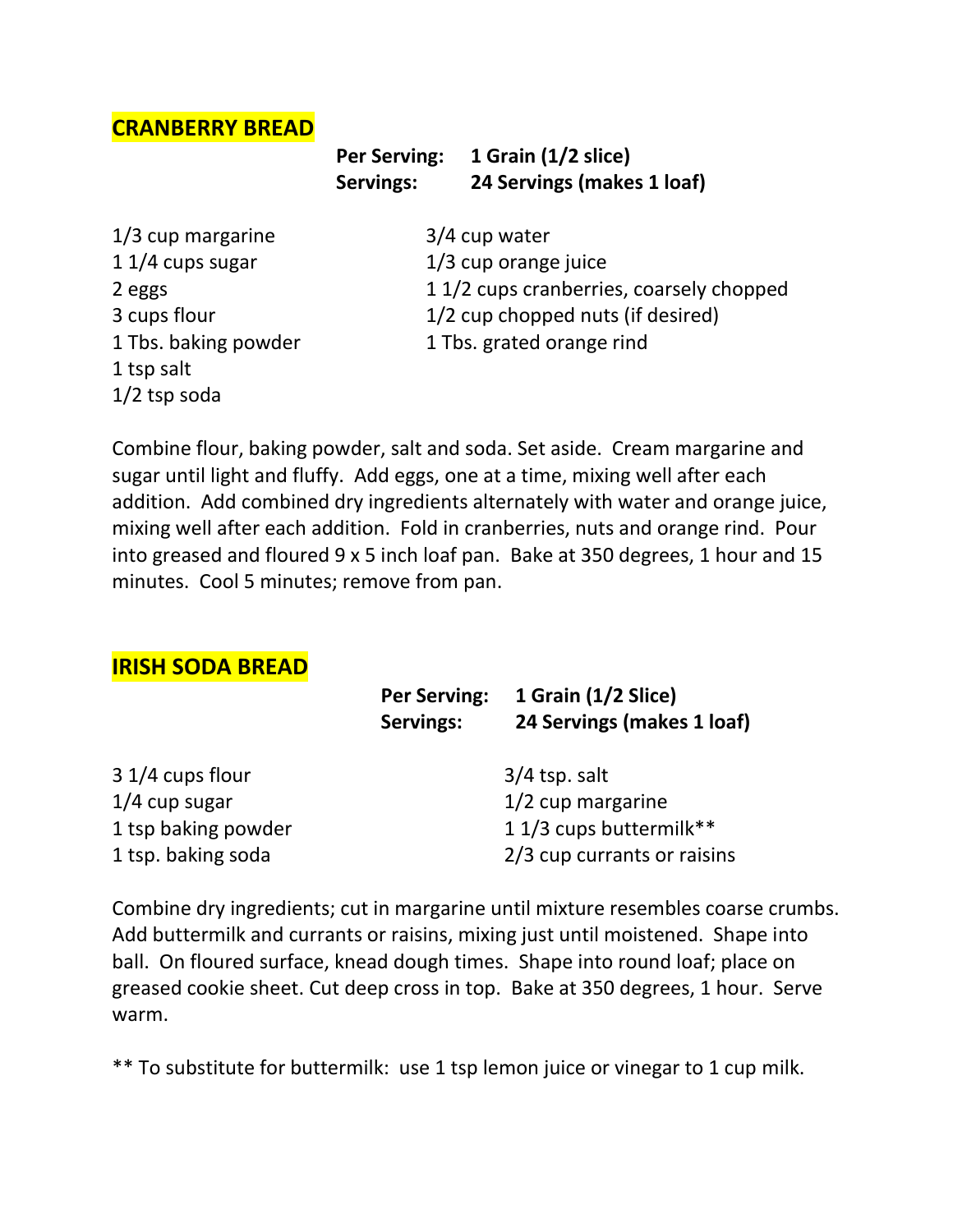### **CRANBERRY BREAD**

## **Per Serving: 1 Grain (1/2 slice) Servings: 24 Servings (makes 1 loaf)**

1/3 cup margarine 3/4 cup water 1 1/4 cups sugar 1/3 cup orange juice 1 tsp salt 1/2 tsp soda

2 eggs 1 1/2 cups cranberries, coarsely chopped 3 cups flour 1/2 cup chopped nuts (if desired) 1 Tbs. baking powder 1 Tbs. grated orange rind

Combine flour, baking powder, salt and soda. Set aside. Cream margarine and sugar until light and fluffy. Add eggs, one at a time, mixing well after each addition. Add combined dry ingredients alternately with water and orange juice, mixing well after each addition. Fold in cranberries, nuts and orange rind. Pour into greased and floured 9 x 5 inch loaf pan. Bake at 350 degrees, 1 hour and 15 minutes. Cool 5 minutes; remove from pan.

#### **IRISH SODA BREAD**

|                     | <b>Per Serving:</b><br><b>Servings:</b> | 1 Grain (1/2 Slice)<br>24 Servings (makes 1 loaf) |  |
|---------------------|-----------------------------------------|---------------------------------------------------|--|
| 3 1/4 cups flour    |                                         | $3/4$ tsp. salt                                   |  |
| $1/4$ cup sugar     |                                         | 1/2 cup margarine                                 |  |
| 1 tsp baking powder |                                         | 1 1/3 cups buttermilk**                           |  |
| 1 tsp. baking soda  |                                         | 2/3 cup currants or raisins                       |  |

Combine dry ingredients; cut in margarine until mixture resembles coarse crumbs. Add buttermilk and currants or raisins, mixing just until moistened. Shape into ball. On floured surface, knead dough times. Shape into round loaf; place on greased cookie sheet. Cut deep cross in top. Bake at 350 degrees, 1 hour. Serve warm.

\*\* To substitute for buttermilk: use 1 tsp lemon juice or vinegar to 1 cup milk.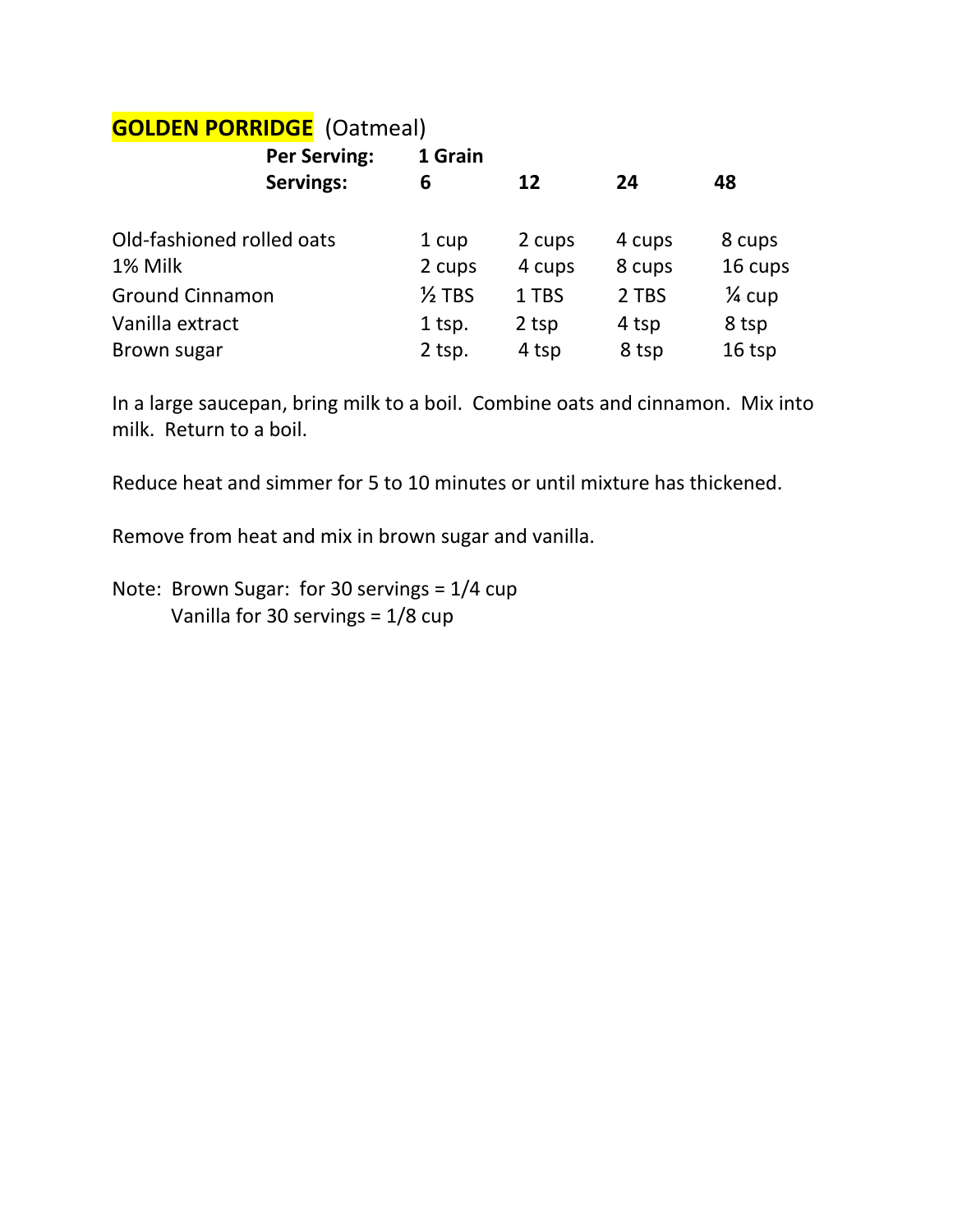# **GOLDEN PORRIDGE** (Oatmeal)

|                           | <b>Per Serving:</b> | 1 Grain           |        |        |                   |
|---------------------------|---------------------|-------------------|--------|--------|-------------------|
|                           | <b>Servings:</b>    | 6                 | 12     | 24     | 48                |
| Old-fashioned rolled oats |                     | 1 cup             | 2 cups | 4 cups | 8 cups            |
| 1% Milk                   |                     | 2 cups            | 4 cups | 8 cups | 16 cups           |
| <b>Ground Cinnamon</b>    |                     | $\frac{1}{2}$ TBS | 1 TBS  | 2 TBS  | $\frac{1}{4}$ cup |
| Vanilla extract           |                     | 1 tsp.            | 2 tsp  | 4 tsp  | 8 tsp             |
| Brown sugar               |                     | $2$ tsp.          | 4 tsp  | 8 tsp  | 16 tsp            |

In a large saucepan, bring milk to a boil. Combine oats and cinnamon. Mix into milk. Return to a boil.

Reduce heat and simmer for 5 to 10 minutes or until mixture has thickened.

Remove from heat and mix in brown sugar and vanilla.

Note: Brown Sugar: for 30 servings = 1/4 cup Vanilla for 30 servings = 1/8 cup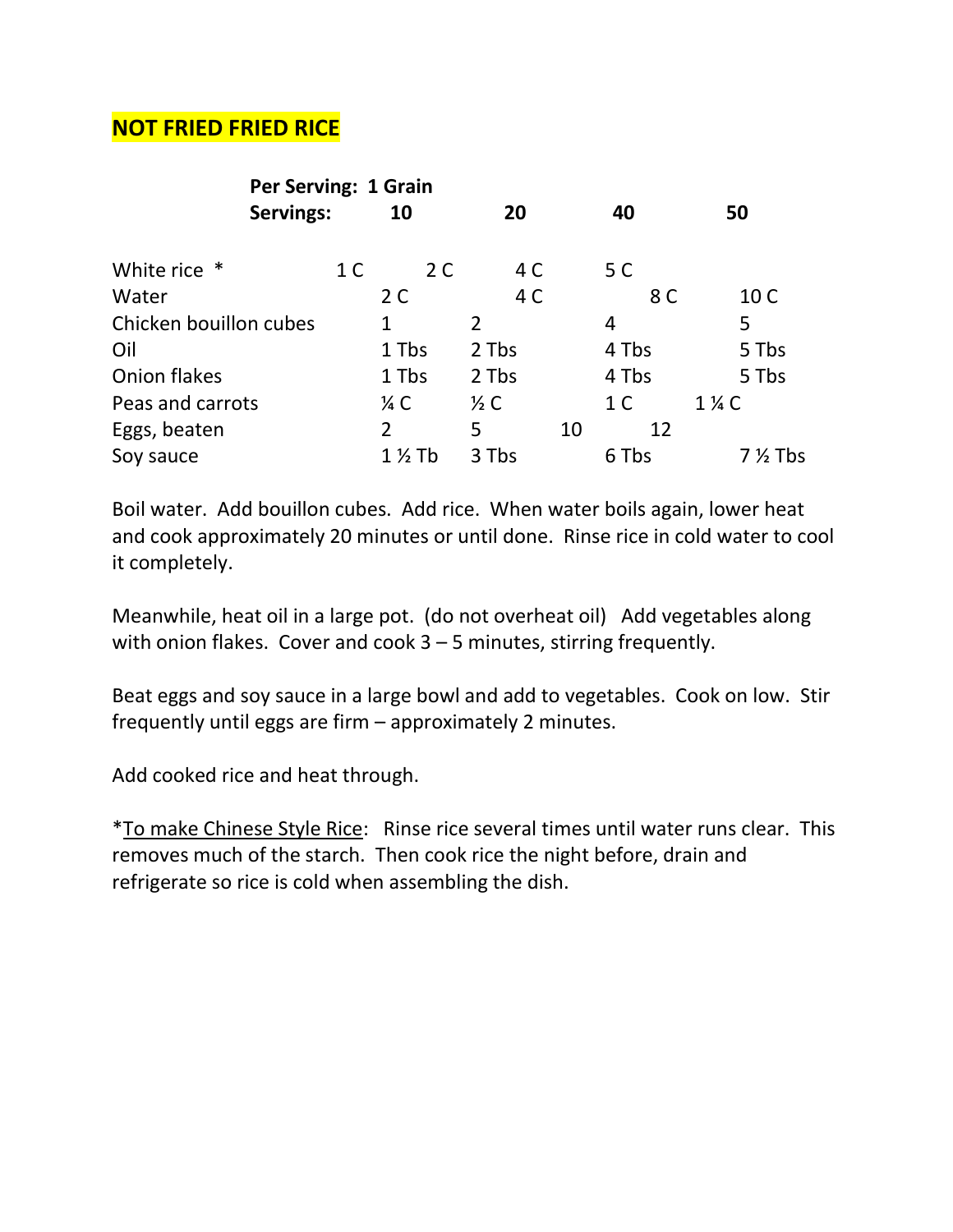## **NOT FRIED FRIED RICE**

| Per Serving: 1 Grain   |     |                |                |    |       |          |
|------------------------|-----|----------------|----------------|----|-------|----------|
| <b>Servings:</b>       |     | 10             | 20             |    | 40    | 50       |
| White rice *           | 1 C | 2 C            | 4 C            |    | 5 C   |          |
| Water                  |     | 2 <sup>C</sup> | 4 C            |    | 8 C   | 10 C     |
| Chicken bouillon cubes |     | 1              | $\overline{2}$ |    | 4     | 5        |
| Oil                    |     | 1 Tbs          | 2 Tbs          |    | 4 Tbs | 5 Tbs    |
| Onion flakes           |     | 1 Tbs          | 2 Tbs          |    | 4 Tbs | 5 Tbs    |
| Peas and carrots       |     | $\frac{1}{4}C$ | $\frac{1}{2}C$ |    | 1 C   | $1\%$ C  |
| Eggs, beaten           |     | 2              | 5              | 10 | 12    |          |
| Soy sauce              |     | $1\%$ Tb       | 3 Tbs          |    | 6 Tbs | $72$ Tbs |

Boil water. Add bouillon cubes. Add rice. When water boils again, lower heat and cook approximately 20 minutes or until done. Rinse rice in cold water to cool it completely.

Meanwhile, heat oil in a large pot. (do not overheat oil) Add vegetables along with onion flakes. Cover and cook 3 – 5 minutes, stirring frequently.

Beat eggs and soy sauce in a large bowl and add to vegetables. Cook on low. Stir frequently until eggs are firm – approximately 2 minutes.

Add cooked rice and heat through.

\*To make Chinese Style Rice: Rinse rice several times until water runs clear. This removes much of the starch. Then cook rice the night before, drain and refrigerate so rice is cold when assembling the dish.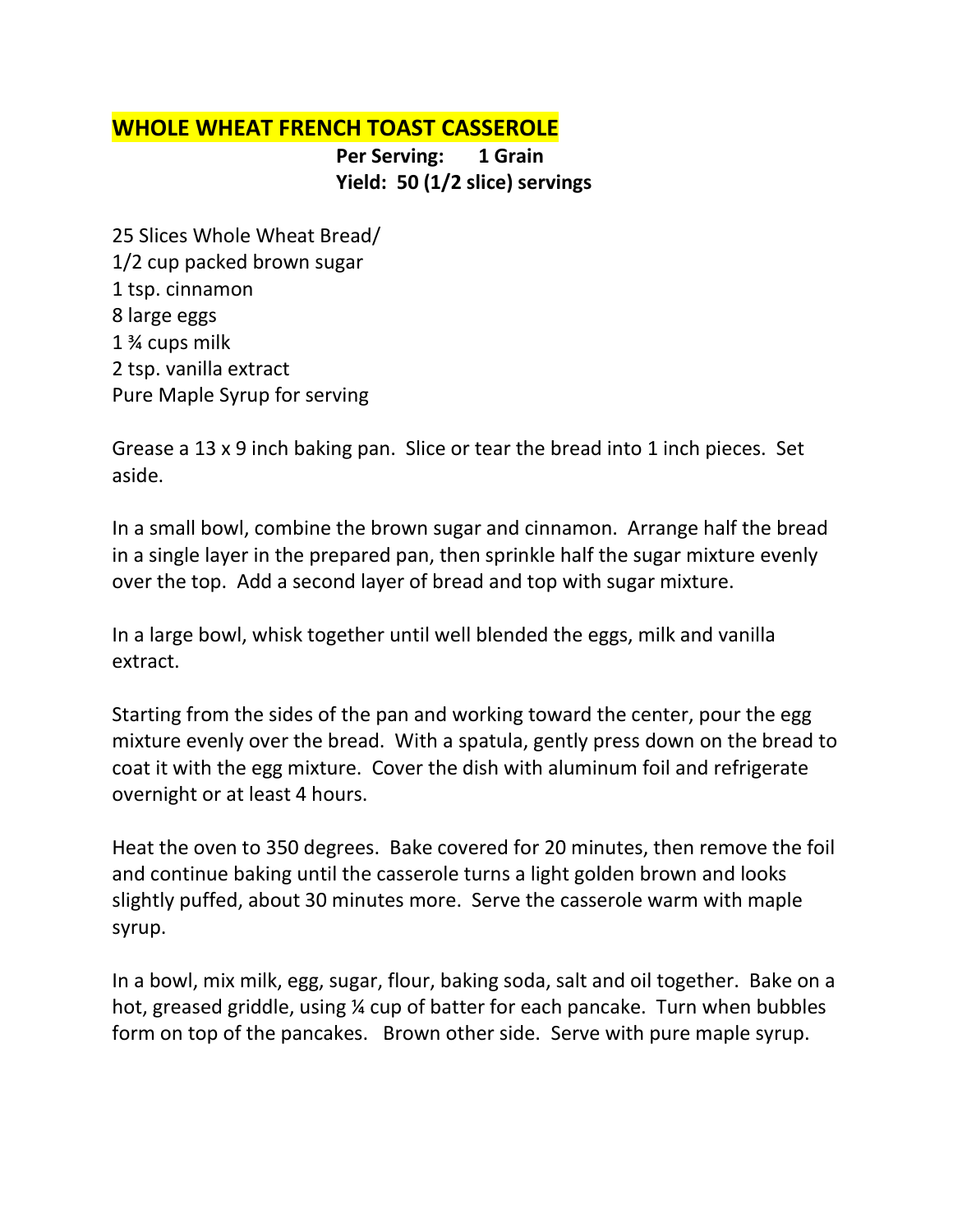### **WHOLE WHEAT FRENCH TOAST CASSEROLE**

**Per Serving: 1 Grain Yield: 50 (1/2 slice) servings**

25 Slices Whole Wheat Bread/ 1/2 cup packed brown sugar 1 tsp. cinnamon 8 large eggs 1 ¾ cups milk 2 tsp. vanilla extract Pure Maple Syrup for serving

Grease a 13 x 9 inch baking pan. Slice or tear the bread into 1 inch pieces. Set aside.

In a small bowl, combine the brown sugar and cinnamon. Arrange half the bread in a single layer in the prepared pan, then sprinkle half the sugar mixture evenly over the top. Add a second layer of bread and top with sugar mixture.

In a large bowl, whisk together until well blended the eggs, milk and vanilla extract.

Starting from the sides of the pan and working toward the center, pour the egg mixture evenly over the bread. With a spatula, gently press down on the bread to coat it with the egg mixture. Cover the dish with aluminum foil and refrigerate overnight or at least 4 hours.

Heat the oven to 350 degrees. Bake covered for 20 minutes, then remove the foil and continue baking until the casserole turns a light golden brown and looks slightly puffed, about 30 minutes more. Serve the casserole warm with maple syrup.

In a bowl, mix milk, egg, sugar, flour, baking soda, salt and oil together. Bake on a hot, greased griddle, using ¼ cup of batter for each pancake. Turn when bubbles form on top of the pancakes. Brown other side. Serve with pure maple syrup.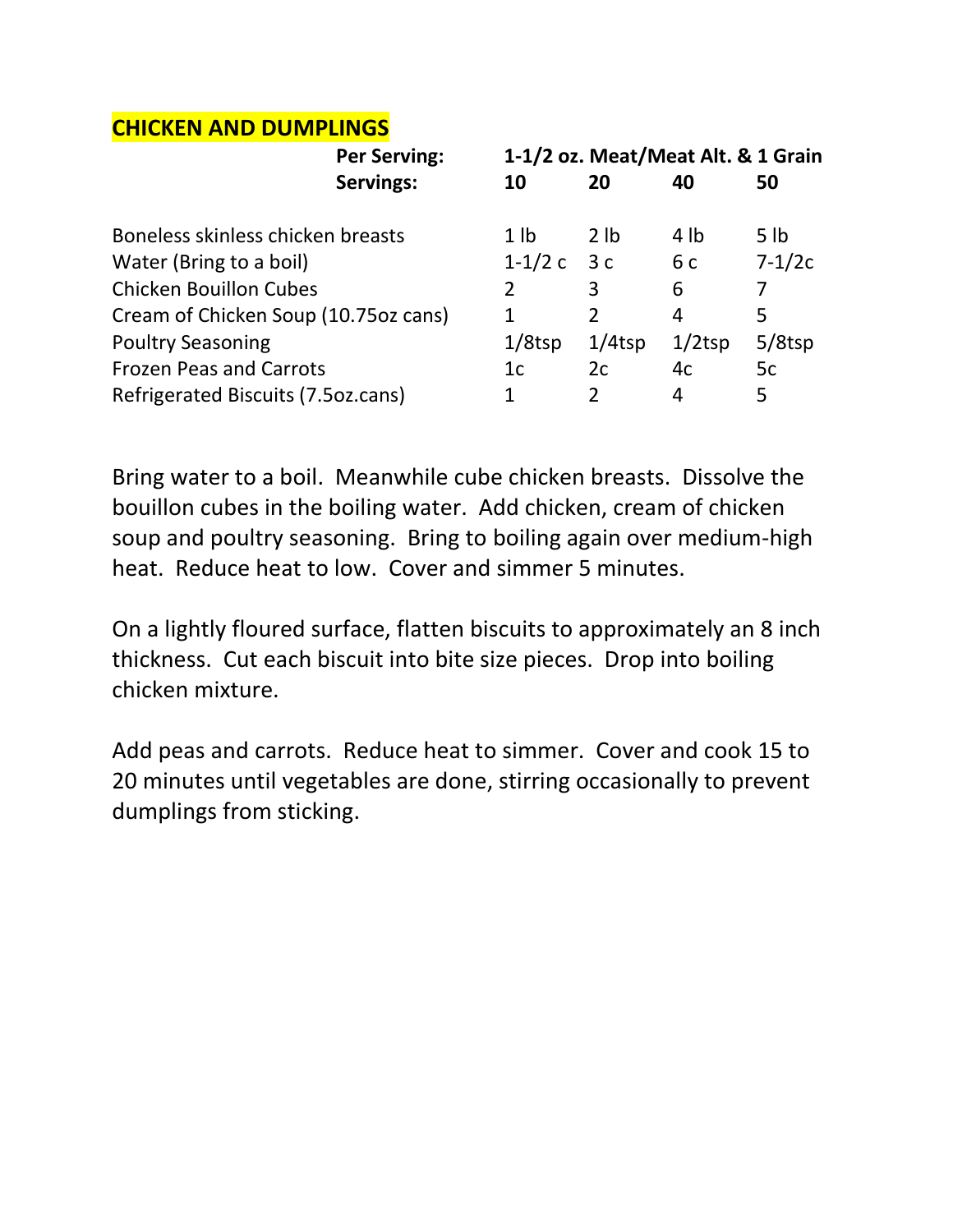## **CHICKEN AND DUMPLINGS**

|                                      | <b>Per Serving:</b> |                | 1-1/2 oz. Meat/Meat Alt. & 1 Grain |                 |                 |  |  |
|--------------------------------------|---------------------|----------------|------------------------------------|-----------------|-----------------|--|--|
|                                      | <b>Servings:</b>    | 10             | 20                                 | 40              | 50              |  |  |
| Boneless skinless chicken breasts    |                     | 1 <sub>1</sub> | 2 <sub>1b</sub>                    | 4 <sub>lb</sub> | 5 <sub>lb</sub> |  |  |
| Water (Bring to a boil)              |                     | $1 - 1/2c$     | 3c                                 | 6 c             | $7 - 1/2c$      |  |  |
| <b>Chicken Bouillon Cubes</b>        |                     | 2              | 3                                  | 6               | 7               |  |  |
| Cream of Chicken Soup (10.75oz cans) |                     |                | $\overline{2}$                     | 4               | 5               |  |  |
| <b>Poultry Seasoning</b>             |                     | $1/8$ tsp      | $1/4$ tsp                          | $1/2$ tsp       | 5/8tsp          |  |  |
| <b>Frozen Peas and Carrots</b>       |                     | 1c             | 2c                                 | 4c              | 5c              |  |  |
| Refrigerated Biscuits (7.5oz.cans)   |                     | 1              | $\overline{2}$                     | 4               | 5               |  |  |

Bring water to a boil. Meanwhile cube chicken breasts. Dissolve the bouillon cubes in the boiling water. Add chicken, cream of chicken soup and poultry seasoning. Bring to boiling again over medium-high heat. Reduce heat to low. Cover and simmer 5 minutes.

On a lightly floured surface, flatten biscuits to approximately an 8 inch thickness. Cut each biscuit into bite size pieces. Drop into boiling chicken mixture.

Add peas and carrots. Reduce heat to simmer. Cover and cook 15 to 20 minutes until vegetables are done, stirring occasionally to prevent dumplings from sticking.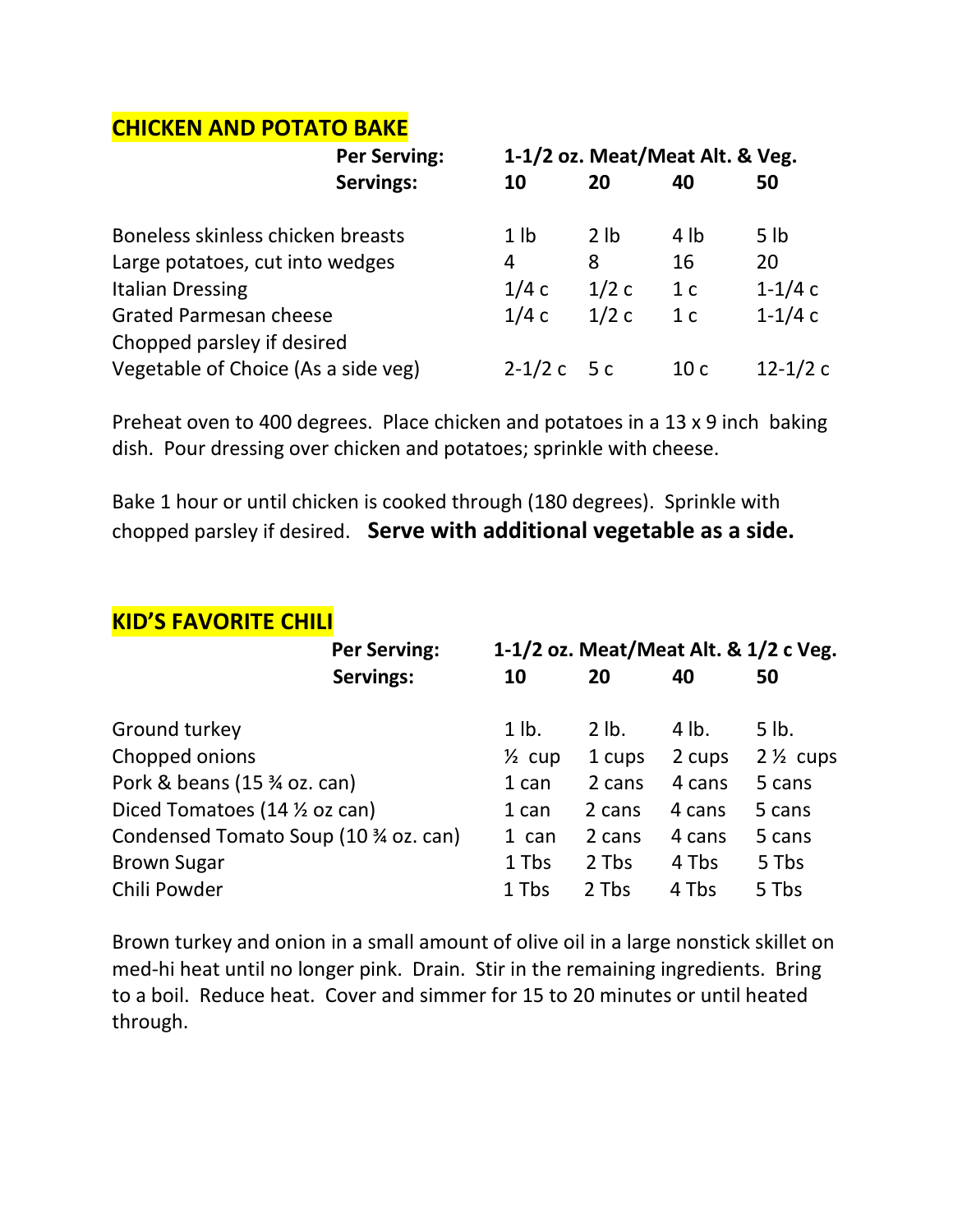## **CHICKEN AND POTATO BAKE**

|                                                             | <b>Per Serving:</b> | 1-1/2 oz. Meat/Meat Alt. & Veg. |                 |                 |                 |  |
|-------------------------------------------------------------|---------------------|---------------------------------|-----------------|-----------------|-----------------|--|
|                                                             | <b>Servings:</b>    | 10                              | 20              | 40              | 50              |  |
| Boneless skinless chicken breasts                           |                     | 1 <sub>1</sub>                  | 2 <sub>1b</sub> | 4 <sub>lb</sub> | 5 <sub>1b</sub> |  |
| Large potatoes, cut into wedges                             |                     | 4                               | 8               | 16              | 20              |  |
| <b>Italian Dressing</b>                                     |                     | 1/4c                            | 1/2c            | 1 <sub>c</sub>  | $1 - 1/4c$      |  |
| <b>Grated Parmesan cheese</b><br>Chopped parsley if desired |                     | 1/4c                            | 1/2c            | 1 <sub>c</sub>  | $1 - 1/4c$      |  |
| Vegetable of Choice (As a side veg)                         |                     | $2-1/2c$ 5 c                    |                 | 10 <sub>c</sub> | $12 - 1/2c$     |  |

Preheat oven to 400 degrees. Place chicken and potatoes in a 13 x 9 inch baking dish. Pour dressing over chicken and potatoes; sprinkle with cheese.

Bake 1 hour or until chicken is cooked through (180 degrees). Sprinkle with chopped parsley if desired. **Serve with additional vegetable as a side.**

## **KID'S FAVORITE CHILI**

|                                      | <b>Per Serving:</b> |                   | 1-1/2 oz. Meat/Meat Alt. & 1/2 c Veg. |        |                     |  |  |
|--------------------------------------|---------------------|-------------------|---------------------------------------|--------|---------------------|--|--|
|                                      | <b>Servings:</b>    | <b>10</b>         | 20                                    | 40     | 50                  |  |  |
| Ground turkey                        |                     | 1 lb.             | 2 lb.                                 | 4 lb.  | 5 lb.               |  |  |
| Chopped onions                       |                     | $\frac{1}{2}$ cup | 1 cups                                | 2 cups | $2\frac{1}{2}$ cups |  |  |
| Pork & beans (15 % oz. can)          |                     | 1 can             | 2 cans                                | 4 cans | 5 cans              |  |  |
| Diced Tomatoes (14 1/2 oz can)       |                     | 1 can             | 2 cans                                | 4 cans | 5 cans              |  |  |
| Condensed Tomato Soup (10 % oz. can) |                     | $1$ can           | 2 cans                                | 4 cans | 5 cans              |  |  |
| <b>Brown Sugar</b>                   |                     | 1 Tbs             | 2 Tbs                                 | 4 Tbs  | 5 Tbs               |  |  |
| Chili Powder                         |                     | 1 Tbs             | 2 Tbs                                 | 4 Tbs  | 5 Tbs               |  |  |

Brown turkey and onion in a small amount of olive oil in a large nonstick skillet on med-hi heat until no longer pink. Drain. Stir in the remaining ingredients. Bring to a boil. Reduce heat. Cover and simmer for 15 to 20 minutes or until heated through.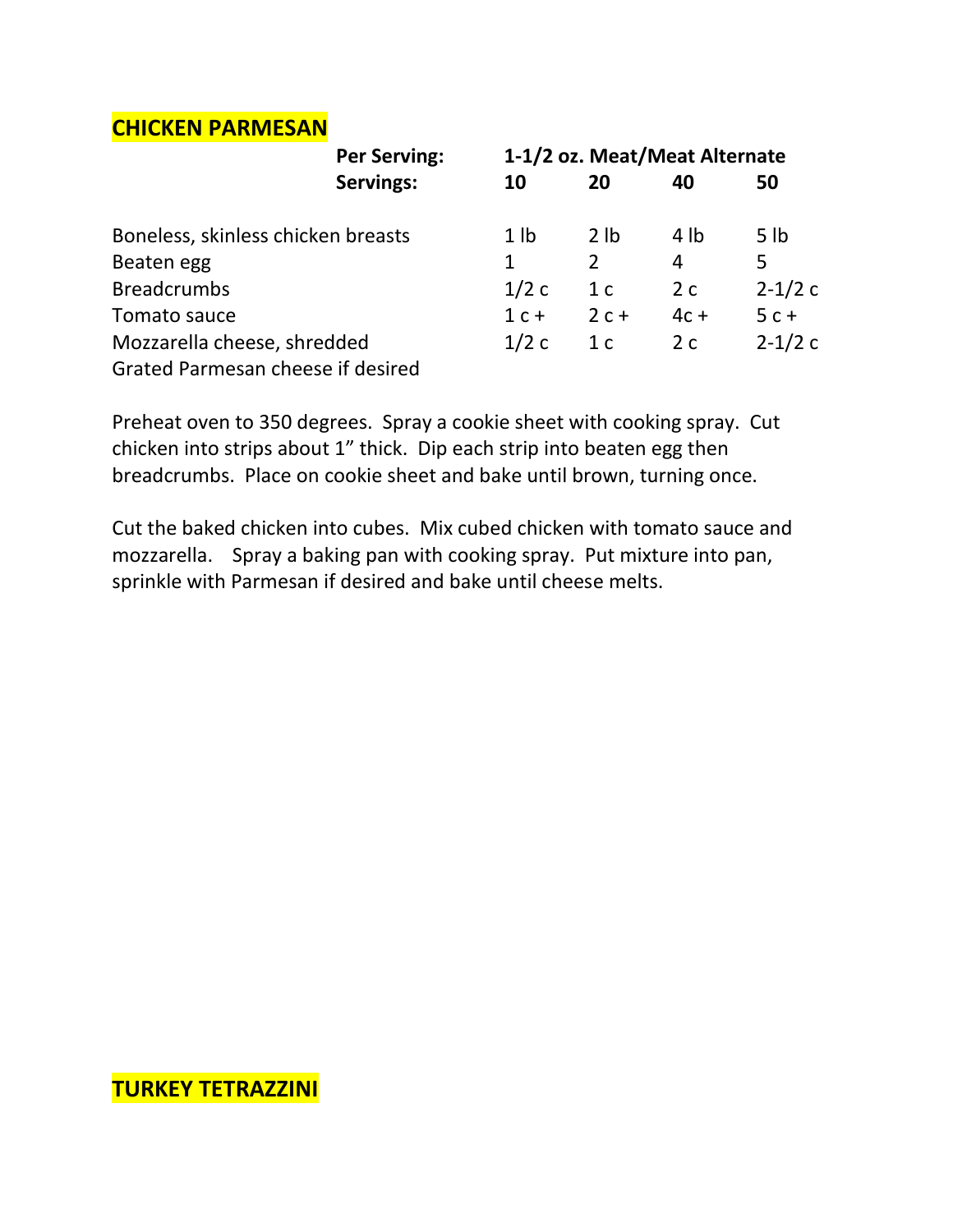## **CHICKEN PARMESAN**

|                                    | <b>Per Serving:</b> | 1-1/2 oz. Meat/Meat Alternate |                 |                 |                 |  |
|------------------------------------|---------------------|-------------------------------|-----------------|-----------------|-----------------|--|
|                                    | <b>Servings:</b>    | 10                            | 20              | 40              | 50              |  |
| Boneless, skinless chicken breasts |                     | 1 <sub>1</sub>                | 2 <sub>1b</sub> | 4 <sub>lb</sub> | 5 <sub>1b</sub> |  |
| Beaten egg                         |                     | 1                             | $\mathcal{P}$   | 4               | 5               |  |
| <b>Breadcrumbs</b>                 |                     | 1/2c                          | 1 <sup>c</sup>  | 2 <sub>c</sub>  | $2 - 1/2c$      |  |
| Tomato sauce                       |                     | $1c +$                        | $2c +$          | $4c +$          | $5c +$          |  |
| Mozzarella cheese, shredded        |                     | 1/2c                          | 1 <sup>c</sup>  | 2c              | $2 - 1/2c$      |  |
| Grated Parmesan cheese if desired  |                     |                               |                 |                 |                 |  |

Preheat oven to 350 degrees. Spray a cookie sheet with cooking spray. Cut chicken into strips about 1" thick. Dip each strip into beaten egg then breadcrumbs. Place on cookie sheet and bake until brown, turning once.

Cut the baked chicken into cubes. Mix cubed chicken with tomato sauce and mozzarella. Spray a baking pan with cooking spray. Put mixture into pan, sprinkle with Parmesan if desired and bake until cheese melts.

## **TURKEY TETRAZZINI**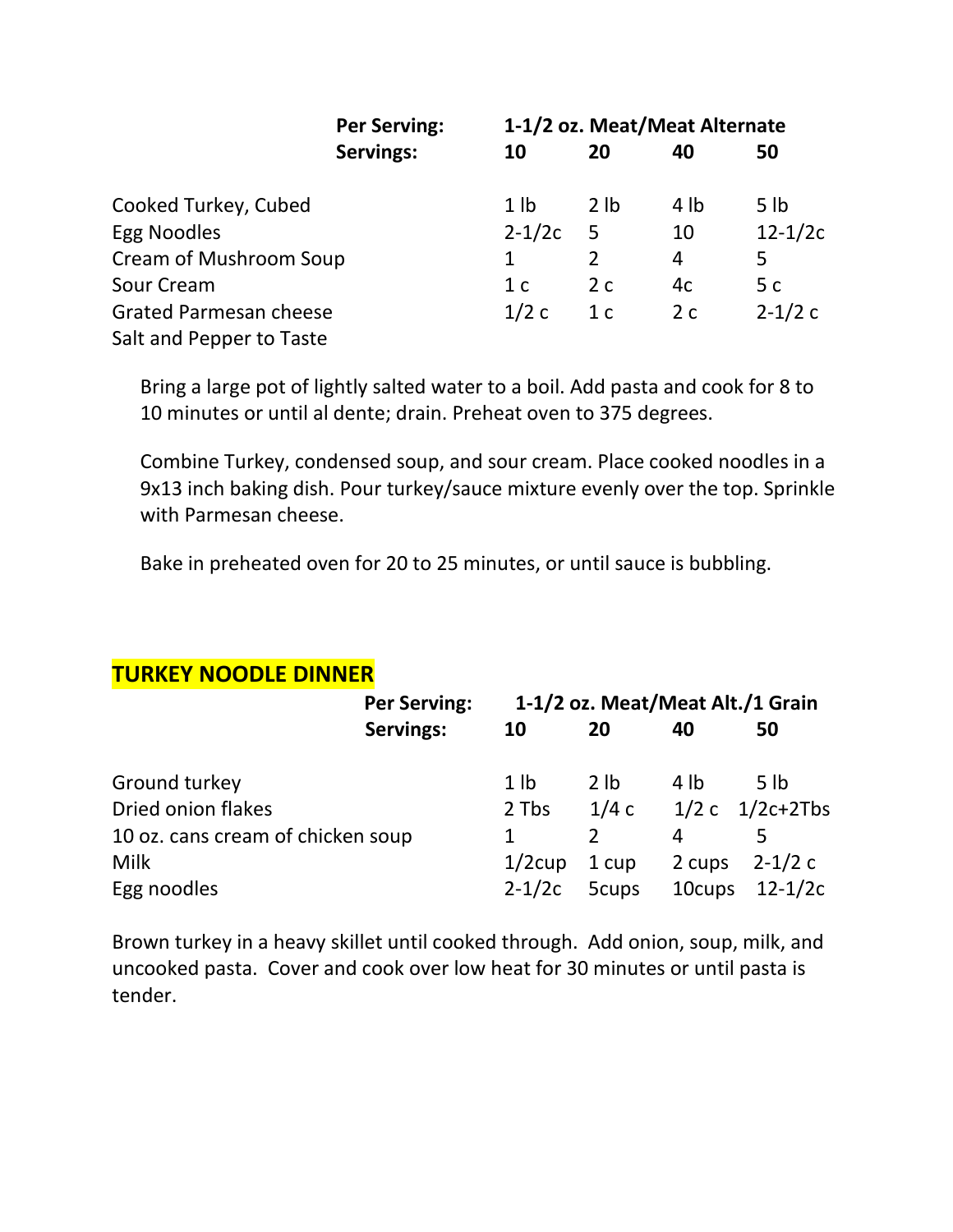|                               | <b>Per Serving:</b><br><b>Servings:</b> | 1-1/2 oz. Meat/Meat Alternate |                 |      |                 |
|-------------------------------|-----------------------------------------|-------------------------------|-----------------|------|-----------------|
|                               |                                         | 10                            | 20              | 40   | 50              |
| Cooked Turkey, Cubed          |                                         | 1 <sub>1</sub>                | 2 <sub>1b</sub> | 4 lb | 5 <sub>lb</sub> |
| Egg Noodles                   |                                         | $2 - 1/2c$                    | -5              | 10   | $12 - 1/2c$     |
| Cream of Mushroom Soup        |                                         |                               | $\overline{2}$  | 4    | 5               |
| Sour Cream                    |                                         | 1 c                           | 2c              | 4c   | 5c              |
| <b>Grated Parmesan cheese</b> |                                         | 1/2c                          | 1 <sub>c</sub>  | 2c   | $2 - 1/2c$      |
| Salt and Pepper to Taste      |                                         |                               |                 |      |                 |

Bring a large pot of lightly salted water to a boil. Add pasta and cook for 8 to 10 minutes or until al dente; drain. Preheat oven to 375 degrees.

Combine Turkey, condensed soup, and sour cream. Place cooked noodles in a 9x13 inch baking dish. Pour turkey/sauce mixture evenly over the top. Sprinkle with Parmesan cheese.

Bake in preheated oven for 20 to 25 minutes, or until sauce is bubbling.

## **TURKEY NOODLE DINNER**

|                                   | <b>Per Serving:</b><br><b>Servings:</b> | 1-1/2 oz. Meat/Meat Alt./1 Grain |                 |                 |                    |
|-----------------------------------|-----------------------------------------|----------------------------------|-----------------|-----------------|--------------------|
|                                   |                                         | <b>10</b>                        | 20              | 40              | 50                 |
| Ground turkey                     |                                         | 1 <sub>1</sub>                   | 2 <sub>1b</sub> | 4 <sub>lb</sub> | 5 <sub>lb</sub>    |
| Dried onion flakes                |                                         | 2 Tbs                            | $1/4$ c         |                 | $1/2c$ $1/2c+2Tbs$ |
| 10 oz. cans cream of chicken soup |                                         | 1                                | $\mathcal{P}$   | 4               |                    |
| Milk                              |                                         | $1/2$ cup                        | 1 cup           | 2 cups          | $2-1/2c$           |
| Egg noodles                       |                                         | $2 - 1/2c$                       | 5cups           | 10cups          | $12 - 1/2c$        |

Brown turkey in a heavy skillet until cooked through. Add onion, soup, milk, and uncooked pasta. Cover and cook over low heat for 30 minutes or until pasta is tender.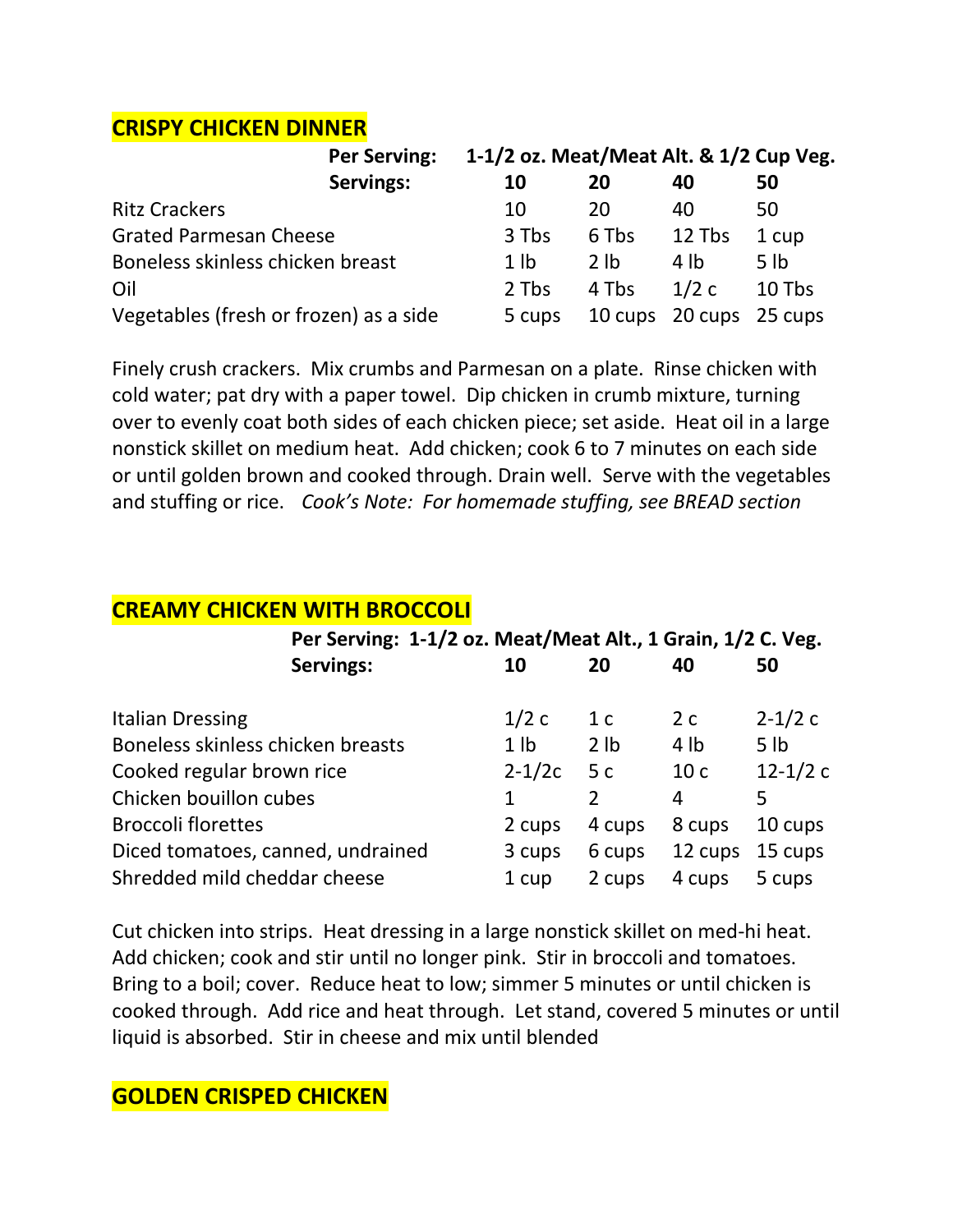#### **CRISPY CHICKEN DINNER**

|                                        | <b>Per Serving:</b> | 1-1/2 oz. Meat/Meat Alt. & 1/2 Cup Veg. |                 |                         |                 |  |
|----------------------------------------|---------------------|-----------------------------------------|-----------------|-------------------------|-----------------|--|
|                                        | <b>Servings:</b>    | 10                                      | 20              | 40                      | 50              |  |
| <b>Ritz Crackers</b>                   |                     | 10                                      | 20              | 40                      | 50              |  |
| <b>Grated Parmesan Cheese</b>          |                     | 3 Tbs                                   | 6 Tbs           | 12 Tbs                  | 1 cup           |  |
| Boneless skinless chicken breast       |                     | 1 <sub>lb</sub>                         | 2 <sub>1b</sub> | 4 <sub>lb</sub>         | 5 <sub>1b</sub> |  |
| Oil                                    |                     | 2 Tbs                                   | 4 Tbs           | 1/2c                    | 10 Tbs          |  |
| Vegetables (fresh or frozen) as a side |                     | 5 cups                                  |                 | 10 cups 20 cups 25 cups |                 |  |

Finely crush crackers. Mix crumbs and Parmesan on a plate. Rinse chicken with cold water; pat dry with a paper towel. Dip chicken in crumb mixture, turning over to evenly coat both sides of each chicken piece; set aside. Heat oil in a large nonstick skillet on medium heat. Add chicken; cook 6 to 7 minutes on each side or until golden brown and cooked through. Drain well. Serve with the vegetables and stuffing or rice.*Cook's Note: For homemade stuffing, see BREAD section*

## **CREAMY CHICKEN WITH BROCCOLI**

| Per Serving: 1-1/2 oz. Meat/Meat Alt., 1 Grain, 1/2 C. Veg. |                |                 |                 |                 |  |
|-------------------------------------------------------------|----------------|-----------------|-----------------|-----------------|--|
| <b>Servings:</b>                                            | 10             | 20              | 40              | 50              |  |
| <b>Italian Dressing</b>                                     | 1/2c           | 1 <sup>c</sup>  | 2c              | $2 - 1/2c$      |  |
| Boneless skinless chicken breasts                           | 1 <sub>1</sub> | 2 <sub>1b</sub> | 4 lb            | 5 <sub>1b</sub> |  |
| Cooked regular brown rice                                   | $2 - 1/2c$     | 5c              | 10 <sub>c</sub> | $12 - 1/2c$     |  |
| Chicken bouillon cubes                                      |                | $\mathcal{P}$   | 4               | 5               |  |
| <b>Broccoli florettes</b>                                   | 2 cups         | 4 cups          | 8 cups          | 10 cups         |  |
| Diced tomatoes, canned, undrained                           | 3 cups         | 6 cups          | 12 cups         | 15 cups         |  |
| Shredded mild cheddar cheese                                | 1 cup          | 2 cups          | 4 cups          | 5 cups          |  |

Cut chicken into strips. Heat dressing in a large nonstick skillet on med-hi heat. Add chicken; cook and stir until no longer pink. Stir in broccoli and tomatoes. Bring to a boil; cover. Reduce heat to low; simmer 5 minutes or until chicken is cooked through. Add rice and heat through. Let stand, covered 5 minutes or until liquid is absorbed. Stir in cheese and mix until blended

## **GOLDEN CRISPED CHICKEN**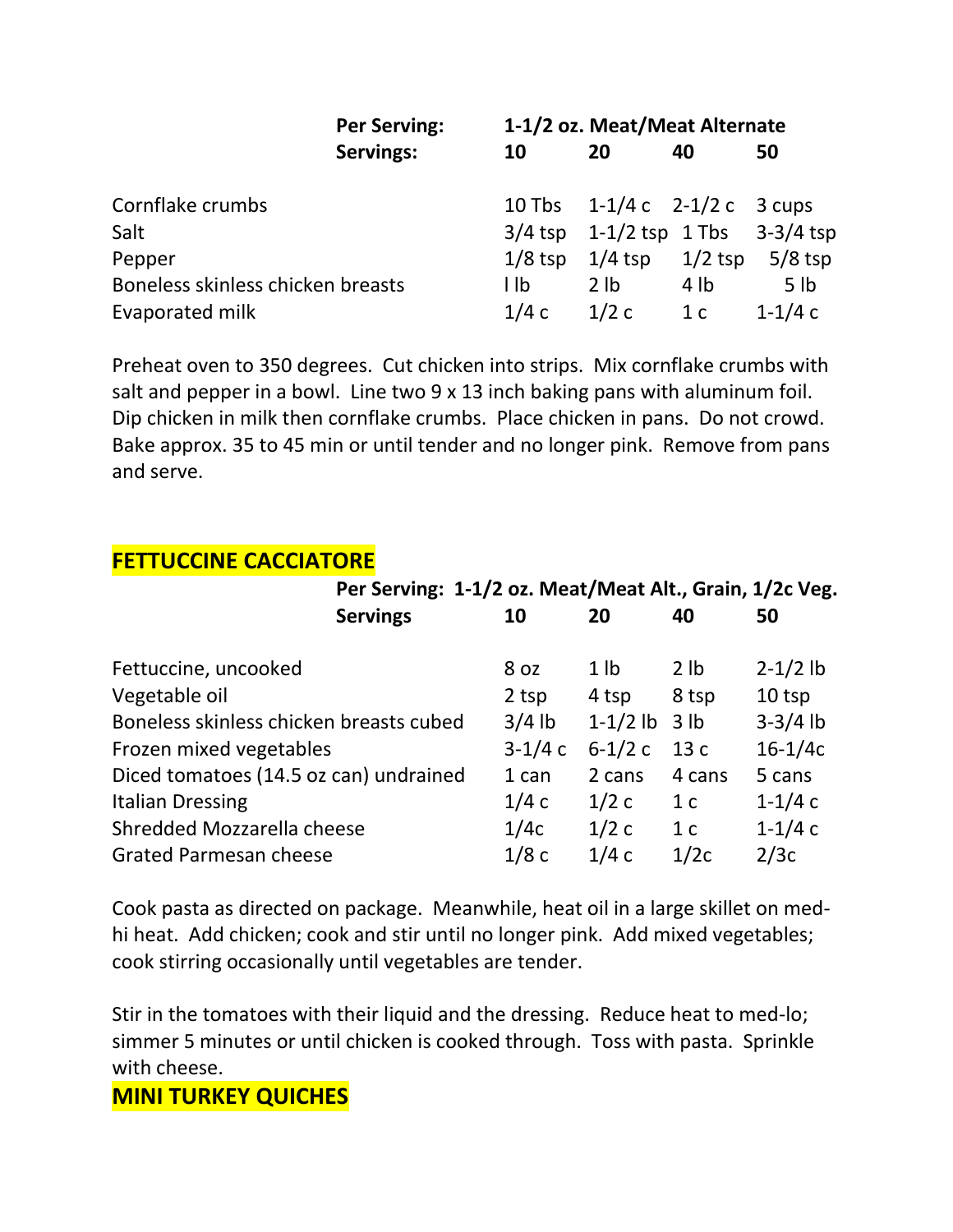|                                   | <b>Per Serving:</b><br><b>Servings:</b> | 1-1/2 oz. Meat/Meat Alternate |                                           |                 |                 |  |
|-----------------------------------|-----------------------------------------|-------------------------------|-------------------------------------------|-----------------|-----------------|--|
|                                   |                                         | 10                            | 20                                        | 40              | 50              |  |
| Cornflake crumbs                  |                                         |                               | 10 Tbs $1-1/4c$ 2-1/2 c 3 cups            |                 |                 |  |
| Salt                              |                                         |                               | $3/4$ tsp $1-1/2$ tsp $1$ Tbs $3-3/4$ tsp |                 |                 |  |
| Pepper                            |                                         |                               | $1/8$ tsp $1/4$ tsp $1/2$ tsp $5/8$ tsp   |                 |                 |  |
| Boneless skinless chicken breasts |                                         | l Ib                          | 2 lb                                      | 4 <sub>lb</sub> | 5 <sub>lb</sub> |  |
| Evaporated milk                   |                                         | 1/4c                          | 1/2c                                      | 1 <sub>c</sub>  | $1-1/4$ c       |  |

Preheat oven to 350 degrees. Cut chicken into strips. Mix cornflake crumbs with salt and pepper in a bowl. Line two 9 x 13 inch baking pans with aluminum foil. Dip chicken in milk then cornflake crumbs. Place chicken in pans. Do not crowd. Bake approx. 35 to 45 min or until tender and no longer pink. Remove from pans and serve.

## **FETTUCCINE CACCIATORE**

|                                         | Per Serving: 1-1/2 oz. Meat/Meat Alt., Grain, 1/2c Veg. |                 |                 |              |  |  |
|-----------------------------------------|---------------------------------------------------------|-----------------|-----------------|--------------|--|--|
| <b>Servings</b>                         | 10                                                      | 20              | 40              | 50           |  |  |
| Fettuccine, uncooked                    | 8 <sub>oz</sub>                                         | 1 <sub>lb</sub> | 2 lb            | $2 - 1/2$ lb |  |  |
| Vegetable oil                           | 2 tsp                                                   | 4 tsp           | 8 tsp           | 10 tsp       |  |  |
| Boneless skinless chicken breasts cubed | $3/4$ lb                                                | $1 - 1/2$ lb    | 3 <sub>lb</sub> | $3-3/4$ lb   |  |  |
| Frozen mixed vegetables                 | $3-1/4c$                                                | $6 - 1/2c$      | 13c             | $16 - 1/4c$  |  |  |
| Diced tomatoes (14.5 oz can) undrained  | 1 can                                                   | 2 cans          | 4 cans          | 5 cans       |  |  |
| <b>Italian Dressing</b>                 | 1/4c                                                    | 1/2c            | 1 <sub>c</sub>  | $1 - 1/4c$   |  |  |
| Shredded Mozzarella cheese              | 1/4c                                                    | 1/2c            | 1 <sub>c</sub>  | $1 - 1/4c$   |  |  |
| <b>Grated Parmesan cheese</b>           | 1/8c                                                    | 1/4c            | 1/2c            | 2/3c         |  |  |

Cook pasta as directed on package. Meanwhile, heat oil in a large skillet on medhi heat. Add chicken; cook and stir until no longer pink. Add mixed vegetables; cook stirring occasionally until vegetables are tender.

Stir in the tomatoes with their liquid and the dressing. Reduce heat to med-lo; simmer 5 minutes or until chicken is cooked through. Toss with pasta. Sprinkle with cheese.

#### **MINI TURKEY QUICHES**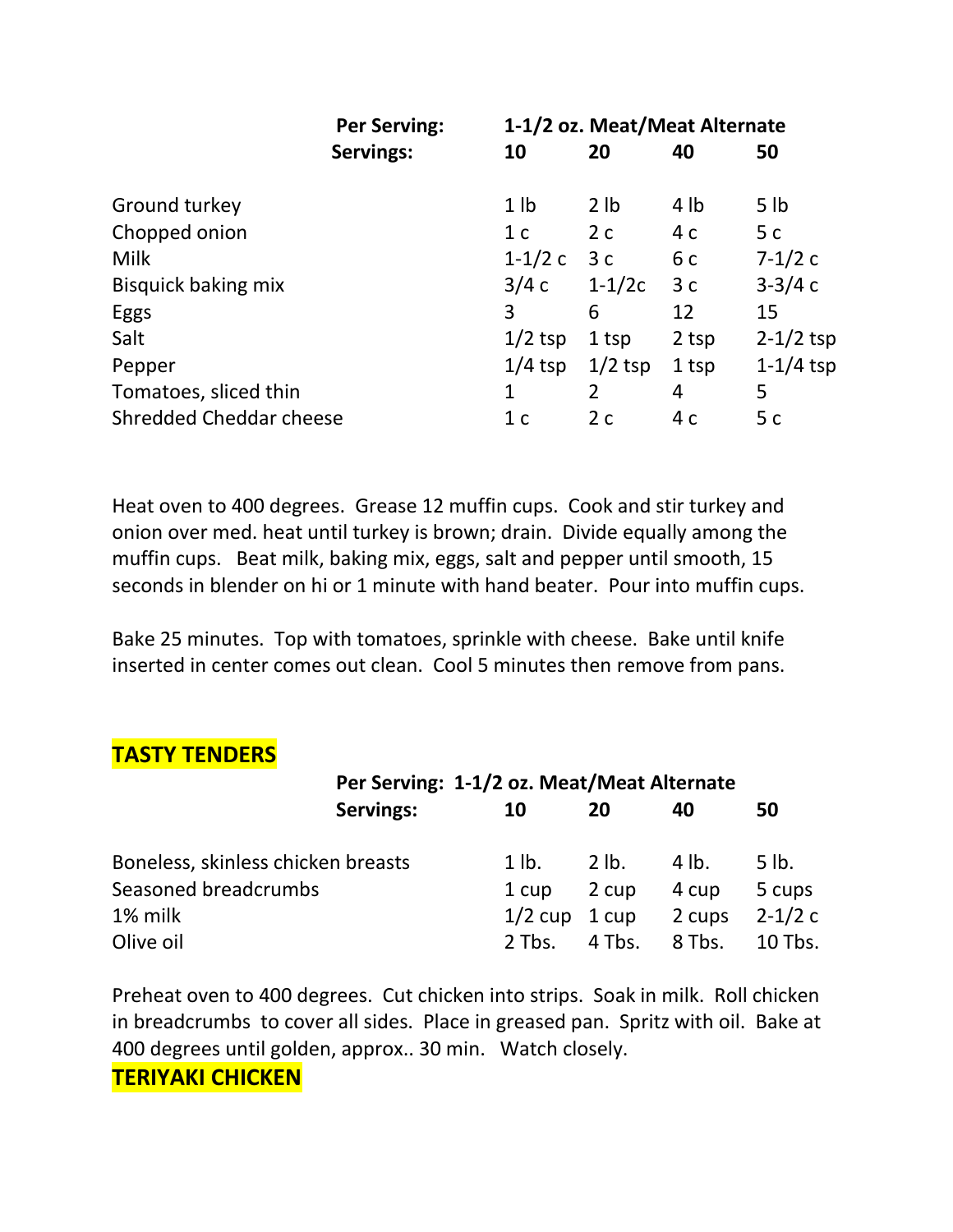| 1-1/2 oz. Meat/Meat Alternate |                 |                 |                 |
|-------------------------------|-----------------|-----------------|-----------------|
| <b>10</b>                     | 20              | 40              | 50              |
| 1 <sub>1</sub>                | 2 <sub>1b</sub> | 4 <sub>lb</sub> | 5 <sub>lb</sub> |
| 1 <sub>c</sub>                | 2c              | 4 c             | 5c              |
| $1 - 1/2c$                    | 3c              | 6 c             | $7-1/2c$        |
| 3/4c                          | $1 - 1/2c$      | 3c              | $3-3/4c$        |
| 3                             | 6               | 12              | 15              |
| $1/2$ tsp                     | 1 tsp           | 2 tsp           | $2 - 1/2$ tsp   |
| $1/4$ tsp                     | $1/2$ tsp       | 1 tsp           | $1 - 1/4$ tsp   |
| 1                             | 2               | 4               | 5               |
| 1 <sub>c</sub>                | 2c              | 4 c             | 5c              |
|                               |                 |                 |                 |

Heat oven to 400 degrees. Grease 12 muffin cups. Cook and stir turkey and onion over med. heat until turkey is brown; drain. Divide equally among the muffin cups. Beat milk, baking mix, eggs, salt and pepper until smooth, 15 seconds in blender on hi or 1 minute with hand beater. Pour into muffin cups.

Bake 25 minutes. Top with tomatoes, sprinkle with cheese. Bake until knife inserted in center comes out clean. Cool 5 minutes then remove from pans.

# **TASTY TENDERS**

|                                    | Per Serving: 1-1/2 oz. Meat/Meat Alternate |                   |        |        |            |  |
|------------------------------------|--------------------------------------------|-------------------|--------|--------|------------|--|
|                                    | <b>Servings:</b>                           | 10                | 20     | 40     | 50         |  |
| Boneless, skinless chicken breasts |                                            | $1$ lb.           | 2 lb.  | 4 lb.  | $5$ lb.    |  |
| Seasoned breadcrumbs               |                                            | 1 cup             | 2 cup  | 4 cup  | 5 cups     |  |
| 1% milk                            |                                            | $1/2$ cup $1$ cup |        | 2 cups | $2 - 1/2c$ |  |
| Olive oil                          |                                            | 2 Tbs.            | 4 Tbs. | 8 Tbs. | 10 Tbs.    |  |

Preheat oven to 400 degrees. Cut chicken into strips. Soak in milk. Roll chicken in breadcrumbs to cover all sides. Place in greased pan. Spritz with oil. Bake at 400 degrees until golden, approx.. 30 min. Watch closely.

#### **TERIYAKI CHICKEN**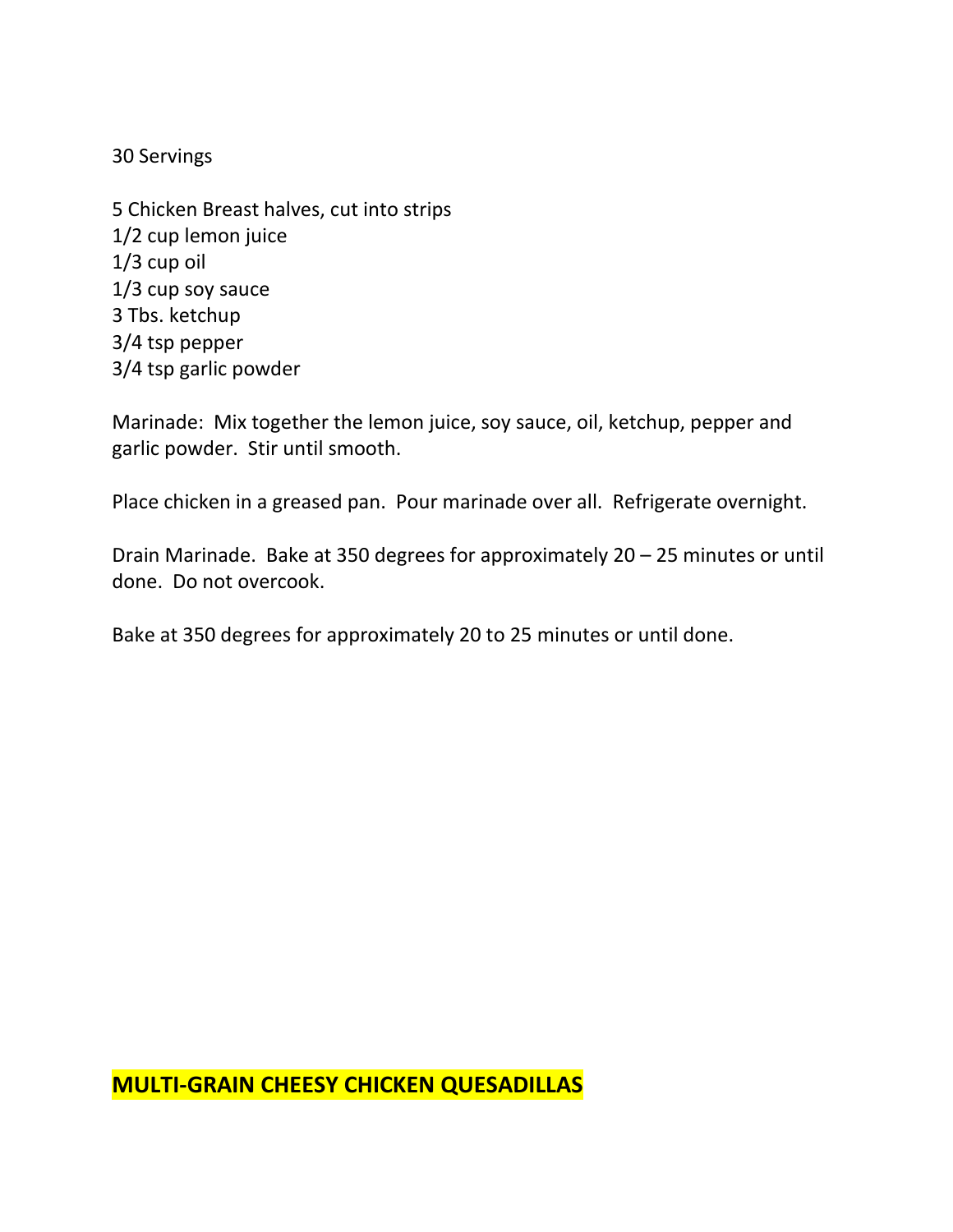30 Servings

5 Chicken Breast halves, cut into strips 1/2 cup lemon juice 1/3 cup oil 1/3 cup soy sauce 3 Tbs. ketchup 3/4 tsp pepper 3/4 tsp garlic powder

Marinade: Mix together the lemon juice, soy sauce, oil, ketchup, pepper and garlic powder. Stir until smooth.

Place chicken in a greased pan. Pour marinade over all. Refrigerate overnight.

Drain Marinade. Bake at 350 degrees for approximately 20 – 25 minutes or until done. Do not overcook.

Bake at 350 degrees for approximately 20 to 25 minutes or until done.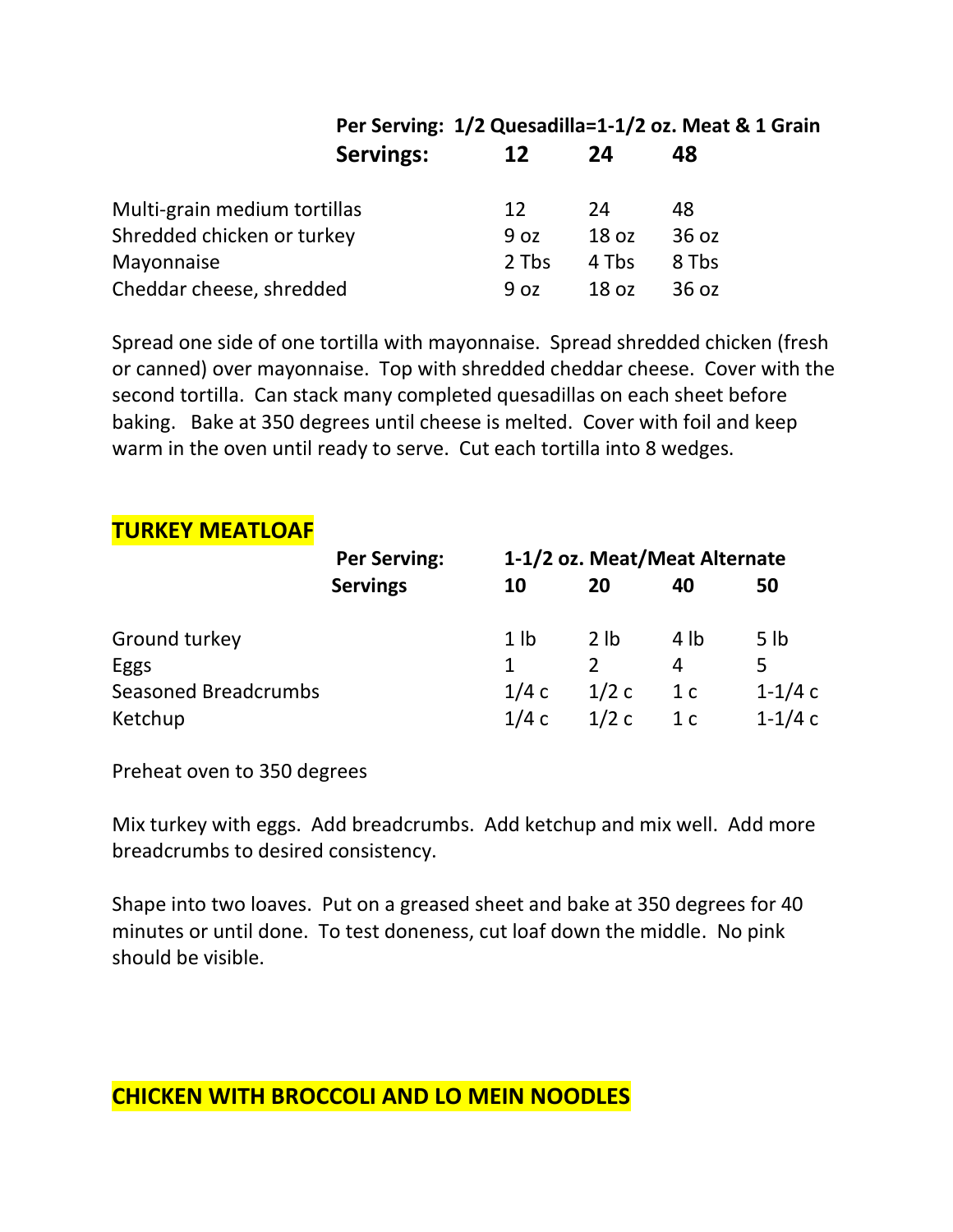|                              | Per Serving: 1/2 Quesadilla=1-1/2 oz. Meat & 1 Grain |           |       |       |  |
|------------------------------|------------------------------------------------------|-----------|-------|-------|--|
|                              | <b>Servings:</b>                                     | <b>12</b> | 24    | 48    |  |
| Multi-grain medium tortillas |                                                      | 12        | 24    | 48    |  |
| Shredded chicken or turkey   |                                                      | 9 oz      | 18 oz | 36 oz |  |
| Mayonnaise                   |                                                      | 2 Tbs     | 4 Tbs | 8 Tbs |  |
| Cheddar cheese, shredded     |                                                      | 9 oz      | 18 oz | 36 oz |  |

Spread one side of one tortilla with mayonnaise. Spread shredded chicken (fresh or canned) over mayonnaise. Top with shredded cheddar cheese. Cover with the second tortilla. Can stack many completed quesadillas on each sheet before baking. Bake at 350 degrees until cheese is melted. Cover with foil and keep warm in the oven until ready to serve. Cut each tortilla into 8 wedges.

#### **TURKEY MEATLOAF**

|                             | <b>Per Serving:</b><br><b>Servings</b> | 1-1/2 oz. Meat/Meat Alternate |                 |                |                 |  |
|-----------------------------|----------------------------------------|-------------------------------|-----------------|----------------|-----------------|--|
|                             |                                        | 10                            | 20              | 40             | 50              |  |
| Ground turkey               |                                        | 1 <sub>1</sub>                | 2 <sub>1b</sub> | 4 lb           | 5 <sub>1b</sub> |  |
| Eggs                        |                                        |                               |                 | 4              | 5               |  |
| <b>Seasoned Breadcrumbs</b> |                                        | 1/4c                          | 1/2c            | 1 <sup>c</sup> | $1 - 1/4c$      |  |
| Ketchup                     |                                        | 1/4c                          | 1/2c            | 1 <sup>c</sup> | $1 - 1/4c$      |  |

Preheat oven to 350 degrees

Mix turkey with eggs. Add breadcrumbs. Add ketchup and mix well. Add more breadcrumbs to desired consistency.

Shape into two loaves. Put on a greased sheet and bake at 350 degrees for 40 minutes or until done. To test doneness, cut loaf down the middle. No pink should be visible.

# **CHICKEN WITH BROCCOLI AND LO MEIN NOODLES**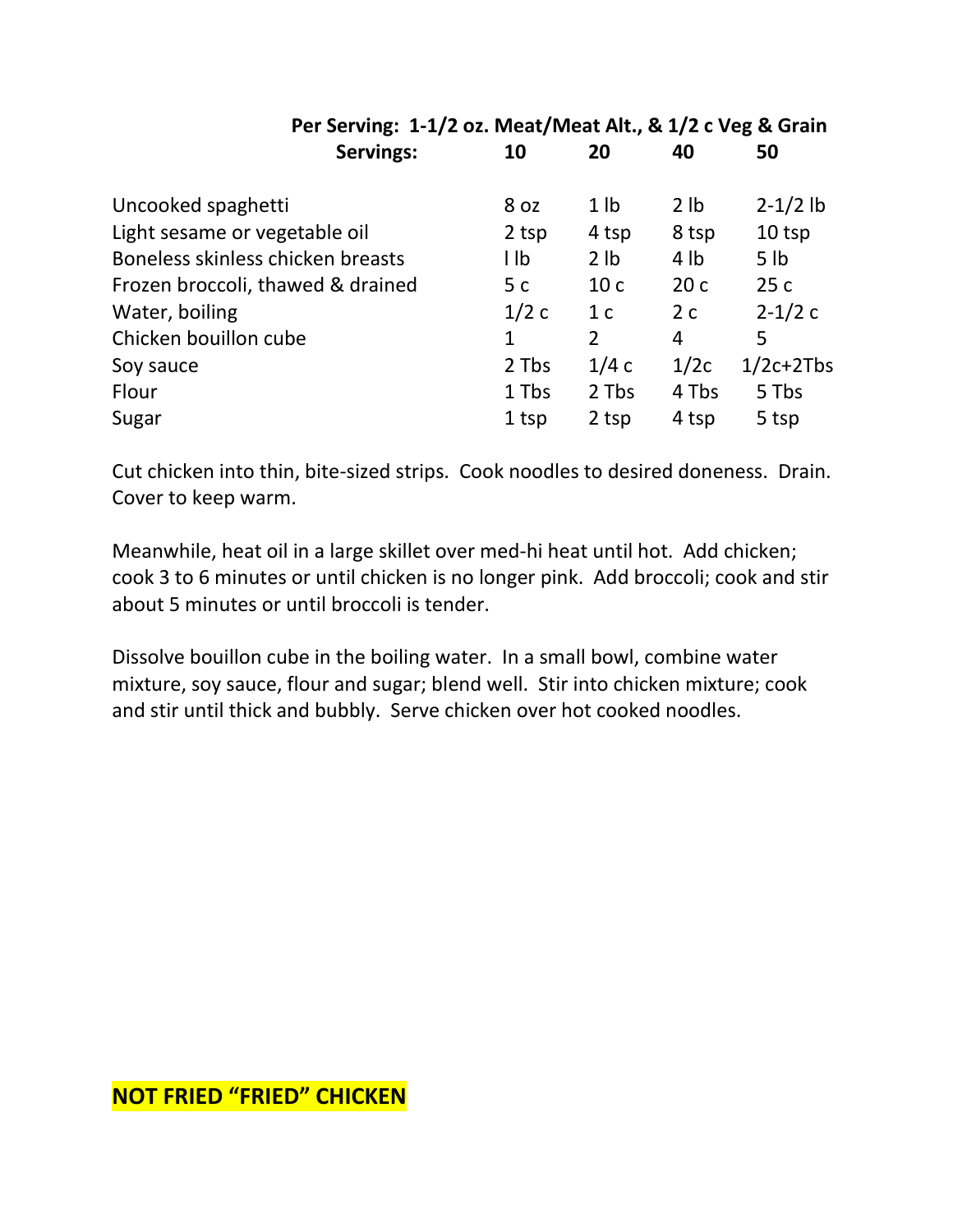| Per Serving: 1-1/2 oz. Meat/Meat Alt., & 1/2 c Veg & Grain |                 |                                                   |                          |  |  |
|------------------------------------------------------------|-----------------|---------------------------------------------------|--------------------------|--|--|
| <b>Servings:</b><br>10                                     | 20              | 40                                                | 50                       |  |  |
|                                                            |                 |                                                   | $2 - 1/2$ lb             |  |  |
|                                                            |                 |                                                   |                          |  |  |
|                                                            |                 |                                                   | $10$ tsp                 |  |  |
| l Ib                                                       | 2 lb            | 4 lb                                              | 5 <sub>lb</sub>          |  |  |
| Frozen broccoli, thawed & drained<br>5c                    | 10 <sub>c</sub> | 20c                                               | 25c                      |  |  |
|                                                            | 1 <sub>c</sub>  | 2c                                                | $2 - 1/2c$               |  |  |
| 1                                                          | $\overline{2}$  | 4                                                 | 5                        |  |  |
|                                                            | 1/4c            | 1/2c                                              | $1/2c+2Tbs$              |  |  |
|                                                            | 2 Tbs           | 4 Tbs                                             | 5 Tbs                    |  |  |
| 1 tsp                                                      | 2 tsp           | 4 tsp                                             | 5 tsp                    |  |  |
|                                                            | 8 oz<br>2 tsp   | 1 <sub>1</sub><br>4 tsp<br>1/2c<br>2 Tbs<br>1 Tbs | 2 <sub>1b</sub><br>8 tsp |  |  |

Cut chicken into thin, bite-sized strips. Cook noodles to desired doneness. Drain. Cover to keep warm.

Meanwhile, heat oil in a large skillet over med-hi heat until hot. Add chicken; cook 3 to 6 minutes or until chicken is no longer pink. Add broccoli; cook and stir about 5 minutes or until broccoli is tender.

Dissolve bouillon cube in the boiling water. In a small bowl, combine water mixture, soy sauce, flour and sugar; blend well. Stir into chicken mixture; cook and stir until thick and bubbly. Serve chicken over hot cooked noodles.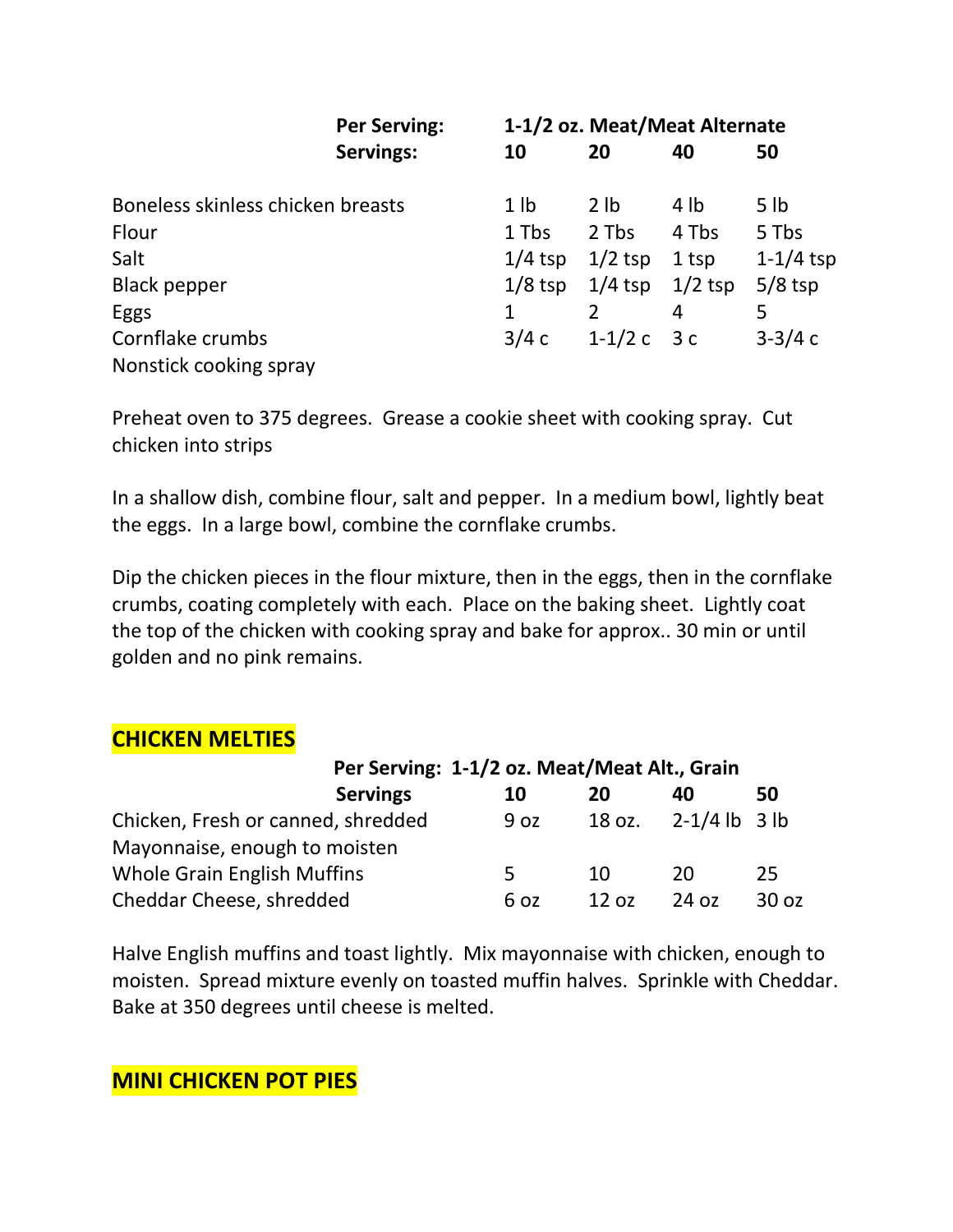|                                   | <b>Per Serving:</b> | 1-1/2 oz. Meat/Meat Alternate |                 |           |                 |  |  |
|-----------------------------------|---------------------|-------------------------------|-----------------|-----------|-----------------|--|--|
|                                   | <b>Servings:</b>    | <b>10</b>                     | 20              | 40        | 50              |  |  |
| Boneless skinless chicken breasts |                     | 1 <sub>1</sub>                | 2 <sub>1b</sub> | 4 lb      | 5 <sub>1b</sub> |  |  |
| Flour                             |                     | 1 Tbs                         | 2 Tbs           | 4 Tbs     | 5 Tbs           |  |  |
| Salt                              |                     | $1/4$ tsp                     | $1/2$ tsp       | 1 tsp     | $1 - 1/4$ tsp   |  |  |
| <b>Black pepper</b>               |                     | $1/8$ tsp                     | $1/4$ tsp       | $1/2$ tsp | $5/8$ tsp       |  |  |
| Eggs                              |                     |                               |                 | 4         | 5               |  |  |
| Cornflake crumbs                  |                     | 3/4c                          | $1-1/2c$ 3 c    |           | $3-3/4c$        |  |  |
| Nonstick cooking spray            |                     |                               |                 |           |                 |  |  |

Preheat oven to 375 degrees. Grease a cookie sheet with cooking spray. Cut chicken into strips

In a shallow dish, combine flour, salt and pepper. In a medium bowl, lightly beat the eggs. In a large bowl, combine the cornflake crumbs.

Dip the chicken pieces in the flour mixture, then in the eggs, then in the cornflake crumbs, coating completely with each. Place on the baking sheet. Lightly coat the top of the chicken with cooking spray and bake for approx.. 30 min or until golden and no pink remains.

## **CHICKEN MELTIES**

|                                    | Per Serving: 1-1/2 oz. Meat/Meat Alt., Grain |       |                      |                  |  |  |
|------------------------------------|----------------------------------------------|-------|----------------------|------------------|--|--|
| <b>Servings</b>                    | 10                                           | 20    | 40                   | 50               |  |  |
| Chicken, Fresh or canned, shredded | 9 oz                                         |       | 18 oz. 2-1/4 lb 3 lb |                  |  |  |
| Mayonnaise, enough to moisten      |                                              |       |                      |                  |  |  |
| <b>Whole Grain English Muffins</b> | 5.                                           | 10    | 20                   | 25               |  |  |
| Cheddar Cheese, shredded           | 6 oz                                         | 12 המ | 24 oz                | 30 <sub>oz</sub> |  |  |

Halve English muffins and toast lightly. Mix mayonnaise with chicken, enough to moisten. Spread mixture evenly on toasted muffin halves. Sprinkle with Cheddar. Bake at 350 degrees until cheese is melted.

## **MINI CHICKEN POT PIES**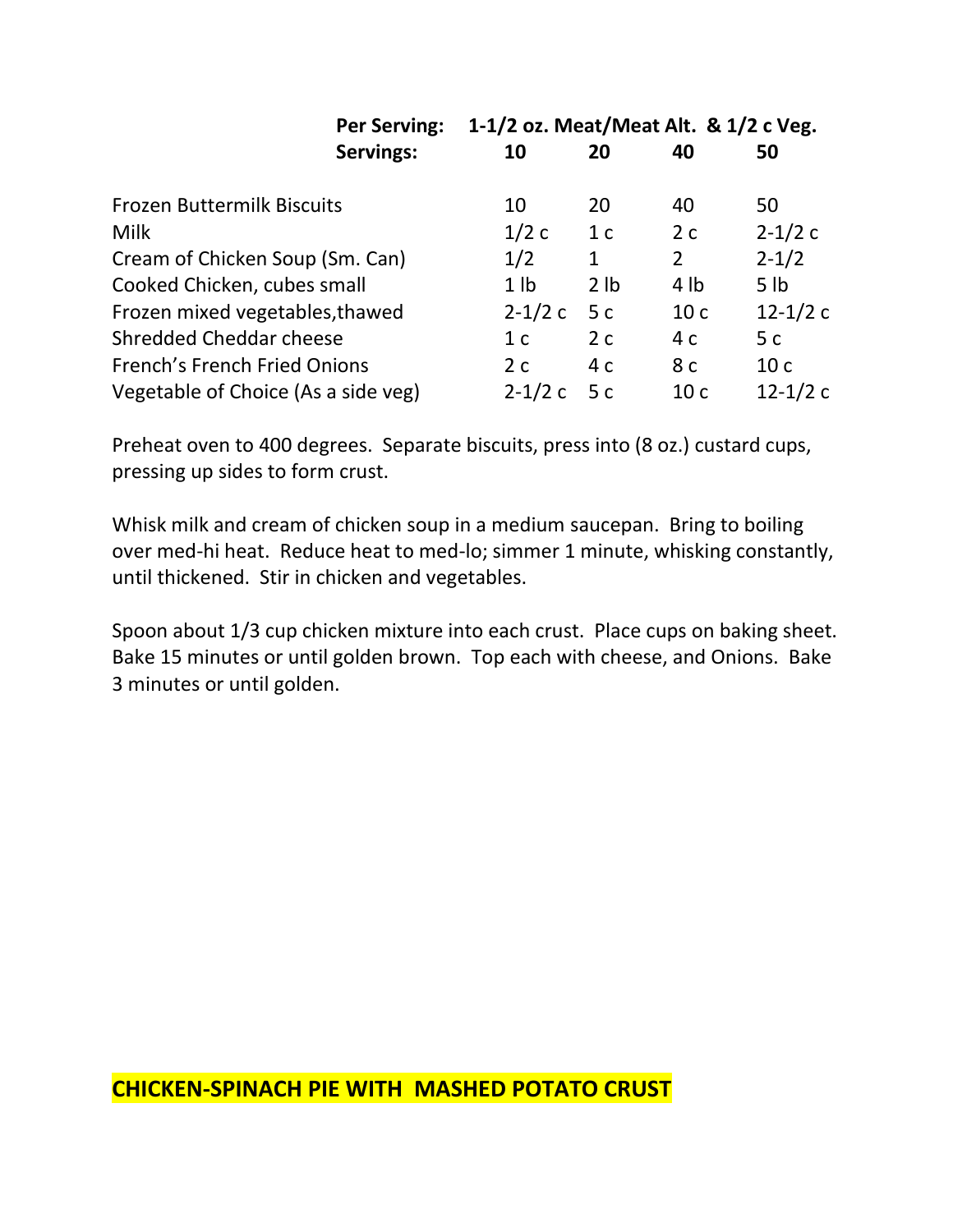| <b>Per Serving:</b>                 |                | 1-1/2 oz. Meat/Meat Alt. & 1/2 c Veg. |                 |                 |  |  |  |
|-------------------------------------|----------------|---------------------------------------|-----------------|-----------------|--|--|--|
| <b>Servings:</b>                    | 10             | 20                                    | 40              | 50              |  |  |  |
| <b>Frozen Buttermilk Biscuits</b>   | 10             | 20                                    | 40              | 50              |  |  |  |
| <b>Milk</b>                         | 1/2c           | 1 <sub>c</sub>                        | 2c              | $2-1/2c$        |  |  |  |
| Cream of Chicken Soup (Sm. Can)     | 1/2            | 1                                     | $\overline{2}$  | $2 - 1/2$       |  |  |  |
| Cooked Chicken, cubes small         | 1 <sub>1</sub> | 2 lb                                  | 4 lb            | 5 <sub>lb</sub> |  |  |  |
| Frozen mixed vegetables, thawed     | $2-1/2c$       | 5c                                    | 10 <sub>c</sub> | $12 - 1/2c$     |  |  |  |
| Shredded Cheddar cheese             | 1 <sub>c</sub> | 2c                                    | 4 c             | 5c              |  |  |  |
| <b>French's French Fried Onions</b> | 2c             | 4 c                                   | 8 c             | 10 <sub>c</sub> |  |  |  |
| Vegetable of Choice (As a side veg) | $2 - 1/2c$     | 5c                                    | 10 <sub>c</sub> | $12 - 1/2c$     |  |  |  |

Preheat oven to 400 degrees. Separate biscuits, press into (8 oz.) custard cups, pressing up sides to form crust.

Whisk milk and cream of chicken soup in a medium saucepan. Bring to boiling over med-hi heat. Reduce heat to med-lo; simmer 1 minute, whisking constantly, until thickened. Stir in chicken and vegetables.

Spoon about 1/3 cup chicken mixture into each crust. Place cups on baking sheet. Bake 15 minutes or until golden brown. Top each with cheese, and Onions. Bake 3 minutes or until golden.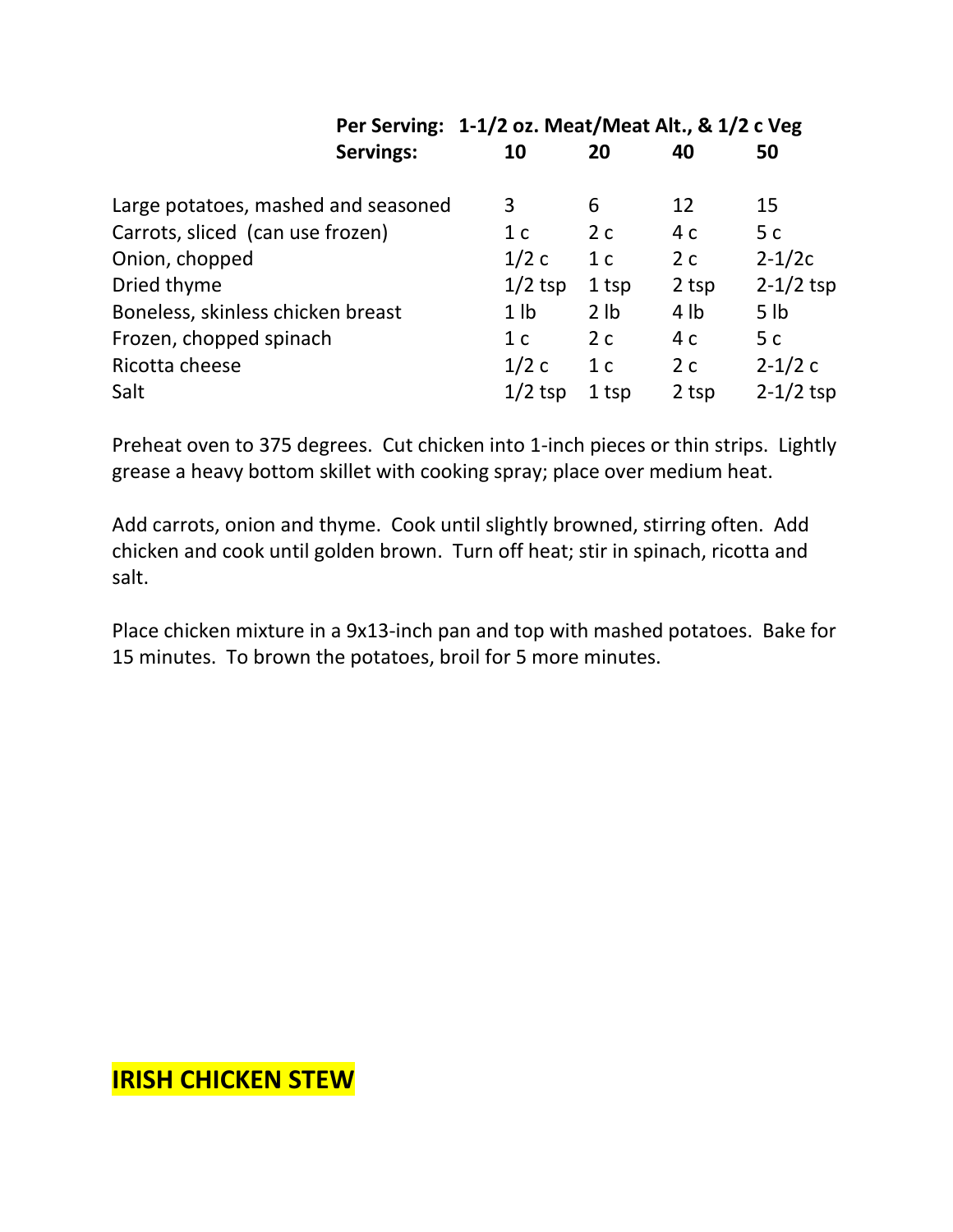|                                     |                 | Per Serving: 1-1/2 oz. Meat/Meat Alt., & 1/2 c Veg |       |                 |  |  |
|-------------------------------------|-----------------|----------------------------------------------------|-------|-----------------|--|--|
| <b>Servings:</b>                    | <b>10</b>       | 20                                                 | 40    | 50              |  |  |
| Large potatoes, mashed and seasoned | 3               | 6                                                  | 12    | 15              |  |  |
| Carrots, sliced (can use frozen)    | 1 <sub>c</sub>  | 2c                                                 | 4 c   | 5c              |  |  |
| Onion, chopped                      | 1/2c            | 1 <sub>c</sub>                                     | 2c    | $2 - 1/2c$      |  |  |
| Dried thyme                         | $1/2$ tsp       | 1 tsp                                              | 2 tsp | $2 - 1/2$ tsp   |  |  |
| Boneless, skinless chicken breast   | 1 <sub>lb</sub> | 2 <sub>1b</sub>                                    | 4 lb  | 5 <sub>1b</sub> |  |  |
| Frozen, chopped spinach             | 1 <sub>c</sub>  | 2c                                                 | 4 c   | 5c              |  |  |
| Ricotta cheese                      | 1/2c            | 1 <sub>c</sub>                                     | 2c    | $2-1/2c$        |  |  |
| Salt                                | $1/2$ tsp       | 1 tsp                                              | 2 tsp | $2 - 1/2$ tsp   |  |  |

Preheat oven to 375 degrees. Cut chicken into 1-inch pieces or thin strips. Lightly grease a heavy bottom skillet with cooking spray; place over medium heat.

Add carrots, onion and thyme. Cook until slightly browned, stirring often. Add chicken and cook until golden brown. Turn off heat; stir in spinach, ricotta and salt.

Place chicken mixture in a 9x13-inch pan and top with mashed potatoes. Bake for 15 minutes. To brown the potatoes, broil for 5 more minutes.

# **IRISH CHICKEN STEW**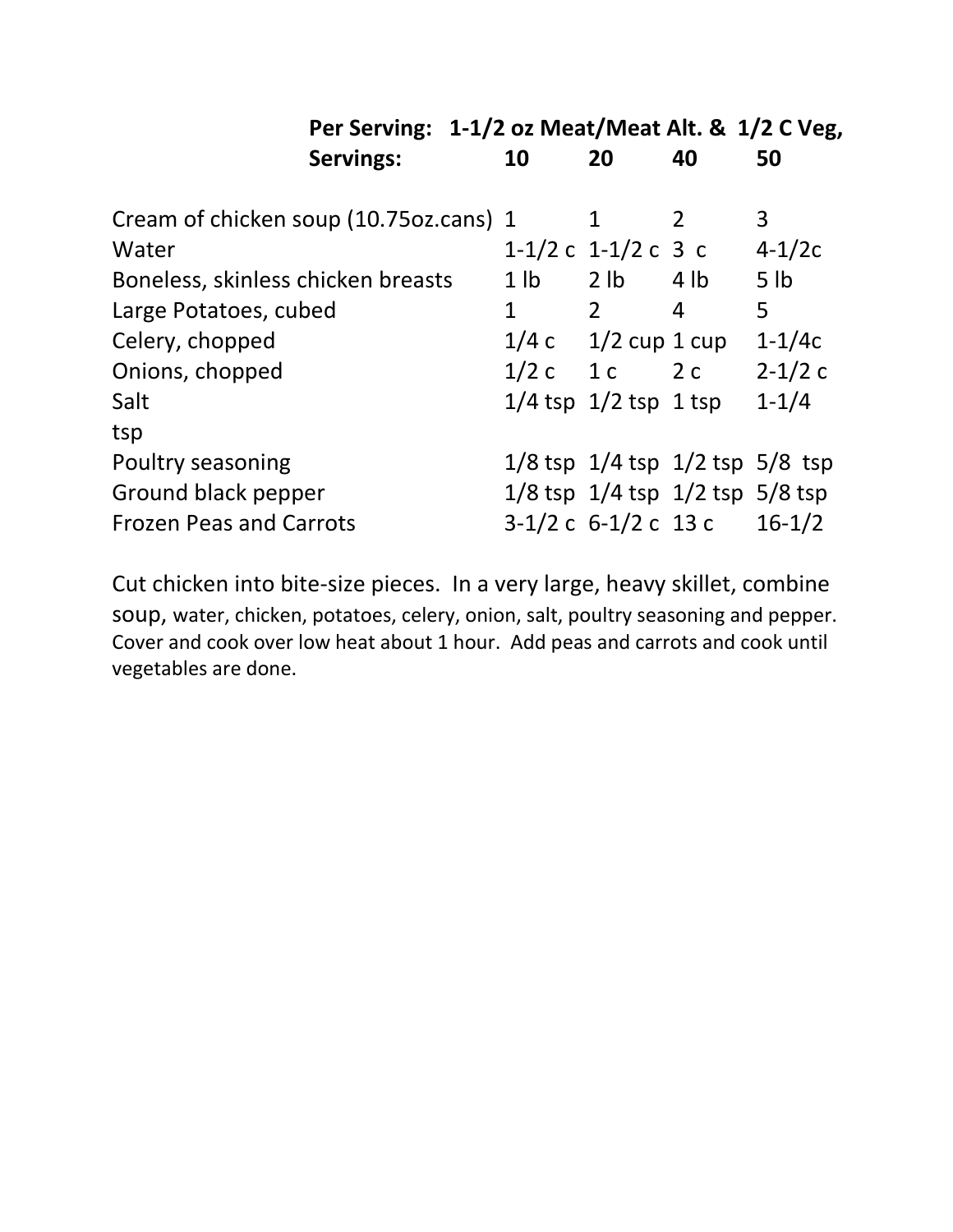|                                        | Per Serving: 1-1/2 oz Meat/Meat Alt. & 1/2 C Veg, |                 |                                         |                |                                         |
|----------------------------------------|---------------------------------------------------|-----------------|-----------------------------------------|----------------|-----------------------------------------|
| <b>Servings:</b>                       |                                                   | 10              | <b>20</b>                               | 40             | 50                                      |
| Cream of chicken soup (10.75oz.cans) 1 |                                                   |                 | $\mathbf 1$                             | $\overline{2}$ | 3                                       |
| Water                                  |                                                   |                 | $1-1/2$ c $1-1/2$ c 3 c                 |                | $4 - 1/2c$                              |
| Boneless, skinless chicken breasts     |                                                   | 1 <sub>lb</sub> | 2 lb                                    | 4 lb           | 5 <sub>1b</sub>                         |
| Large Potatoes, cubed                  |                                                   | $\mathbf{1}$    | $\overline{2}$                          | 4              | 5                                       |
| Celery, chopped                        |                                                   |                 | $1/4 c$ $1/2 cup$ 1 $cup$               |                | $1 - 1/4c$                              |
| Onions, chopped                        |                                                   | 1/2 c 1 c       |                                         | 2c             | $2 - 1/2c$                              |
| Salt                                   |                                                   |                 | $1/4$ tsp $1/2$ tsp 1 tsp               |                | $1 - 1/4$                               |
| tsp                                    |                                                   |                 |                                         |                |                                         |
| Poultry seasoning                      |                                                   |                 |                                         |                | $1/8$ tsp $1/4$ tsp $1/2$ tsp $5/8$ tsp |
| Ground black pepper                    |                                                   |                 | $1/8$ tsp $1/4$ tsp $1/2$ tsp $5/8$ tsp |                |                                         |
| <b>Frozen Peas and Carrots</b>         |                                                   |                 | $3-1/2$ c $6-1/2$ c $13$ c              |                | $16 - 1/2$                              |

Cut chicken into bite-size pieces. In a very large, heavy skillet, combine soup, water, chicken, potatoes, celery, onion, salt, poultry seasoning and pepper. Cover and cook over low heat about 1 hour. Add peas and carrots and cook until vegetables are done.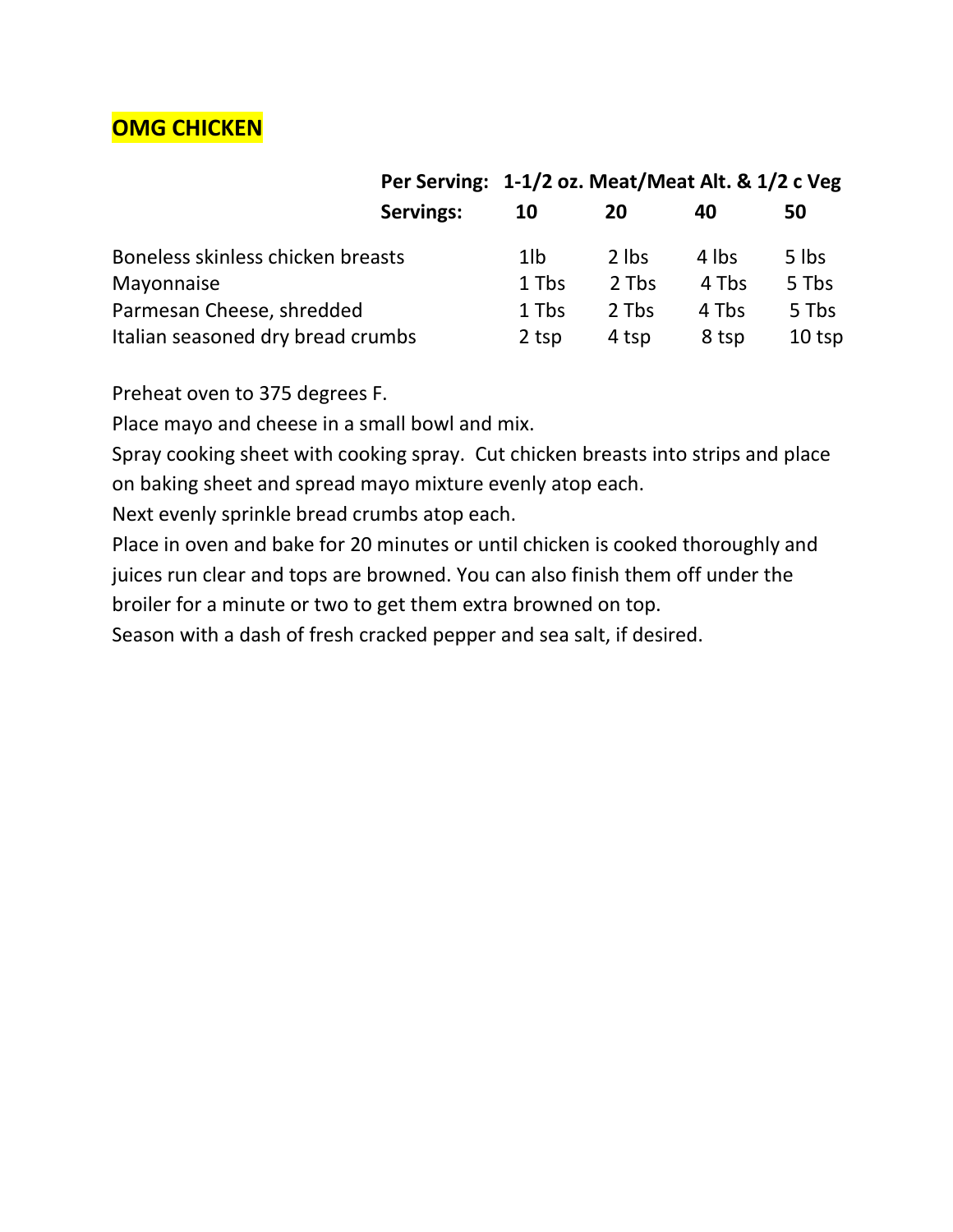# **OMG CHICKEN**

|                                   |                  | Per Serving: 1-1/2 oz. Meat/Meat Alt. & 1/2 c Veg |       |       |          |  |  |
|-----------------------------------|------------------|---------------------------------------------------|-------|-------|----------|--|--|
|                                   | <b>Servings:</b> | 10                                                | 20    | 40    | 50       |  |  |
| Boneless skinless chicken breasts |                  | 1 <sub>lb</sub>                                   | 2 lbs | 4 lbs | 5 lbs    |  |  |
| Mayonnaise                        |                  | 1 Tbs                                             | 2 Ths | 4 Tbs | 5 Tbs    |  |  |
| Parmesan Cheese, shredded         |                  | 1 Tbs                                             | 2 Tbs | 4 Tbs | 5 Tbs    |  |  |
| Italian seasoned dry bread crumbs |                  | 2 tsp                                             | 4 tsp | 8 tsp | $10$ tsp |  |  |

Preheat oven to 375 degrees F.

Place mayo and cheese in a small bowl and mix.

Spray cooking sheet with cooking spray. Cut chicken breasts into strips and place on baking sheet and spread mayo mixture evenly atop each.

Next evenly sprinkle bread crumbs atop each.

Place in oven and bake for 20 minutes or until chicken is cooked thoroughly and juices run clear and tops are browned. You can also finish them off under the broiler for a minute or two to get them extra browned on top.

Season with a dash of fresh cracked pepper and sea salt, if desired.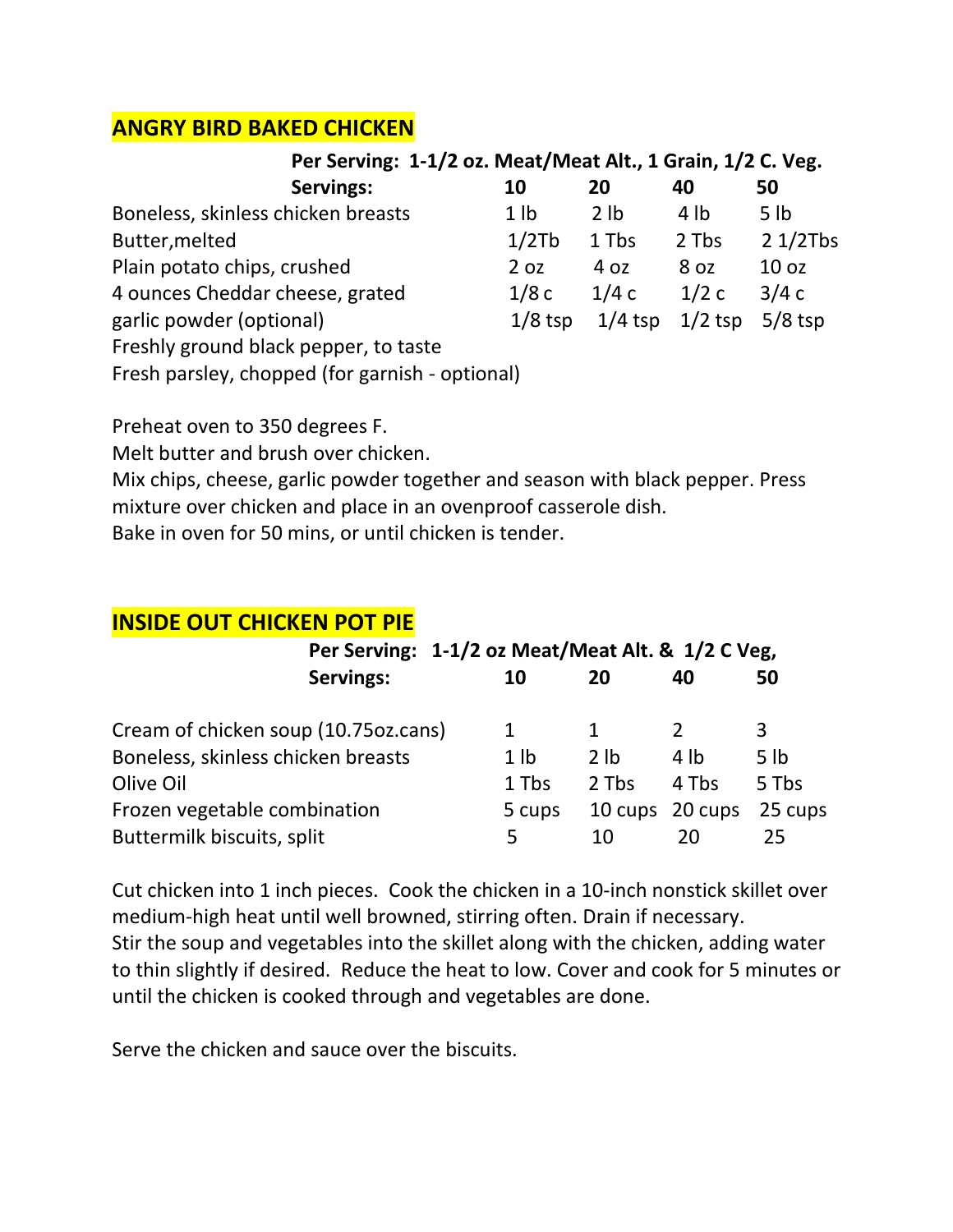## **ANGRY BIRD BAKED CHICKEN**

| Per Serving: 1-1/2 oz. Meat/Meat Alt., 1 Grain, 1/2 C. Veg. |                |           |           |                  |  |  |  |
|-------------------------------------------------------------|----------------|-----------|-----------|------------------|--|--|--|
| <b>Servings:</b>                                            | 10             | 20        | 40        | 50               |  |  |  |
| Boneless, skinless chicken breasts                          | 1 <sub>1</sub> | 2 lb      | 4 lb      | 5 <sub>lb</sub>  |  |  |  |
| Butter, melted                                              | 1/2Tb          | 1 Tbs     | 2 Tbs     | $21/2T$ bs       |  |  |  |
| Plain potato chips, crushed                                 | 2 oz           | 4 oz      | 8 oz      | 10 <sub>oz</sub> |  |  |  |
| 4 ounces Cheddar cheese, grated                             | 1/8c           | 1/4c      | 1/2c      | 3/4c             |  |  |  |
| garlic powder (optional)                                    | $1/8$ tsp      | $1/4$ tsp | $1/2$ tsp | $5/8$ tsp        |  |  |  |
| Freshly ground black pepper, to taste                       |                |           |           |                  |  |  |  |
| Fresh parsley, chopped (for garnish - optional)             |                |           |           |                  |  |  |  |

Preheat oven to 350 degrees F.

Melt butter and brush over chicken.

Mix chips, cheese, garlic powder together and season with black pepper. Press mixture over chicken and place in an ovenproof casserole dish. Bake in oven for 50 mins, or until chicken is tender.

# **INSIDE OUT CHICKEN POT PIE**

| Per Serving: 1-1/2 oz Meat/Meat Alt. & 1/2 C Veg, |  |                |                  |                 |                 |  |
|---------------------------------------------------|--|----------------|------------------|-----------------|-----------------|--|
| <b>Servings:</b>                                  |  | 10             | 20               | 40              | 50              |  |
| Cream of chicken soup (10.75oz.cans)              |  | 1              |                  |                 | 3               |  |
| Boneless, skinless chicken breasts                |  | 1 <sub>1</sub> | 2 <sub>1b</sub>  | 4 <sub>lb</sub> | 5 <sub>1b</sub> |  |
| Olive Oil                                         |  | 1 Tbs          | 2 Tbs            | 4 Tbs           | 5 Tbs           |  |
| Frozen vegetable combination                      |  | 5 cups         |                  | 10 cups 20 cups | 25 cups         |  |
| Buttermilk biscuits, split                        |  | 5              | 1 <sub>(1)</sub> | 20              | 25              |  |

Cut chicken into 1 inch pieces. Cook the chicken in a 10-inch nonstick skillet over medium-high heat until well browned, stirring often. Drain if necessary. Stir the soup and vegetables into the skillet along with the chicken, adding water to thin slightly if desired. Reduce the heat to low. Cover and cook for 5 minutes or until the chicken is cooked through and vegetables are done.

Serve the chicken and sauce over the biscuits.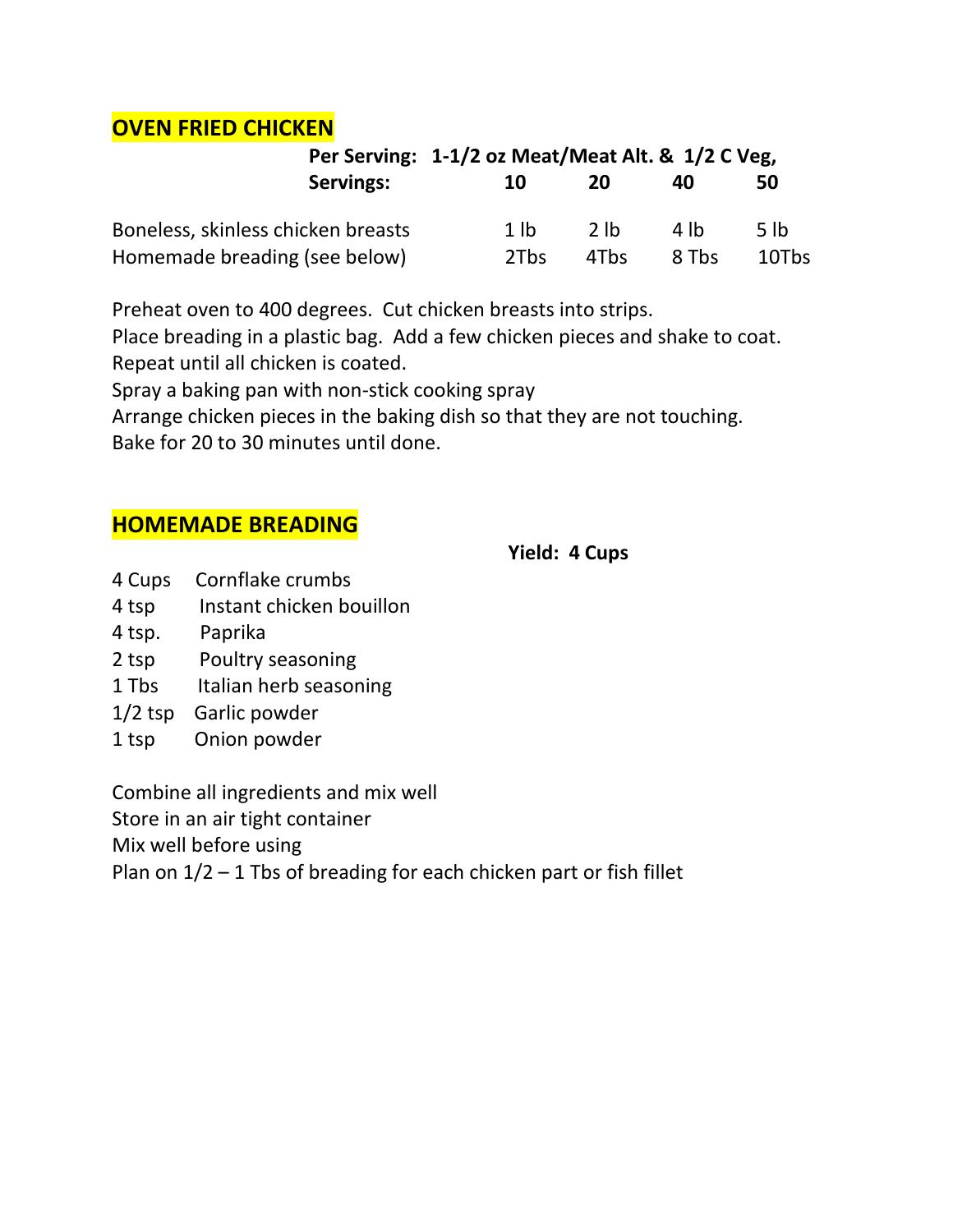### **OVEN FRIED CHICKEN**

|                                    |                  | Per Serving: 1-1/2 oz Meat/Meat Alt. & 1/2 C Veg, |      |      |       |       |
|------------------------------------|------------------|---------------------------------------------------|------|------|-------|-------|
|                                    | <b>Servings:</b> |                                                   | 10   | 20   | 40    | 50    |
| Boneless, skinless chicken breasts |                  |                                                   | 1 lb | 2 lb | 4 lb  | 5 lb  |
| Homemade breading (see below)      |                  |                                                   | 2Ths | 4Tbs | 8 Tbs | 10Tbs |

Preheat oven to 400 degrees. Cut chicken breasts into strips.

Place breading in a plastic bag. Add a few chicken pieces and shake to coat. Repeat until all chicken is coated.

Spray a baking pan with non-stick cooking spray

Arrange chicken pieces in the baking dish so that they are not touching.

Bake for 20 to 30 minutes until done.

## **HOMEMADE BREADING**

 **Yield: 4 Cups**

- 4 Cups Cornflake crumbs
- 4 tsp Instant chicken bouillon
- 4 tsp. Paprika
- 2 tsp Poultry seasoning
- 1 Tbs Italian herb seasoning
- 1/2 tsp Garlic powder
- 1 tsp Onion powder

Combine all ingredients and mix well

Store in an air tight container

Mix well before using

Plan on  $1/2 - 1$  Tbs of breading for each chicken part or fish fillet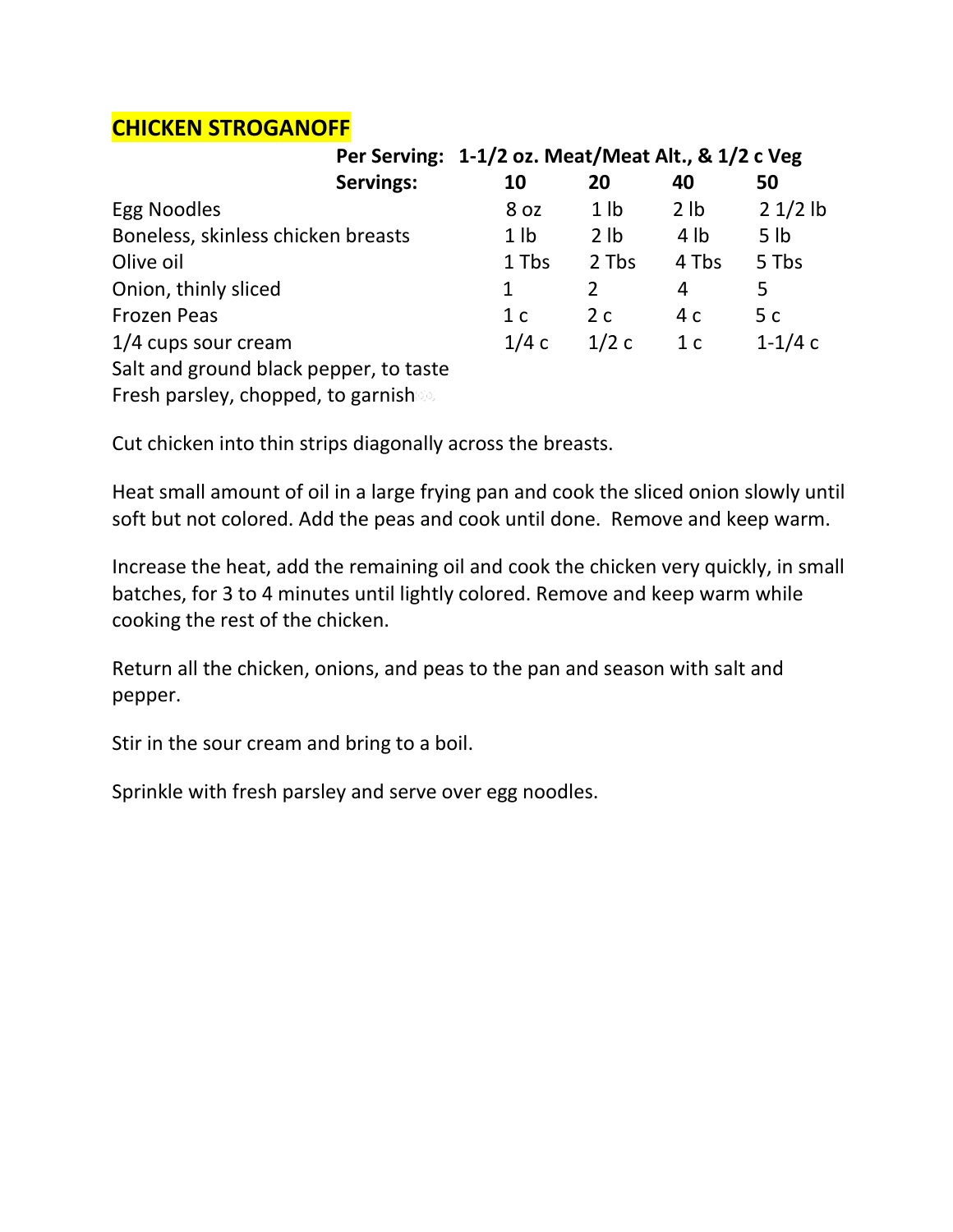### **CHICKEN STROGANOFF**

|                                        | Per Serving: 1-1/2 oz. Meat/Meat Alt., & 1/2 c Veg |                |                |                 |  |  |
|----------------------------------------|----------------------------------------------------|----------------|----------------|-----------------|--|--|
| <b>Servings:</b>                       | 10                                                 | 20             | 40             | 50              |  |  |
| Egg Noodles                            | 8 oz                                               | 1 <sub>1</sub> | 2 lb           | $21/2$ lb       |  |  |
| Boneless, skinless chicken breasts     | 1 <sub>lb</sub>                                    | 2 lb           | 4 lb           | 5 <sub>1b</sub> |  |  |
| Olive oil                              | 1 Tbs                                              | 2 Tbs          | 4 Tbs          | 5 Tbs           |  |  |
| Onion, thinly sliced                   | 1                                                  | 2              | 4              | 5               |  |  |
| <b>Frozen Peas</b>                     | 1 <sup>c</sup>                                     | 2c             | 4c             | 5c              |  |  |
| 1/4 cups sour cream                    | 1/4c                                               | 1/2c           | 1 <sub>c</sub> | $1 - 1/4c$      |  |  |
| Salt and ground black pepper, to taste |                                                    |                |                |                 |  |  |
| Fresh parsley, chopped, to garnish     |                                                    |                |                |                 |  |  |

Cut chicken into thin strips diagonally across the breasts.

Heat small amount of oil in a large frying pan and cook the sliced onion slowly until soft but not colored. Add the peas and cook until done. Remove and keep warm.

Increase the heat, add the remaining oil and cook the chicken very quickly, in small batches, for 3 to 4 minutes until lightly colored. Remove and keep warm while cooking the rest of the chicken.

Return all the chicken, onions, and peas to the pan and season with [salt](http://www.recipelion.com/Chicken-Recipes/Sunday-Best-Chicken-Stroganoff/ml/1) and [pepper.](http://www.recipelion.com/Chicken-Recipes/Sunday-Best-Chicken-Stroganoff/ml/1)

Stir in the sour cream and bring to a boil.

Sprinkle with fresh parsley and serve over egg noodles.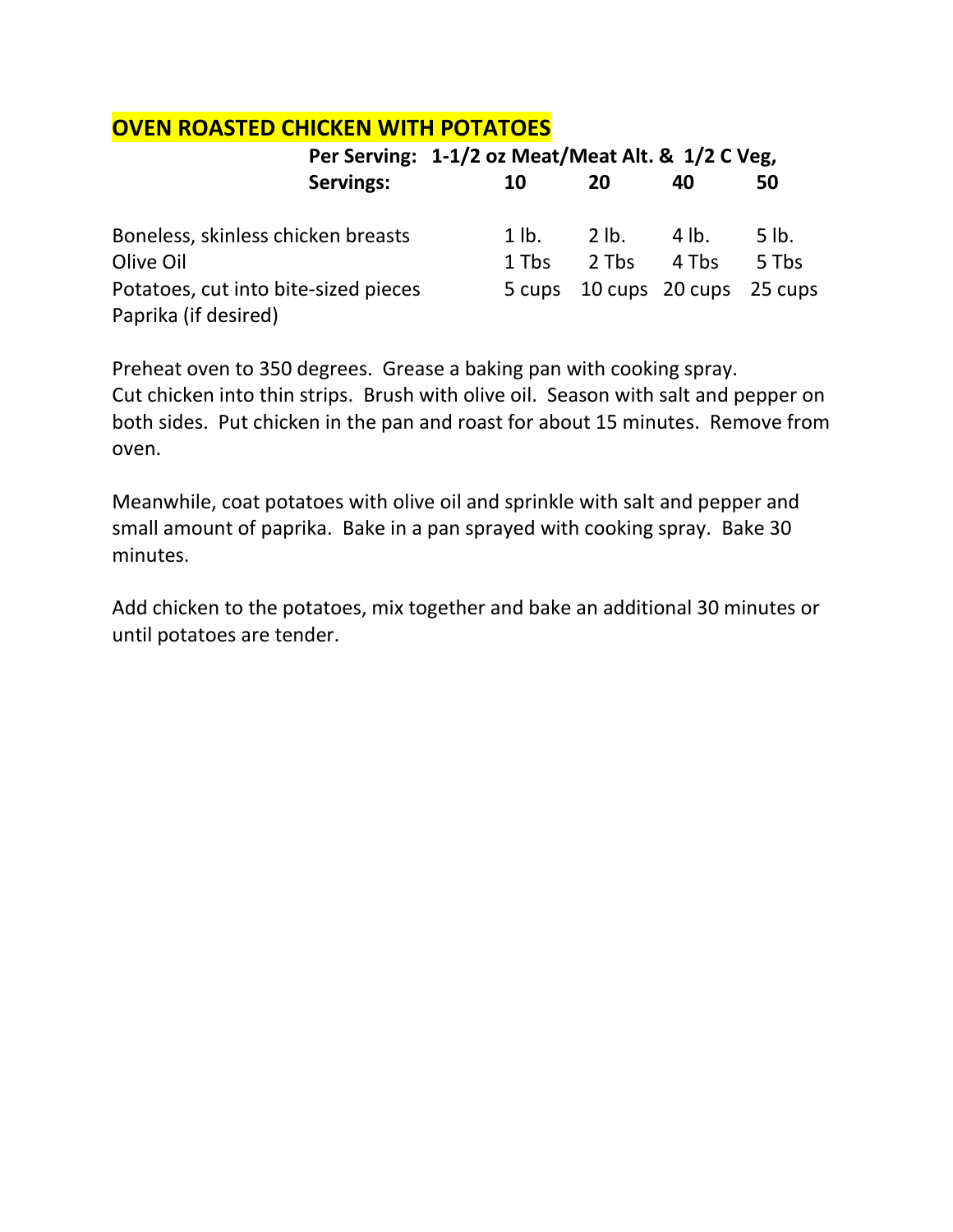## **OVEN ROASTED CHICKEN WITH POTATOES**

|                                                              | Per Serving: 1-1/2 oz Meat/Meat Alt. & 1/2 C Veg, |       |                                |         |  |  |
|--------------------------------------------------------------|---------------------------------------------------|-------|--------------------------------|---------|--|--|
| <b>Servings:</b>                                             | 10                                                | 20    | 40                             | 50      |  |  |
| Boneless, skinless chicken breasts                           | $1$ lb.                                           | 2 lb. | 4 lb.                          | $5$ lb. |  |  |
| Olive Oil                                                    | 1 Ths                                             | 2 Ths | 4 Ths                          | 5 Tbs   |  |  |
| Potatoes, cut into bite-sized pieces<br>Paprika (if desired) |                                                   |       | 5 cups 10 cups 20 cups 25 cups |         |  |  |

Preheat oven to 350 degrees. Grease a baking pan with cooking spray. Cut chicken into thin strips. Brush with olive oil. Season with salt and pepper on both sides. Put chicken in the pan and roast for about 15 minutes. Remove from oven.

Meanwhile, coat potatoes with olive oil and sprinkle with salt and pepper and small amount of paprika. Bake in a pan sprayed with cooking spray. Bake 30 minutes.

Add chicken to the potatoes, mix together and bake an additional 30 minutes or until potatoes are tender.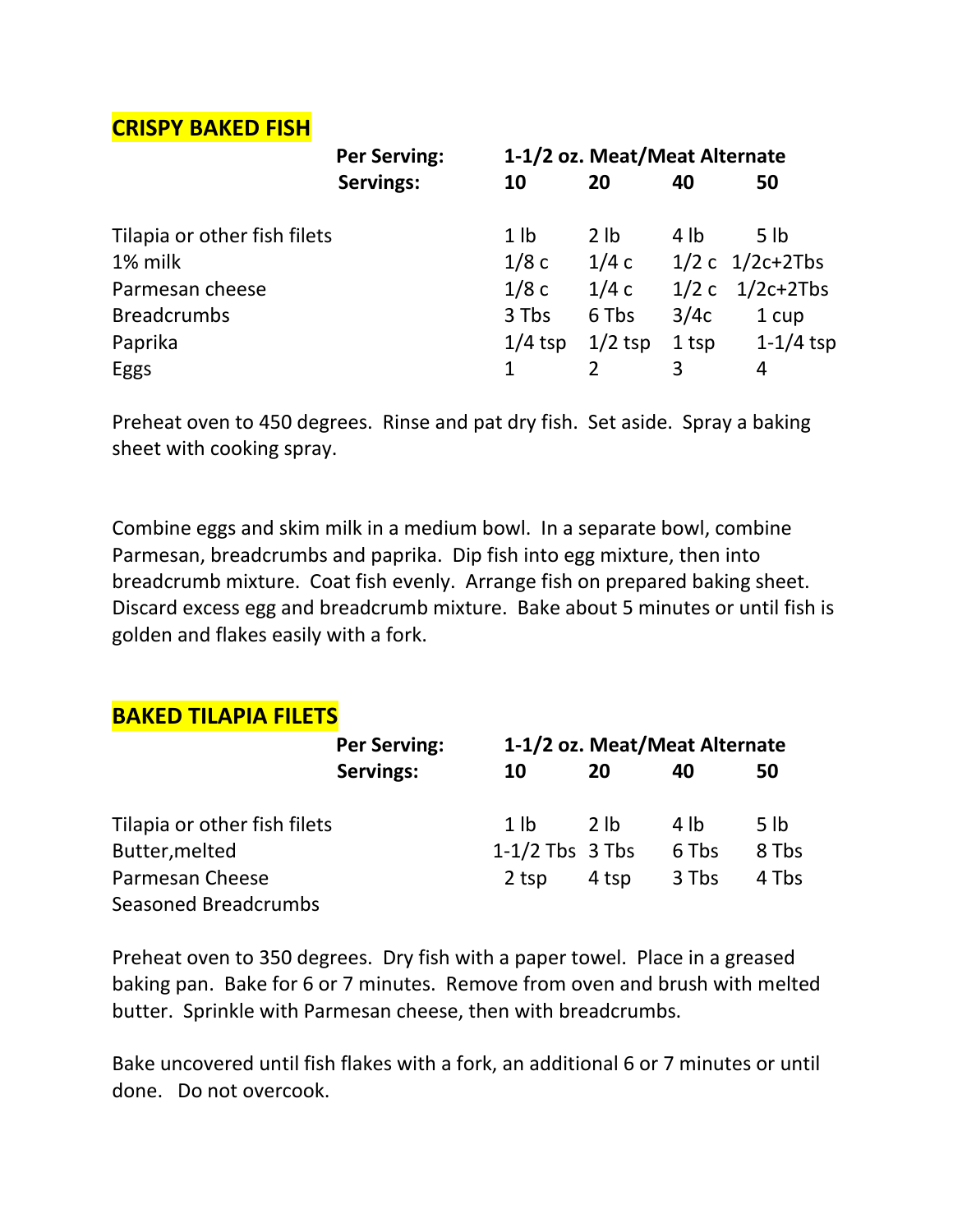#### **CRISPY BAKED FISH**

|                              | <b>Per Serving:</b> | 1-1/2 oz. Meat/Meat Alternate |                 |       |                    |  |
|------------------------------|---------------------|-------------------------------|-----------------|-------|--------------------|--|
|                              | <b>Servings:</b>    | <b>10</b>                     | 20              | 40    | 50                 |  |
| Tilapia or other fish filets |                     | 1 <sub>1</sub>                | 2 <sub>1b</sub> | 4 lb  | 5 <sub>1b</sub>    |  |
| 1% milk                      |                     | 1/8c                          | 1/4c            |       | $1/2c$ $1/2c+2Tbs$ |  |
| Parmesan cheese              |                     | 1/8c                          | 1/4c            |       | $1/2c$ $1/2c+2Tbs$ |  |
| <b>Breadcrumbs</b>           |                     | 3 Tbs                         | 6 Tbs           | 3/4c  | 1 cup              |  |
| Paprika                      |                     | $1/4$ tsp                     | $1/2$ tsp       | 1 tsp | $1 - 1/4$ tsp      |  |
| Eggs                         |                     |                               |                 | 3     | 4                  |  |

Preheat oven to 450 degrees. Rinse and pat dry fish. Set aside. Spray a baking sheet with cooking spray.

Combine eggs and skim milk in a medium bowl. In a separate bowl, combine Parmesan, breadcrumbs and paprika. Dip fish into egg mixture, then into breadcrumb mixture. Coat fish evenly. Arrange fish on prepared baking sheet. Discard excess egg and breadcrumb mixture. Bake about 5 minutes or until fish is golden and flakes easily with a fork.

#### **BAKED TILAPIA FILETS**

|                              | <b>Per Serving:</b><br><b>Servings:</b> | 1-1/2 oz. Meat/Meat Alternate |                 |       |                 |  |
|------------------------------|-----------------------------------------|-------------------------------|-----------------|-------|-----------------|--|
|                              |                                         | <b>10</b>                     | 20              | 40    | 50              |  |
| Tilapia or other fish filets |                                         | 1 lb                          | 2 <sub>1b</sub> | 4 lb  | 5 <sub>lb</sub> |  |
| Butter, melted               |                                         | $1-1/2$ Tbs $3$ Tbs           |                 | 6 Tbs | 8 Tbs           |  |
| Parmesan Cheese              |                                         | 2 tsp                         | 4 tsp           | 3 Tbs | 4 Tbs           |  |
| <b>Seasoned Breadcrumbs</b>  |                                         |                               |                 |       |                 |  |

Preheat oven to 350 degrees. Dry fish with a paper towel. Place in a greased baking pan. Bake for 6 or 7 minutes. Remove from oven and brush with melted butter. Sprinkle with Parmesan cheese, then with breadcrumbs.

Bake uncovered until fish flakes with a fork, an additional 6 or 7 minutes or until done. Do not overcook.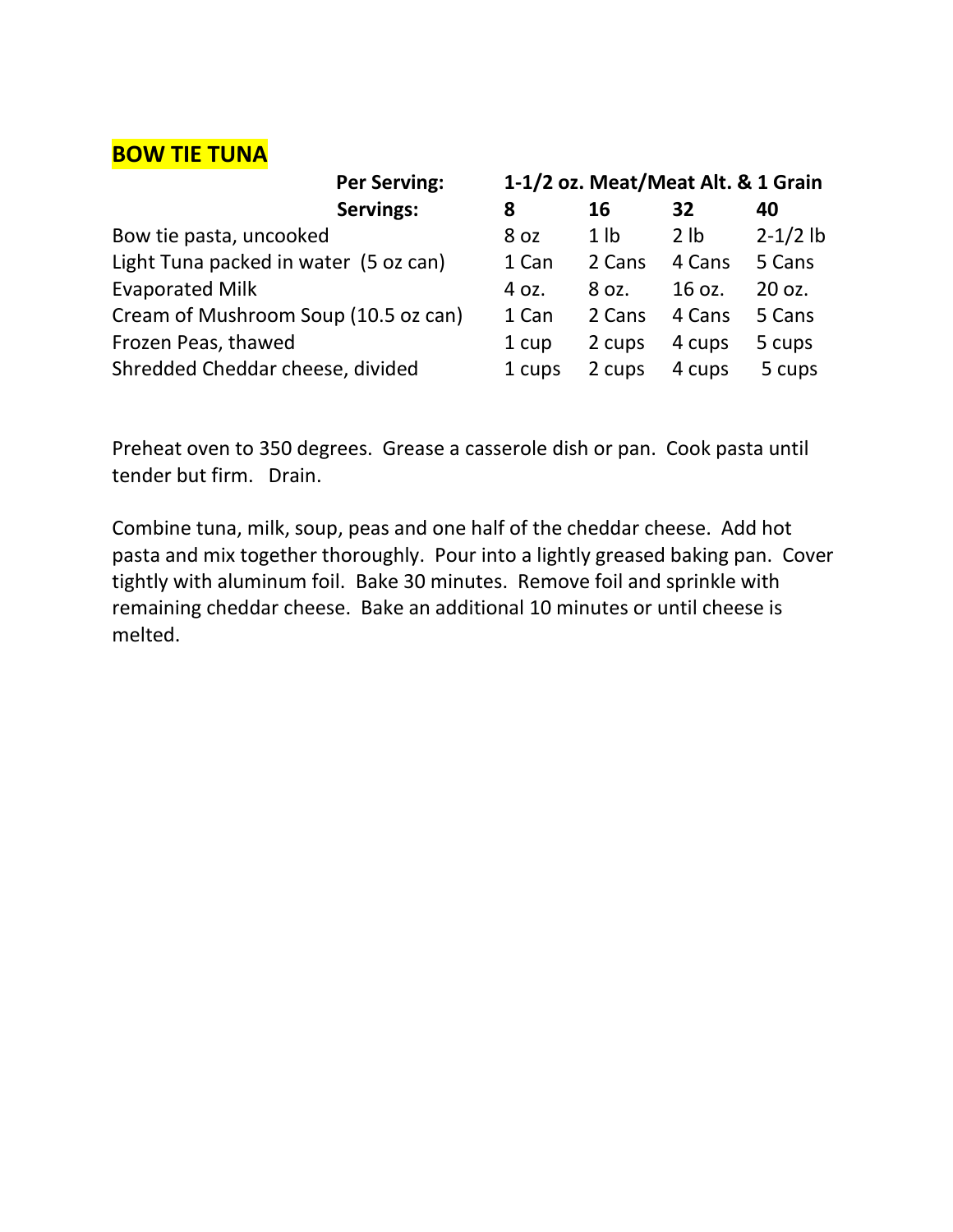#### **BOW TIE TUNA**

|                                       | <b>Per Serving:</b> | 1-1/2 oz. Meat/Meat Alt. & 1 Grain |                 |                 |              |  |
|---------------------------------------|---------------------|------------------------------------|-----------------|-----------------|--------------|--|
|                                       | <b>Servings:</b>    | 8                                  | 16              | 32              | 40           |  |
| Bow tie pasta, uncooked               |                     | 8 oz                               | 1 <sub>lb</sub> | 2 <sub>1b</sub> | $2 - 1/2$ lb |  |
| Light Tuna packed in water (5 oz can) |                     | 1 Can                              | 2 Cans          | 4 Cans          | 5 Cans       |  |
| <b>Evaporated Milk</b>                |                     | 4 oz.                              | 8 oz.           | 16 oz.          | 20 oz.       |  |
| Cream of Mushroom Soup (10.5 oz can)  |                     | 1 Can                              | 2 Cans          | 4 Cans          | 5 Cans       |  |
| Frozen Peas, thawed                   |                     | 1 cup                              | 2 cups          | 4 cups          | 5 cups       |  |
| Shredded Cheddar cheese, divided      |                     | 1 cups                             | 2 cups          | 4 cups          | 5 cups       |  |

Preheat oven to 350 degrees. Grease a casserole dish or pan. Cook pasta until tender but firm. Drain.

Combine tuna, milk, soup, peas and one half of the cheddar cheese. Add hot pasta and mix together thoroughly. Pour into a lightly greased baking pan. Cover tightly with aluminum foil. Bake 30 minutes. Remove foil and sprinkle with remaining cheddar cheese. Bake an additional 10 minutes or until cheese is melted.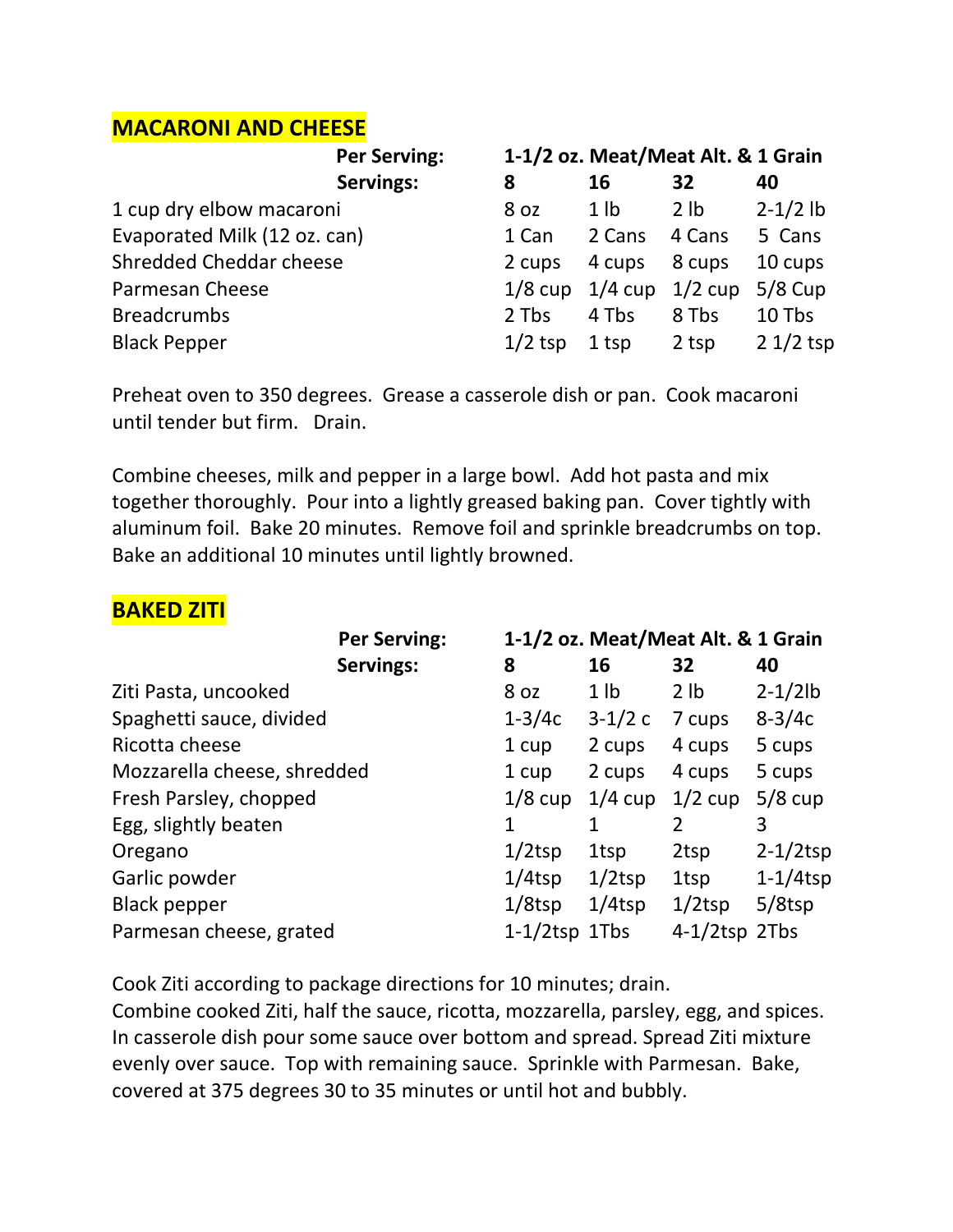#### **MACARONI AND CHEESE**

|                                | <b>Per Serving:</b> | 1-1/2 oz. Meat/Meat Alt. & 1 Grain |                               |        |              |  |
|--------------------------------|---------------------|------------------------------------|-------------------------------|--------|--------------|--|
|                                | <b>Servings:</b>    | 8                                  | 16                            | 32     | 40           |  |
| 1 cup dry elbow macaroni       |                     | 8 oz                               | 1 <sub>1</sub>                | 2 lb   | $2 - 1/2$ lb |  |
| Evaporated Milk (12 oz. can)   |                     | 1 Can                              | 2 Cans                        | 4 Cans | 5 Cans       |  |
| <b>Shredded Cheddar cheese</b> |                     | 2 cups                             | 4 cups                        | 8 cups | 10 cups      |  |
| Parmesan Cheese                |                     |                                    | $1/8$ cup $1/4$ cup $1/2$ cup |        | 5/8 Cup      |  |
| <b>Breadcrumbs</b>             |                     | 2 Tbs                              | 4 Tbs                         | 8 Tbs  | 10 Tbs       |  |
| <b>Black Pepper</b>            |                     | $1/2$ tsp                          | 1 tsp                         | 2 tsp  | $21/2$ tsp   |  |

Preheat oven to 350 degrees. Grease a casserole dish or pan. Cook macaroni until tender but firm. Drain.

Combine cheeses, milk and pepper in a large bowl. Add hot pasta and mix together thoroughly. Pour into a lightly greased baking pan. Cover tightly with aluminum foil. Bake 20 minutes. Remove foil and sprinkle breadcrumbs on top. Bake an additional 10 minutes until lightly browned.

## **BAKED ZITI**

|                             | <b>Per Serving:</b> | 1-1/2 oz. Meat/Meat Alt. & 1 Grain |                |             |              |
|-----------------------------|---------------------|------------------------------------|----------------|-------------|--------------|
|                             | <b>Servings:</b>    | 8                                  | 16             | 32          | 40           |
| Ziti Pasta, uncooked        |                     | 8 oz                               | 1 <sub>1</sub> | 2 lb        | $2 - 1/2$ lb |
| Spaghetti sauce, divided    |                     | $1 - 3/4c$                         | $3-1/2c$       | 7 cups      | $8 - 3/4c$   |
| Ricotta cheese              |                     | 1 cup                              | 2 cups         | 4 cups      | 5 cups       |
| Mozzarella cheese, shredded |                     | 1 cup                              | 2 cups         | 4 cups      | 5 cups       |
| Fresh Parsley, chopped      |                     | $1/8$ cup                          | $1/4$ cup      | $1/2$ cup   | $5/8$ cup    |
| Egg, slightly beaten        |                     |                                    |                | 2           | 3            |
| Oregano                     |                     | $1/2$ tsp                          | 1tsp           | 2tsp        | $2-1/2$ tsp  |
| Garlic powder               |                     | $1/4$ tsp                          | $1/2$ tsp      | 1tsp        | $1-1/4$ tsp  |
| <b>Black pepper</b>         |                     | $1/8$ tsp                          | $1/4$ tsp      | $1/2$ tsp   | $5/8$ tsp    |
| Parmesan cheese, grated     |                     | $1-1/2$ tsp 1Tbs                   |                | $4-1/2$ tsp | 2Tbs         |

Cook Ziti according to package directions for 10 minutes; drain.

Combine cooked Ziti, half the sauce, ricotta, mozzarella, parsley, egg, and spices. In casserole dish pour some sauce over bottom and spread. Spread Ziti mixture evenly over sauce. Top with remaining sauce. Sprinkle with Parmesan. Bake, covered at 375 degrees 30 to 35 minutes or until hot and bubbly.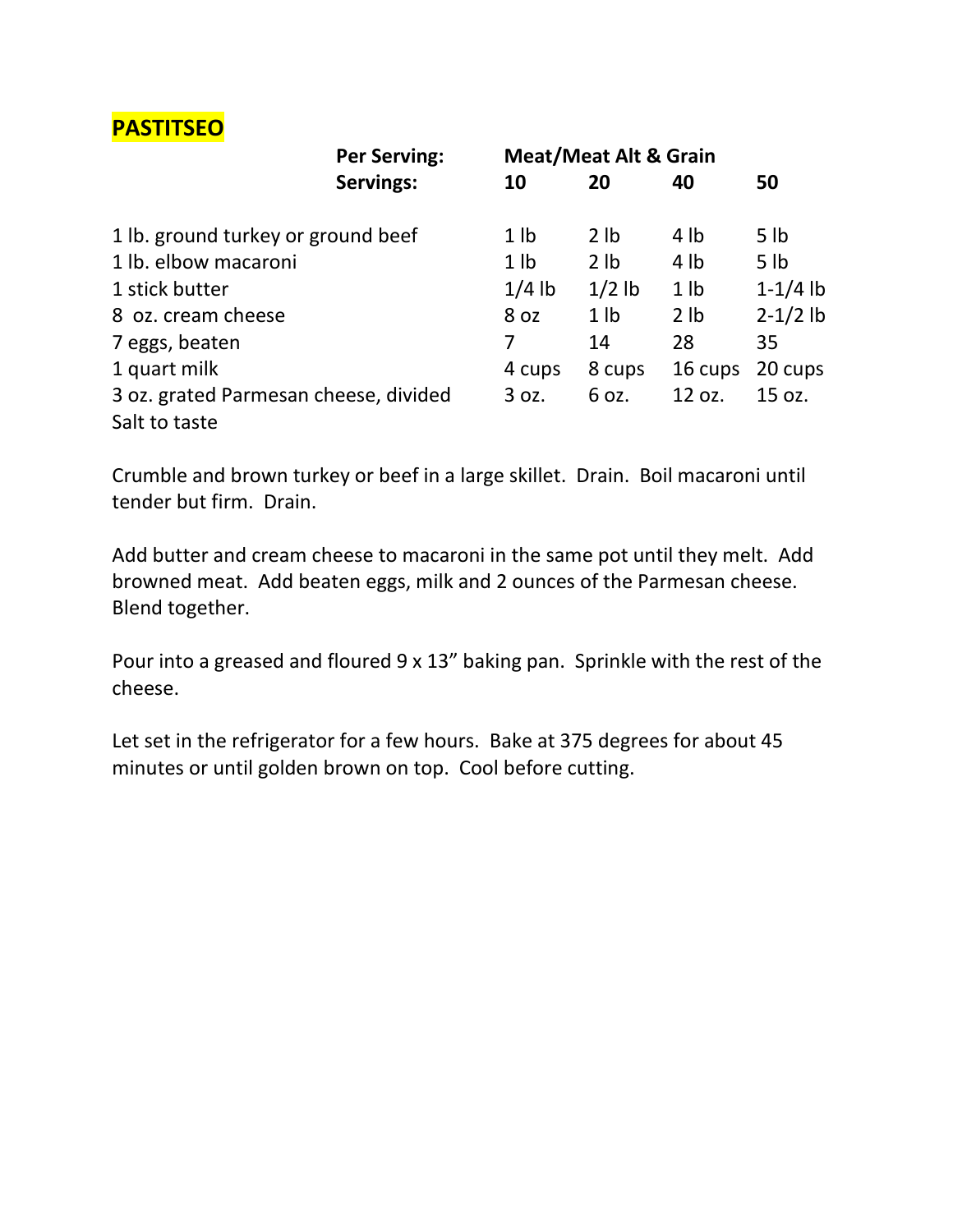## **PASTITSEO**

|                                       | <b>Per Serving:</b> | <b>Meat/Meat Alt &amp; Grain</b> |                |                |                 |  |
|---------------------------------------|---------------------|----------------------------------|----------------|----------------|-----------------|--|
|                                       | <b>Servings:</b>    | 10                               | 20             | 40             | 50              |  |
| 1 lb. ground turkey or ground beef    |                     | 1 <sub>1</sub>                   | 2 lb           | 4 lb           | 5 <sub>lb</sub> |  |
| 1 lb. elbow macaroni                  |                     | 1 <sub>1</sub>                   | 2 lb           | 4 lb           | 5 <sub>lb</sub> |  |
| 1 stick butter                        |                     | $1/4$ lb                         | $1/2$ lb       | 1 <sub>1</sub> | $1 - 1/4$ lb    |  |
| 8 oz. cream cheese                    |                     | 8 <sub>oz</sub>                  | 1 <sub>1</sub> | 2 lb           | $2 - 1/2$ lb    |  |
| 7 eggs, beaten                        |                     | 7                                | 14             | 28             | 35              |  |
| 1 quart milk                          |                     | 4 cups                           | 8 cups         | 16 cups        | 20 cups         |  |
| 3 oz. grated Parmesan cheese, divided |                     | 3 oz.                            | 6 oz.          | 12 oz.         | 15 oz.          |  |
| Salt to taste                         |                     |                                  |                |                |                 |  |

Crumble and brown turkey or beef in a large skillet. Drain. Boil macaroni until tender but firm. Drain.

Add butter and cream cheese to macaroni in the same pot until they melt. Add browned meat. Add beaten eggs, milk and 2 ounces of the Parmesan cheese. Blend together.

Pour into a greased and floured 9 x 13" baking pan. Sprinkle with the rest of the cheese.

Let set in the refrigerator for a few hours. Bake at 375 degrees for about 45 minutes or until golden brown on top. Cool before cutting.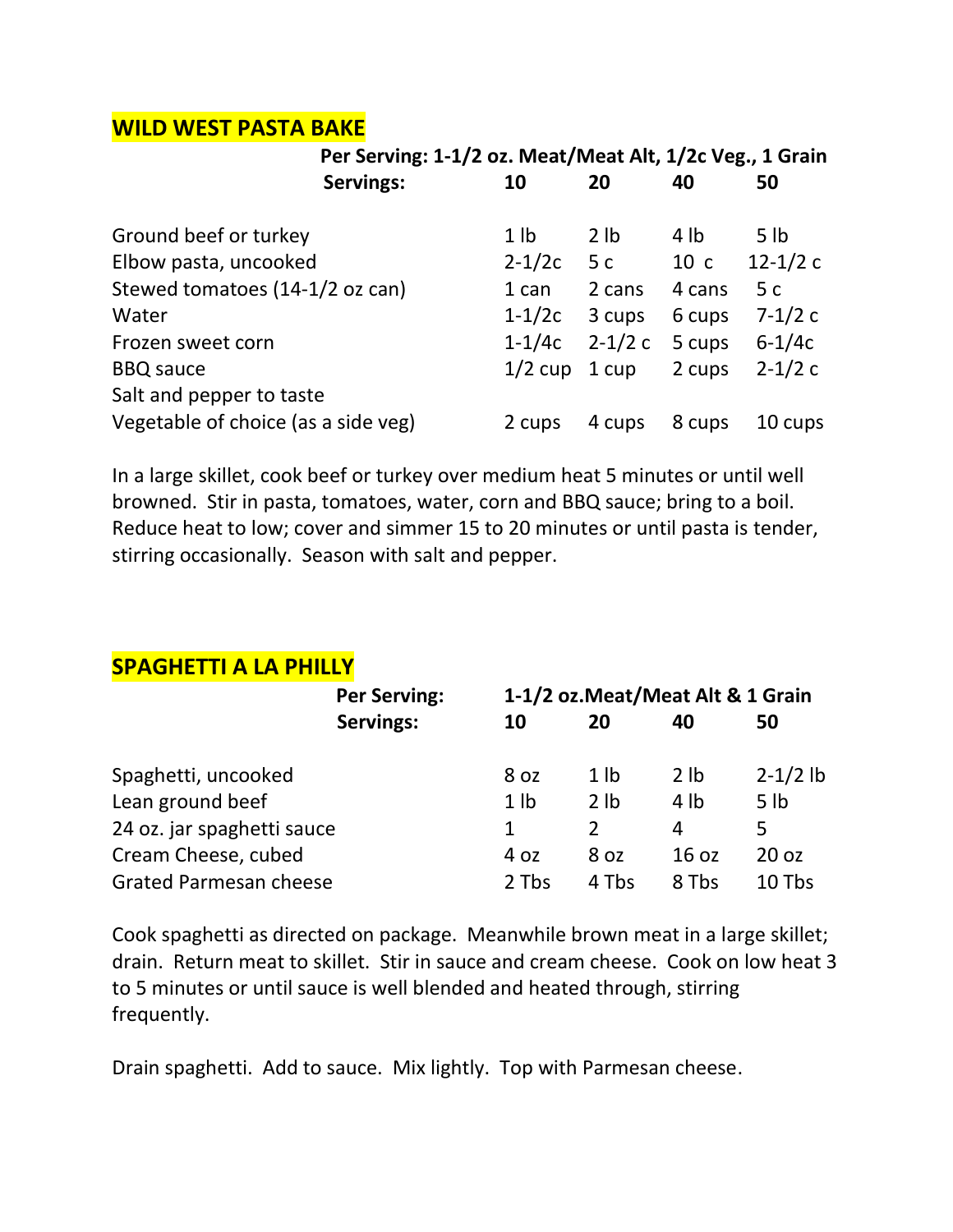#### **WILD WEST PASTA BAKE**

|                                     | Per Serving: 1-1/2 oz. Meat/Meat Alt, 1/2c Veg., 1 Grain |                |            |        |                 |  |
|-------------------------------------|----------------------------------------------------------|----------------|------------|--------|-----------------|--|
|                                     | <b>Servings:</b>                                         | 10             | 20         | 40     | 50              |  |
| Ground beef or turkey               |                                                          | 1 <sub>1</sub> | 2 lb       | 4 lb   | 5 <sub>lb</sub> |  |
| Elbow pasta, uncooked               |                                                          | $2 - 1/2c$     | 5c         | 10 с   | $12 - 1/2c$     |  |
| Stewed tomatoes (14-1/2 oz can)     |                                                          | 1 can          | 2 cans     | 4 cans | 5c              |  |
| Water                               |                                                          | $1 - 1/2c$     | 3 cups     | 6 cups | $7 - 1/2c$      |  |
| Frozen sweet corn                   |                                                          | $1 - 1/4c$     | $2 - 1/2c$ | 5 cups | $6 - 1/4c$      |  |
| <b>BBQ</b> sauce                    |                                                          | $1/2$ cup      | 1 cup      | 2 cups | $2 - 1/2c$      |  |
| Salt and pepper to taste            |                                                          |                |            |        |                 |  |
| Vegetable of choice (as a side veg) |                                                          | 2 cups         | 4 cups     | 8 cups | 10 cups         |  |

In a large skillet, cook beef or turkey over medium heat 5 minutes or until well browned. Stir in pasta, tomatoes, water, corn and BBQ sauce; bring to a boil. Reduce heat to low; cover and simmer 15 to 20 minutes or until pasta is tender, stirring occasionally. Season with salt and pepper.

#### **SPAGHETTI A LA PHILLY**

|                               | <b>Per Serving:</b><br><b>Servings:</b> | 1-1/2 oz. Meat/Meat Alt & 1 Grain |                 |       |                  |  |
|-------------------------------|-----------------------------------------|-----------------------------------|-----------------|-------|------------------|--|
|                               |                                         | 10                                | 20              | 40    | 50               |  |
| Spaghetti, uncooked           |                                         | 8 oz                              | 1 <sub>1</sub>  | 2 lb  | $2 - 1/2$ lb     |  |
| Lean ground beef              |                                         | 1 <sub>1</sub>                    | 2 <sub>1b</sub> | 4 lb  | 5 <sub>1b</sub>  |  |
| 24 oz. jar spaghetti sauce    |                                         | $\mathbf{1}$                      | $\mathcal{P}$   | 4     | 5                |  |
| Cream Cheese, cubed           |                                         | 4 oz                              | 8 <sub>oz</sub> | 16 oz | 20 <sub>oz</sub> |  |
| <b>Grated Parmesan cheese</b> |                                         | 2 Tbs                             | 4 Ths           | 8 Tbs | 10 Tbs           |  |

Cook spaghetti as directed on package. Meanwhile brown meat in a large skillet; drain. Return meat to skillet. Stir in sauce and cream cheese. Cook on low heat 3 to 5 minutes or until sauce is well blended and heated through, stirring frequently.

Drain spaghetti. Add to sauce. Mix lightly. Top with Parmesan cheese.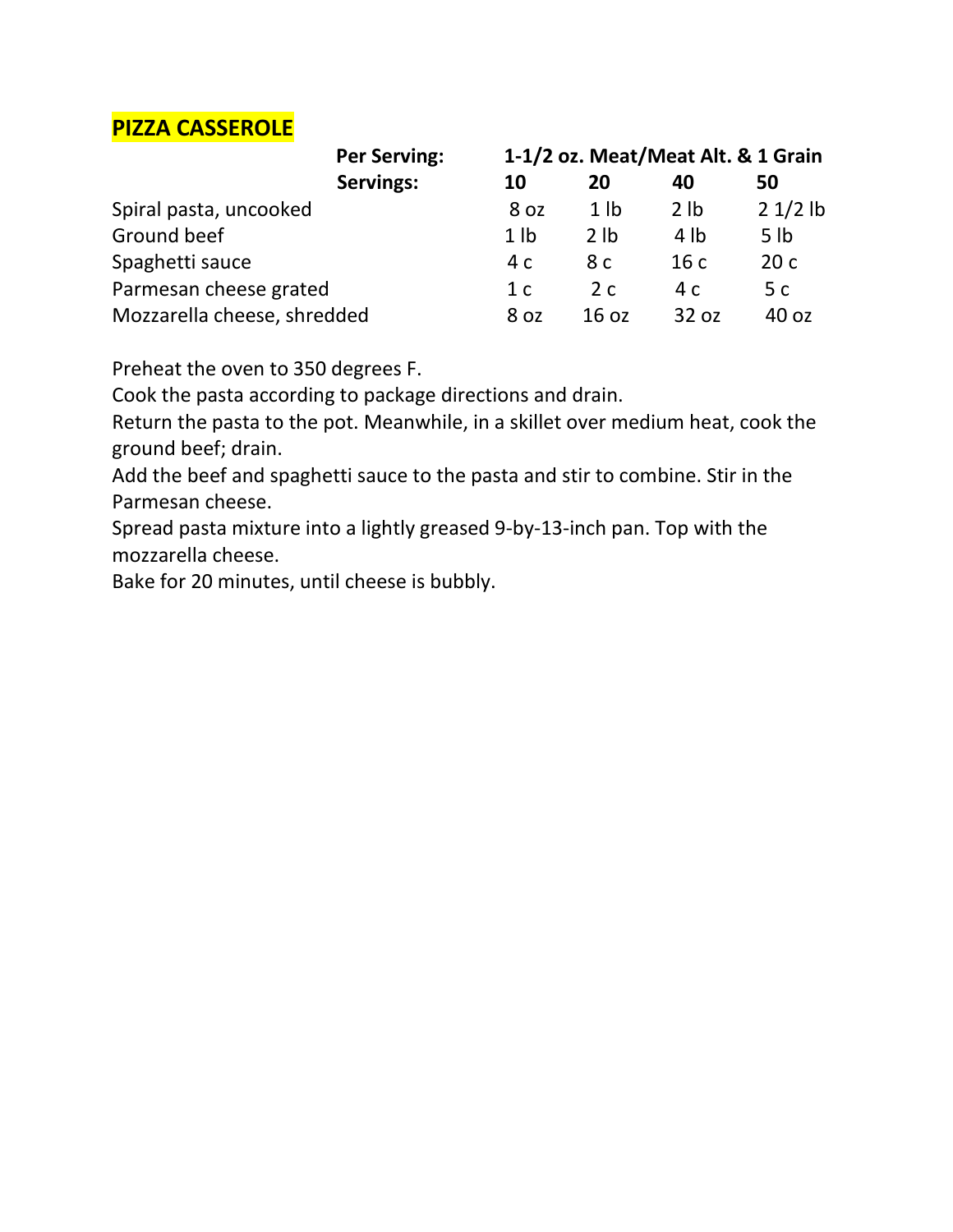## **PIZZA CASSEROLE**

|                             | <b>Per Serving:</b> | 1-1/2 oz. Meat/Meat Alt. & 1 Grain |                 |                 |                 |  |
|-----------------------------|---------------------|------------------------------------|-----------------|-----------------|-----------------|--|
|                             | <b>Servings:</b>    | 10                                 | 20              | 40              | 50              |  |
| Spiral pasta, uncooked      |                     | 8 oz                               | 1 <sub>1</sub>  | 2 <sub>1b</sub> | 21/2 lb         |  |
| Ground beef                 |                     | 1 <sub>1</sub>                     | 2 <sub>1b</sub> | 4 lb            | 5 <sub>1b</sub> |  |
| Spaghetti sauce             |                     | 4 c                                | 8 c             | 16 <sub>c</sub> | 20c             |  |
| Parmesan cheese grated      |                     | 1 <sub>c</sub>                     | 2c              | 4 c             | 5 c             |  |
| Mozzarella cheese, shredded |                     | 8 oz                               | $16 \text{ oz}$ | 32 oz           | 40 oz           |  |

Preheat the oven to 350 degrees F.

Cook the pasta according to package directions and drain.

Return the pasta to the pot. Meanwhile, in a skillet over medium heat, cook the ground beef; drain.

Add the beef and spaghetti sauce to the pasta and stir to combine. Stir in the Parmesan cheese.

Spread pasta mixture into a lightly greased 9-by-13-inch pan. Top with the mozzarella cheese.

Bake for 20 minutes, until cheese is bubbly.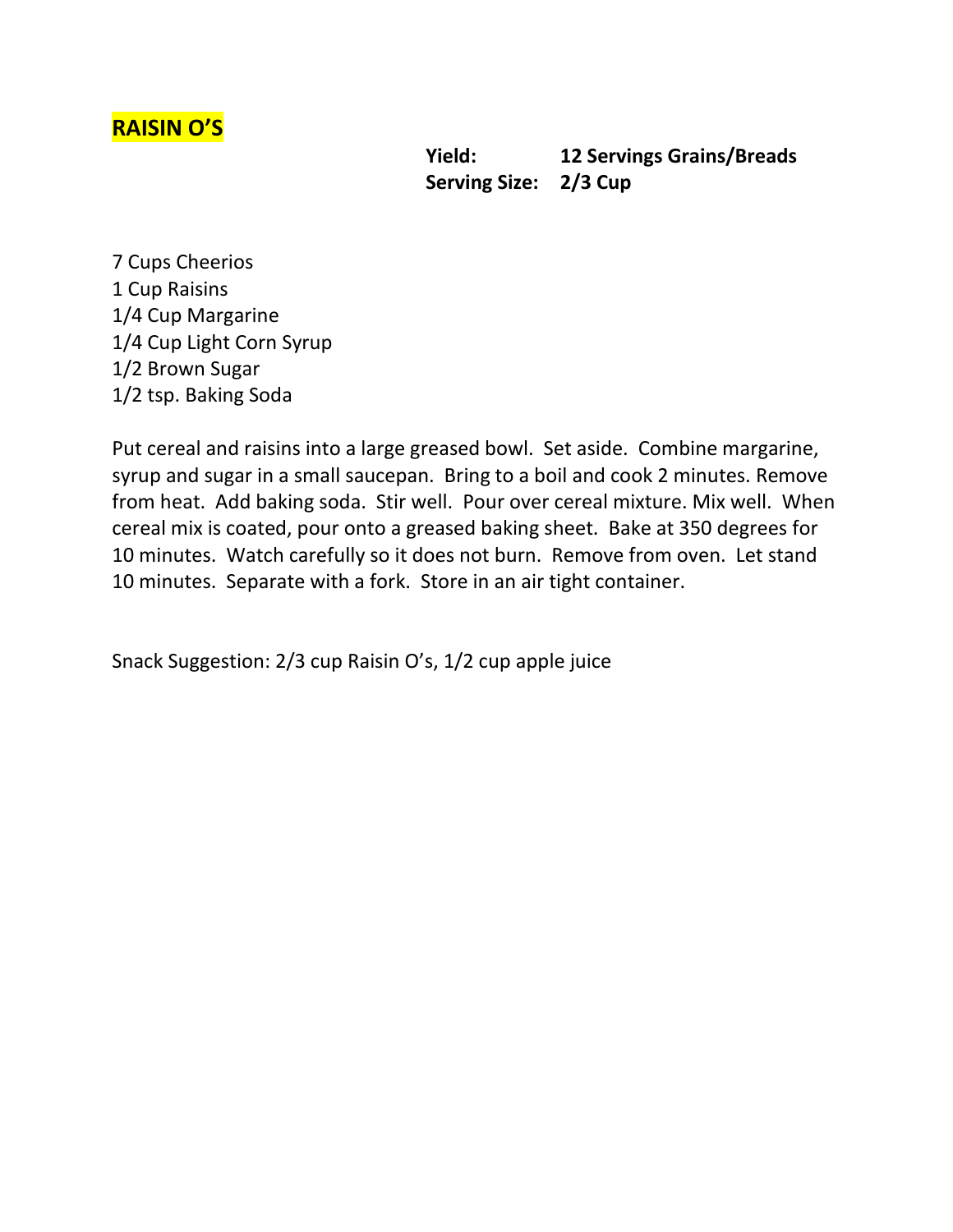# **RAISIN O'S**

**Yield: 12 Servings Grains/Breads Serving Size: 2/3 Cup**

7 Cups Cheerios 1 Cup Raisins 1/4 Cup Margarine 1/4 Cup Light Corn Syrup 1/2 Brown Sugar 1/2 tsp. Baking Soda

Put cereal and raisins into a large greased bowl. Set aside. Combine margarine, syrup and sugar in a small saucepan. Bring to a boil and cook 2 minutes. Remove from heat. Add baking soda. Stir well. Pour over cereal mixture. Mix well. When cereal mix is coated, pour onto a greased baking sheet. Bake at 350 degrees for 10 minutes. Watch carefully so it does not burn. Remove from oven. Let stand 10 minutes. Separate with a fork. Store in an air tight container.

Snack Suggestion: 2/3 cup Raisin O's, 1/2 cup apple juice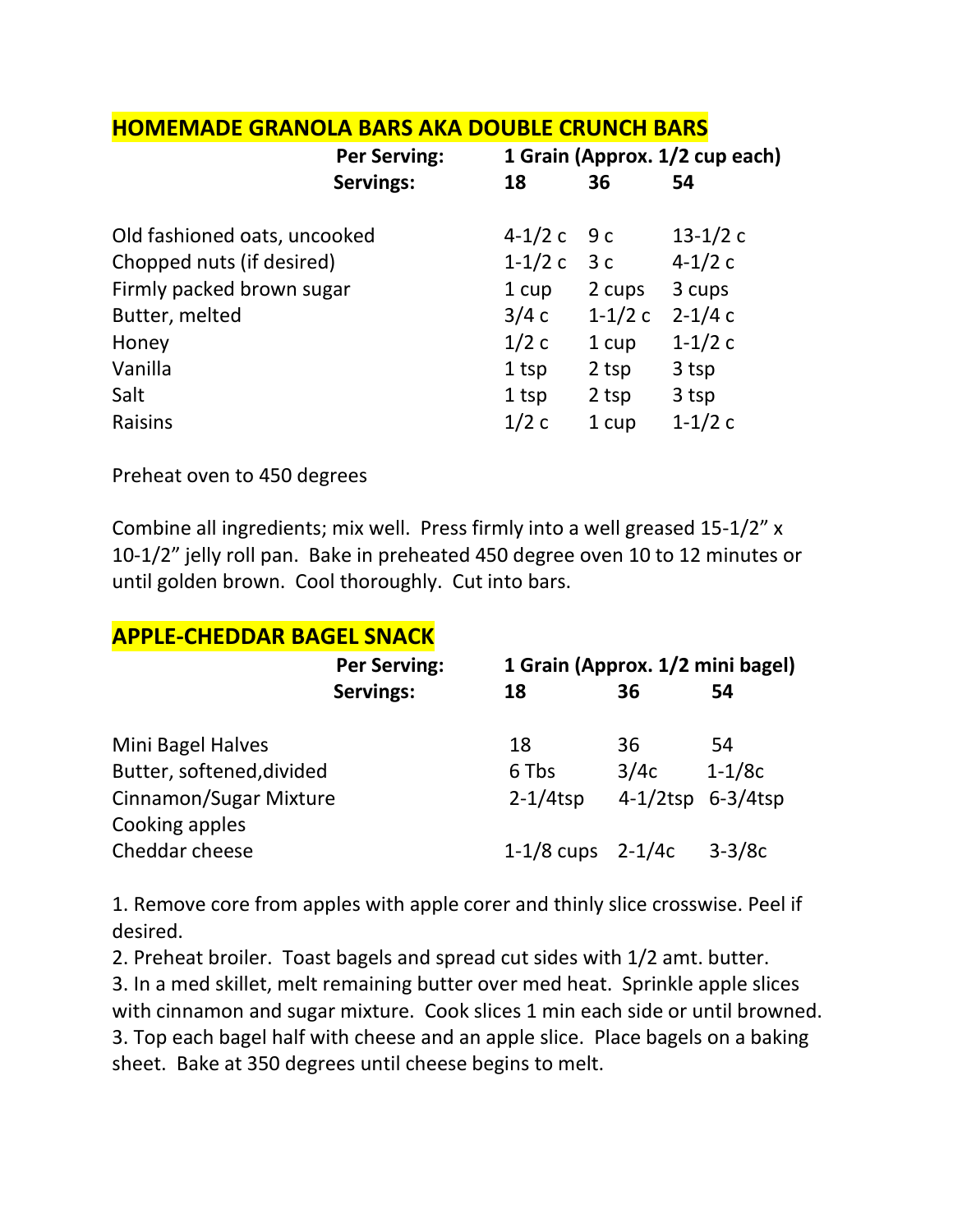## **HOMEMADE GRANOLA BARS AKA DOUBLE CRUNCH BARS**

|                              | <b>Per Serving:</b> | 1 Grain (Approx. 1/2 cup each) |          |            |  |  |
|------------------------------|---------------------|--------------------------------|----------|------------|--|--|
|                              | <b>Servings:</b>    | 18                             | 36       | 54         |  |  |
| Old fashioned oats, uncooked |                     | 4-1/2 c $9c$                   |          | 13-1/2 $c$ |  |  |
| Chopped nuts (if desired)    |                     | $1-1/2c$                       | 3c       | $4-1/2c$   |  |  |
| Firmly packed brown sugar    |                     | 1 cup                          | 2 cups   | 3 cups     |  |  |
| Butter, melted               |                     | 3/4c                           | $1-1/2c$ | $2 - 1/4c$ |  |  |
| Honey                        |                     | 1/2c                           | 1 cup    | $1-1/2c$   |  |  |
| Vanilla                      |                     | $1$ tsp                        | 2 tsp    | 3 tsp      |  |  |
| Salt                         |                     | 1 tsp                          | 2 tsp    | 3 tsp      |  |  |
| Raisins                      |                     | 1/2c                           | 1 cup    | $1-1/2c$   |  |  |

Preheat oven to 450 degrees

Combine all ingredients; mix well. Press firmly into a well greased 15-1/2" x 10-1/2" jelly roll pan. Bake in preheated 450 degree oven 10 to 12 minutes or until golden brown. Cool thoroughly. Cut into bars.

#### **APPLE-CHEDDAR BAGEL SNACK**

|                           | <b>Per Serving:</b> | 1 Grain (Approx. 1/2 mini bagel) |                      |            |  |  |
|---------------------------|---------------------|----------------------------------|----------------------|------------|--|--|
|                           | <b>Servings:</b>    | 18                               | 36                   | 54         |  |  |
| Mini Bagel Halves         |                     | 18                               | 36                   | 54         |  |  |
| Butter, softened, divided |                     | 6 Tbs                            | 3/4c                 | $1 - 1/8c$ |  |  |
| Cinnamon/Sugar Mixture    |                     | $2-1/4$ tsp                      | $4-1/2$ tsp 6-3/4tsp |            |  |  |
| Cooking apples            |                     |                                  |                      |            |  |  |
| Cheddar cheese            |                     | 1-1/8 cups $2-1/4c$              |                      | $3 - 3/8c$ |  |  |

1. Remove core from apples with apple corer and thinly slice crosswise. Peel if desired.

2. Preheat broiler. Toast bagels and spread cut sides with 1/2 amt. butter. 3. In a med skillet, melt remaining butter over med heat. Sprinkle apple slices with cinnamon and sugar mixture. Cook slices 1 min each side or until browned. 3. Top each bagel half with cheese and an apple slice. Place bagels on a baking sheet. Bake at 350 degrees until cheese begins to melt.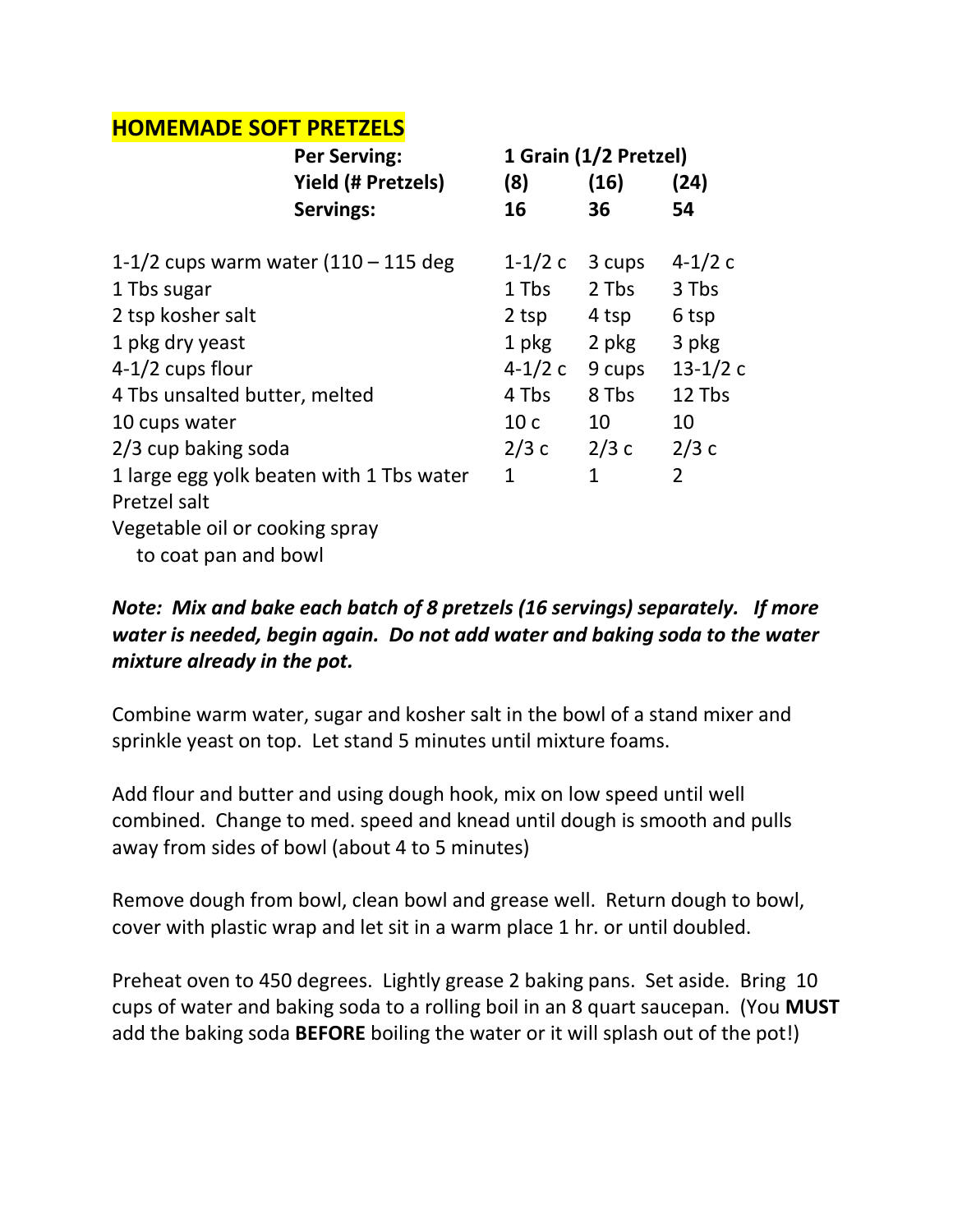## **HOMEMADE SOFT PRETZELS**

|                                | <b>Per Serving:</b>                      | 1 Grain (1/2 Pretzel) |               |                |  |
|--------------------------------|------------------------------------------|-----------------------|---------------|----------------|--|
|                                | <b>Yield (# Pretzels)</b>                | (8)                   | (16)          | (24)           |  |
|                                | <b>Servings:</b>                         | 16                    | 36            | 54             |  |
|                                | 1-1/2 cups warm water $(110 - 115$ deg   | $1 - 1/2c$            | 3 cups        | $4-1/2$ c      |  |
| 1 Tbs sugar                    |                                          | 1 Tbs                 | 2 Tbs         | 3 Tbs          |  |
| 2 tsp kosher salt              |                                          | 2 tsp                 | 4 tsp         | 6 tsp          |  |
| 1 pkg dry yeast                |                                          | 1 pkg                 | 2 pkg         | 3 pkg          |  |
| $4-1/2$ cups flour             |                                          | $4-1/2c$              | 9 cups        | $13-1/2c$      |  |
| 4 Tbs unsalted butter, melted  |                                          | 4 Tbs                 | 8 Tbs         | 12 Tbs         |  |
| 10 cups water                  |                                          | 10 <sub>c</sub>       | 10            | 10             |  |
| 2/3 cup baking soda            |                                          |                       | $2/3c$ $2/3c$ | 2/3c           |  |
|                                | 1 large egg yolk beaten with 1 Tbs water | $\mathbf{1}$          | $\mathbf{1}$  | $\overline{2}$ |  |
| Pretzel salt                   |                                          |                       |               |                |  |
| Vegetable oil or cooking spray |                                          |                       |               |                |  |
| to coat pan and bowl           |                                          |                       |               |                |  |

## *Note: Mix and bake each batch of 8 pretzels (16 servings) separately. If more water is needed, begin again. Do not add water and baking soda to the water mixture already in the pot.*

Combine warm water, sugar and kosher salt in the bowl of a stand mixer and sprinkle yeast on top. Let stand 5 minutes until mixture foams.

Add flour and butter and using dough hook, mix on low speed until well combined. Change to med. speed and knead until dough is smooth and pulls away from sides of bowl (about 4 to 5 minutes)

Remove dough from bowl, clean bowl and grease well. Return dough to bowl, cover with plastic wrap and let sit in a warm place 1 hr. or until doubled.

Preheat oven to 450 degrees. Lightly grease 2 baking pans. Set aside. Bring 10 cups of water and baking soda to a rolling boil in an 8 quart saucepan. (You **MUST** add the baking soda **BEFORE** boiling the water or it will splash out of the pot!)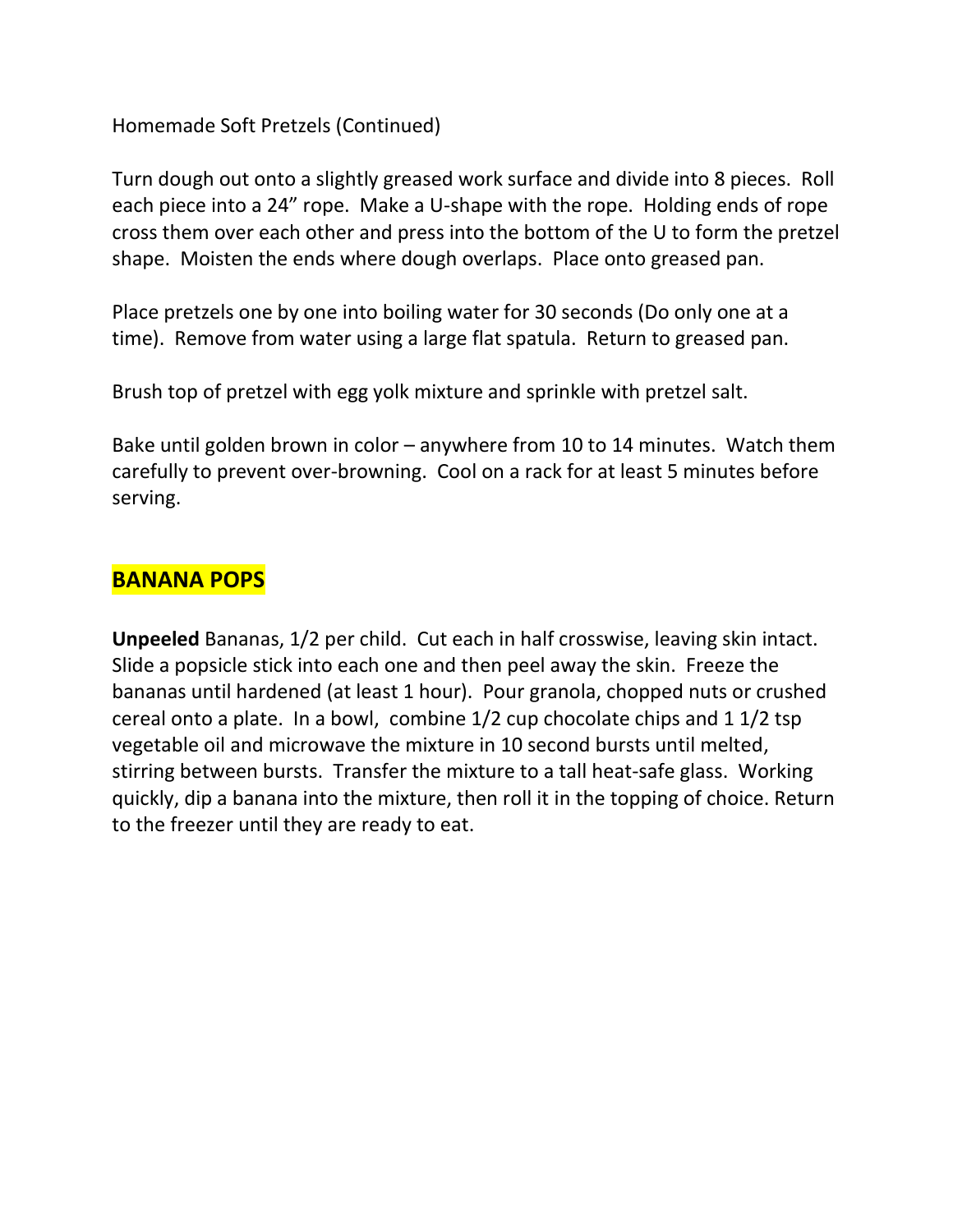Homemade Soft Pretzels (Continued)

Turn dough out onto a slightly greased work surface and divide into 8 pieces. Roll each piece into a 24" rope. Make a U-shape with the rope. Holding ends of rope cross them over each other and press into the bottom of the U to form the pretzel shape. Moisten the ends where dough overlaps. Place onto greased pan.

Place pretzels one by one into boiling water for 30 seconds (Do only one at a time). Remove from water using a large flat spatula. Return to greased pan.

Brush top of pretzel with egg yolk mixture and sprinkle with pretzel salt.

Bake until golden brown in color – anywhere from 10 to 14 minutes. Watch them carefully to prevent over-browning. Cool on a rack for at least 5 minutes before serving.

# **BANANA POPS**

**Unpeeled** Bananas, 1/2 per child. Cut each in half crosswise, leaving skin intact. Slide a popsicle stick into each one and then peel away the skin. Freeze the bananas until hardened (at least 1 hour). Pour granola, chopped nuts or crushed cereal onto a plate. In a bowl, combine 1/2 cup chocolate chips and 1 1/2 tsp vegetable oil and microwave the mixture in 10 second bursts until melted, stirring between bursts. Transfer the mixture to a tall heat-safe glass. Working quickly, dip a banana into the mixture, then roll it in the topping of choice. Return to the freezer until they are ready to eat.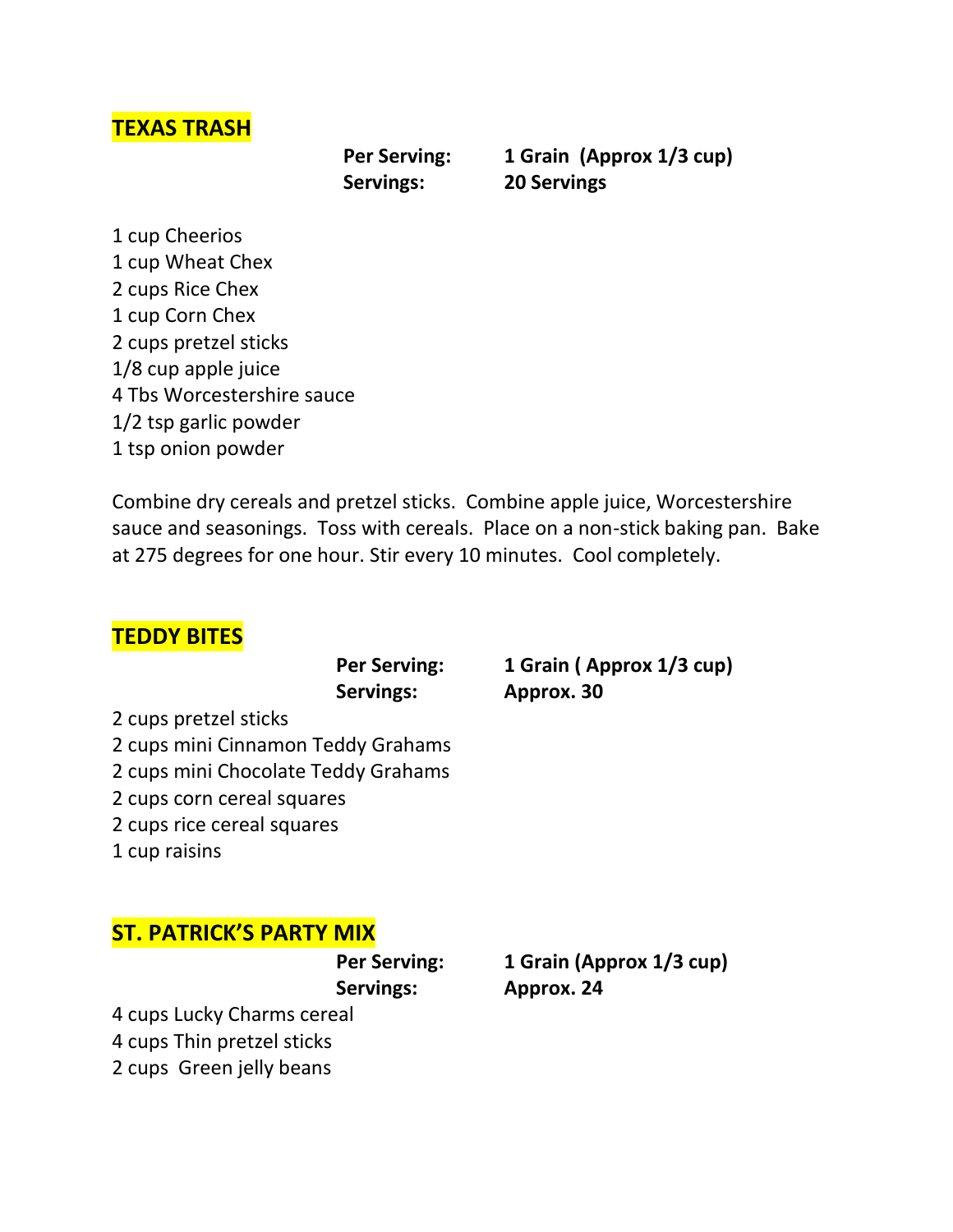## **TEXAS TRASH**

**Per Serving: 1 Grain (Approx 1/3 cup) Servings: 20 Servings**

1 cup Cheerios 1 cup Wheat Chex 2 cups Rice Chex 1 cup Corn Chex 2 cups pretzel sticks 1/8 cup apple juice 4 Tbs Worcestershire sauce 1/2 tsp garlic powder 1 tsp onion powder

Combine dry cereals and pretzel sticks. Combine apple juice, Worcestershire sauce and seasonings. Toss with cereals. Place on a non-stick baking pan. Bake at 275 degrees for one hour. Stir every 10 minutes. Cool completely.

## **TEDDY BITES**

**Servings: Approx. 30**

**Per Serving: 1 Grain ( Approx 1/3 cup)**

2 cups pretzel sticks

2 cups mini Cinnamon Teddy Grahams

2 cups mini Chocolate Teddy Grahams

2 cups corn cereal squares

2 cups rice cereal squares

1 cup raisins

## **ST. PATRICK'S PARTY MIX**

**Per Serving: 1 Grain (Approx 1/3 cup) Servings: Approx. 24**

4 cups Lucky Charms cereal

4 cups Thin pretzel sticks

2 cups Green jelly beans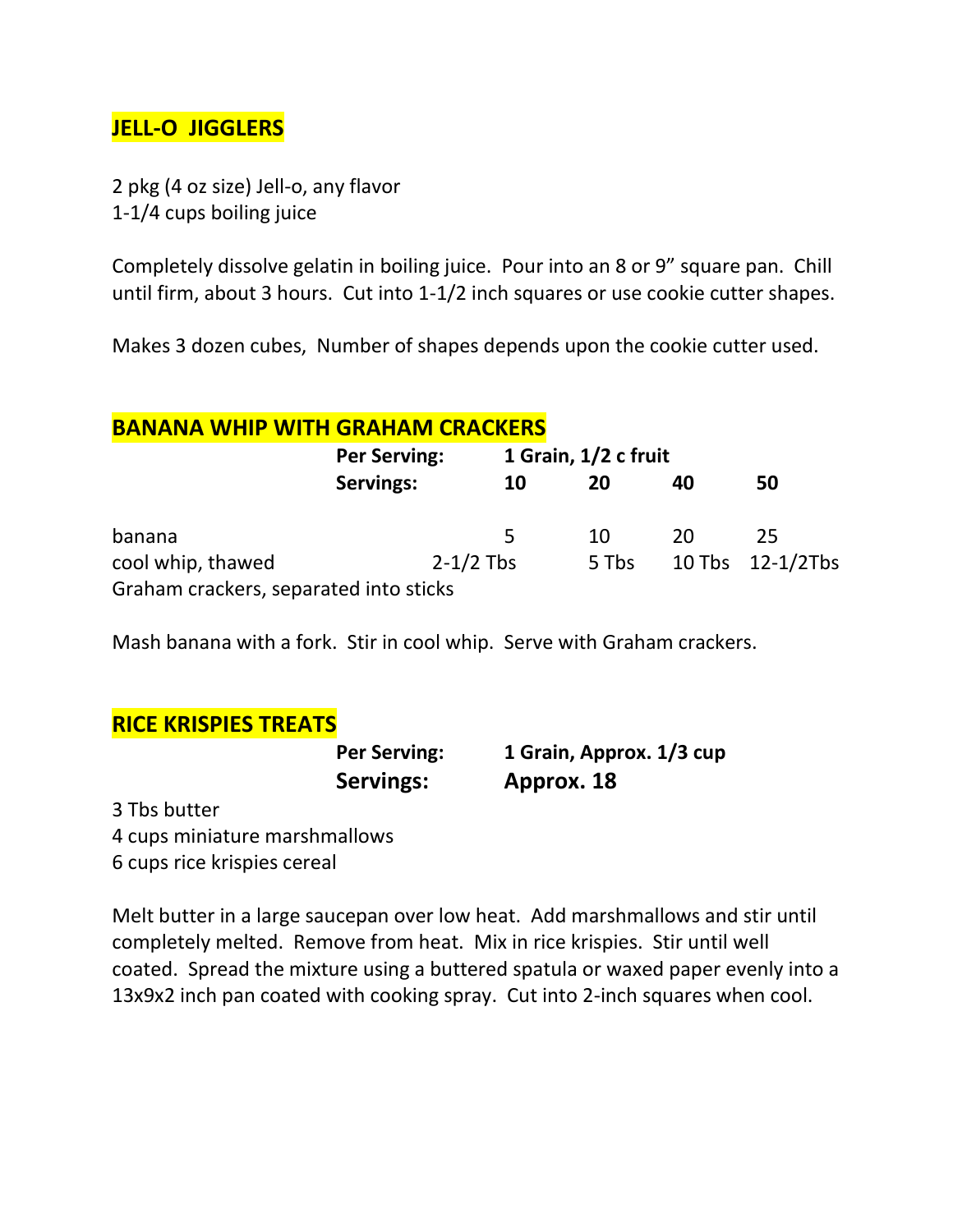# **JELL-O JIGGLERS**

2 pkg (4 oz size) Jell-o, any flavor 1-1/4 cups boiling juice

Completely dissolve gelatin in boiling juice. Pour into an 8 or 9" square pan. Chill until firm, about 3 hours. Cut into 1-1/2 inch squares or use cookie cutter shapes.

Makes 3 dozen cubes, Number of shapes depends upon the cookie cutter used.

#### **BANANA WHIP WITH GRAHAM CRACKERS**

|                                        | <b>Per Serving:</b> |             | 1 Grain, 1/2 c fruit |    |                  |
|----------------------------------------|---------------------|-------------|----------------------|----|------------------|
|                                        | <b>Servings:</b>    | 10          | 20                   | 40 | 50               |
| banana                                 |                     | 5           | 10                   | 20 | 25.              |
| cool whip, thawed                      |                     | $2-1/2$ Tbs | 5 Tbs                |    | 10 Tbs 12-1/2Tbs |
| Graham crackers, separated into sticks |                     |             |                      |    |                  |

Mash banana with a fork. Stir in cool whip. Serve with Graham crackers.

### **RICE KRISPIES TREATS**

| <b>Per Serving:</b> |  |
|---------------------|--|
| <b>Servings:</b>    |  |

**Per Serving: 1 Grain, Approx. 1/3 cup Servings: Approx. 18**

3 Tbs butter 4 cups miniature marshmallows

6 cups rice krispies cereal

Melt butter in a large saucepan over low heat. Add marshmallows and stir until completely melted. Remove from heat. Mix in rice krispies. Stir until well coated. Spread the mixture using a buttered spatula or waxed paper evenly into a 13x9x2 inch pan coated with cooking spray. Cut into 2-inch squares when cool.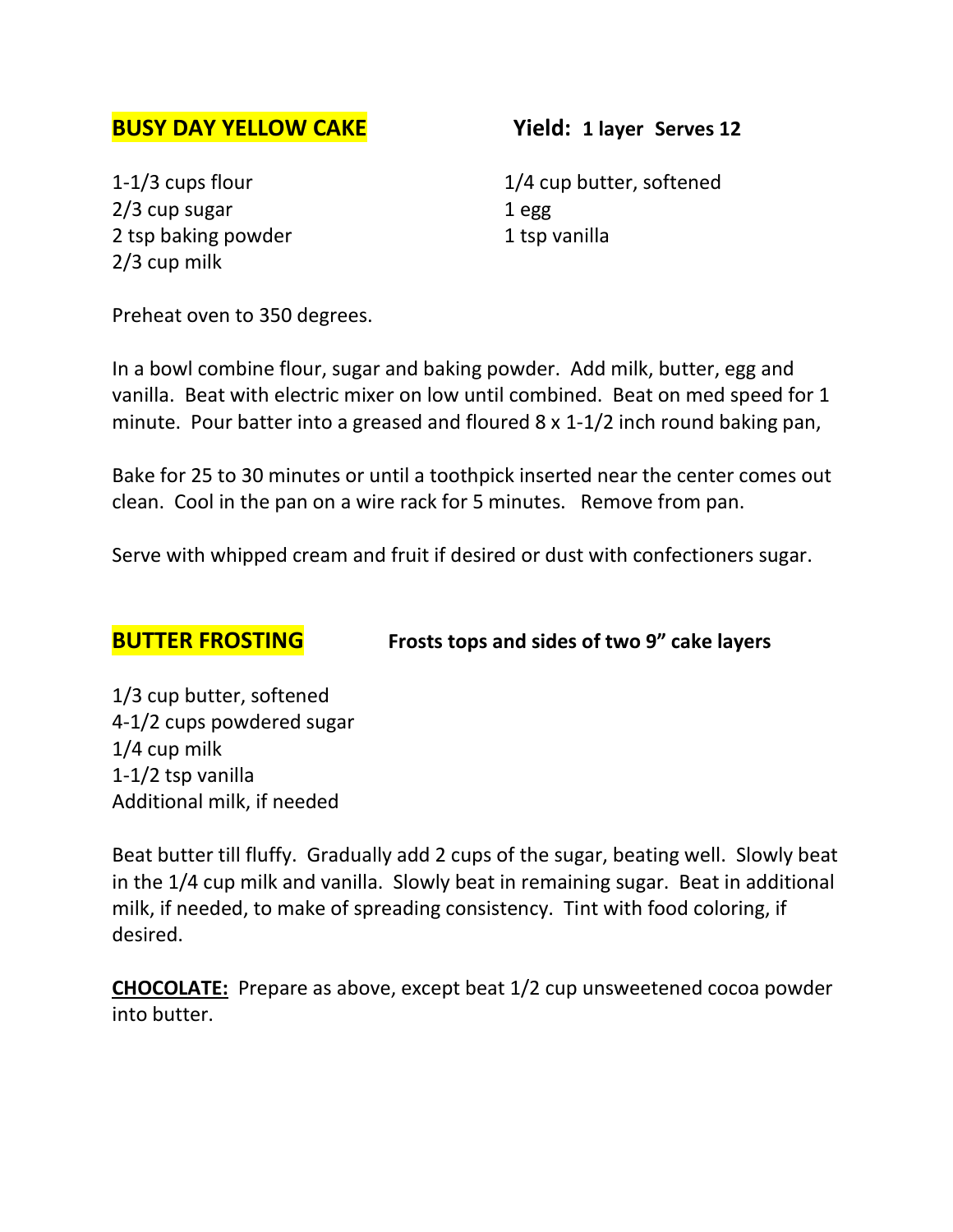## **BUSY DAY YELLOW CAKE** Yield: 1 layer Serves 12

1-1/3 cups flour 2/3 cup sugar 2 tsp baking powder 2/3 cup milk

1/4 cup butter, softened 1 egg 1 tsp vanilla

Preheat oven to 350 degrees.

In a bowl combine flour, sugar and baking powder. Add milk, butter, egg and vanilla. Beat with electric mixer on low until combined. Beat on med speed for 1 minute. Pour batter into a greased and floured 8 x 1-1/2 inch round baking pan,

Bake for 25 to 30 minutes or until a toothpick inserted near the center comes out clean. Cool in the pan on a wire rack for 5 minutes. Remove from pan.

Serve with whipped cream and fruit if desired or dust with confectioners sugar.

#### **BUTTER FROSTING Frosts tops and sides of two 9" cake layers**

1/3 cup butter, softened 4-1/2 cups powdered sugar 1/4 cup milk 1-1/2 tsp vanilla Additional milk, if needed

Beat butter till fluffy. Gradually add 2 cups of the sugar, beating well. Slowly beat in the 1/4 cup milk and vanilla. Slowly beat in remaining sugar. Beat in additional milk, if needed, to make of spreading consistency. Tint with food coloring, if desired.

**CHOCOLATE:** Prepare as above, except beat 1/2 cup unsweetened cocoa powder into butter.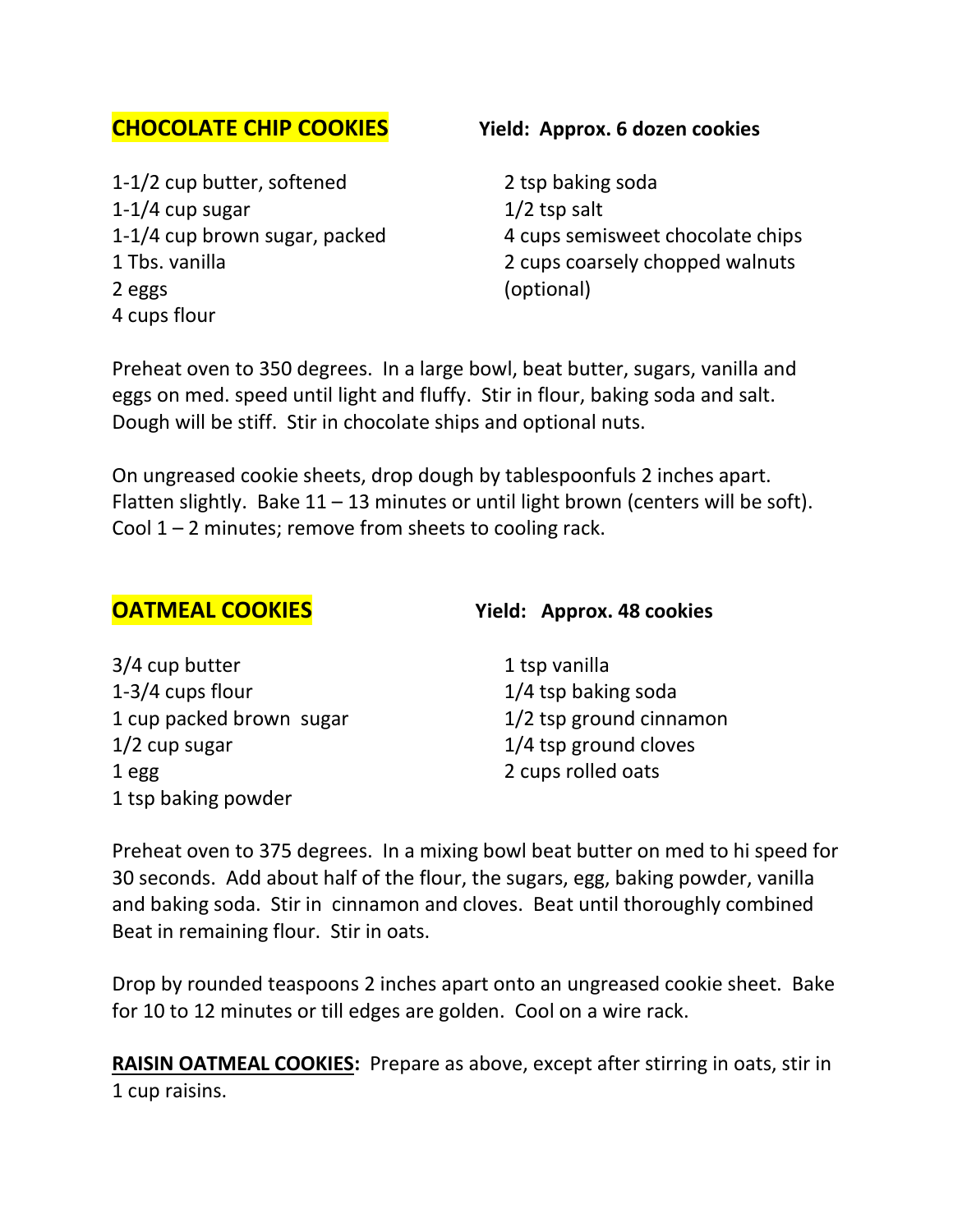## **CHOCOLATE CHIP COOKIES Yield: Approx. 6 dozen cookies**

1-1/2 cup butter, softened 1-1/4 cup sugar 1-1/4 cup brown sugar, packed 1 Tbs. vanilla 2 eggs 4 cups flour

2 tsp baking soda 1/2 tsp salt 4 cups semisweet chocolate chips 2 cups coarsely chopped walnuts (optional)

Preheat oven to 350 degrees. In a large bowl, beat butter, sugars, vanilla and eggs on med. speed until light and fluffy. Stir in flour, baking soda and salt. Dough will be stiff. Stir in chocolate ships and optional nuts.

On ungreased cookie sheets, drop dough by tablespoonfuls 2 inches apart. Flatten slightly. Bake  $11 - 13$  minutes or until light brown (centers will be soft). Cool  $1 - 2$  minutes; remove from sheets to cooling rack.

3/4 cup butter 1-3/4 cups flour 1 cup packed brown sugar 1/2 cup sugar 1 egg 1 tsp baking powder

### **OATMEAL COOKIES Yield: Approx. 48 cookies**

1 tsp vanilla 1/4 tsp baking soda 1/2 tsp ground cinnamon 1/4 tsp ground cloves 2 cups rolled oats

Preheat oven to 375 degrees. In a mixing bowl beat butter on med to hi speed for 30 seconds. Add about half of the flour, the sugars, egg, baking powder, vanilla and baking soda. Stir in cinnamon and cloves. Beat until thoroughly combined Beat in remaining flour. Stir in oats.

Drop by rounded teaspoons 2 inches apart onto an ungreased cookie sheet. Bake for 10 to 12 minutes or till edges are golden. Cool on a wire rack.

**RAISIN OATMEAL COOKIES:** Prepare as above, except after stirring in oats, stir in 1 cup raisins.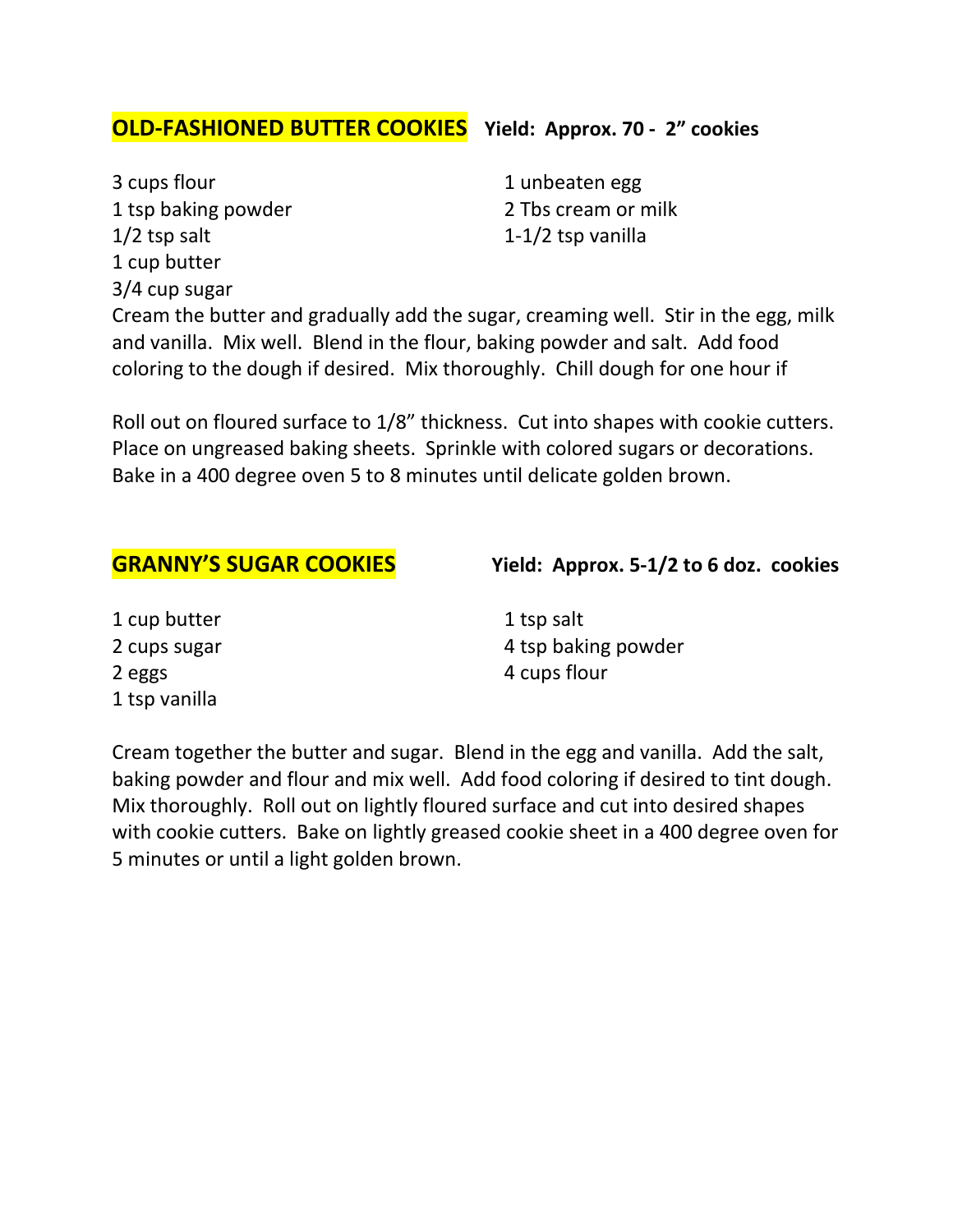## **OLD-FASHIONED BUTTER COOKIES Yield: Approx. 70 - 2" cookies**

3 cups flour 1 tsp baking powder 1/2 tsp salt 1 cup butter 3/4 cup sugar

1 unbeaten egg 2 Tbs cream or milk 1-1/2 tsp vanilla

Cream the butter and gradually add the sugar, creaming well. Stir in the egg, milk and vanilla. Mix well. Blend in the flour, baking powder and salt. Add food coloring to the dough if desired. Mix thoroughly. Chill dough for one hour if

Roll out on floured surface to 1/8" thickness. Cut into shapes with cookie cutters. Place on ungreased baking sheets. Sprinkle with colored sugars or decorations. Bake in a 400 degree oven 5 to 8 minutes until delicate golden brown.

## **GRANNY'S SUGAR COOKIES Yield: Approx. 5-1/2 to 6 doz. cookies**

| 1 cup butter  | 1 tsp salt          |
|---------------|---------------------|
| 2 cups sugar  | 4 tsp baking powder |
| 2 eggs        | 4 cups flour        |
| 1 tsp vanilla |                     |

Cream together the butter and sugar. Blend in the egg and vanilla. Add the salt, baking powder and flour and mix well. Add food coloring if desired to tint dough. Mix thoroughly. Roll out on lightly floured surface and cut into desired shapes with cookie cutters. Bake on lightly greased cookie sheet in a 400 degree oven for 5 minutes or until a light golden brown.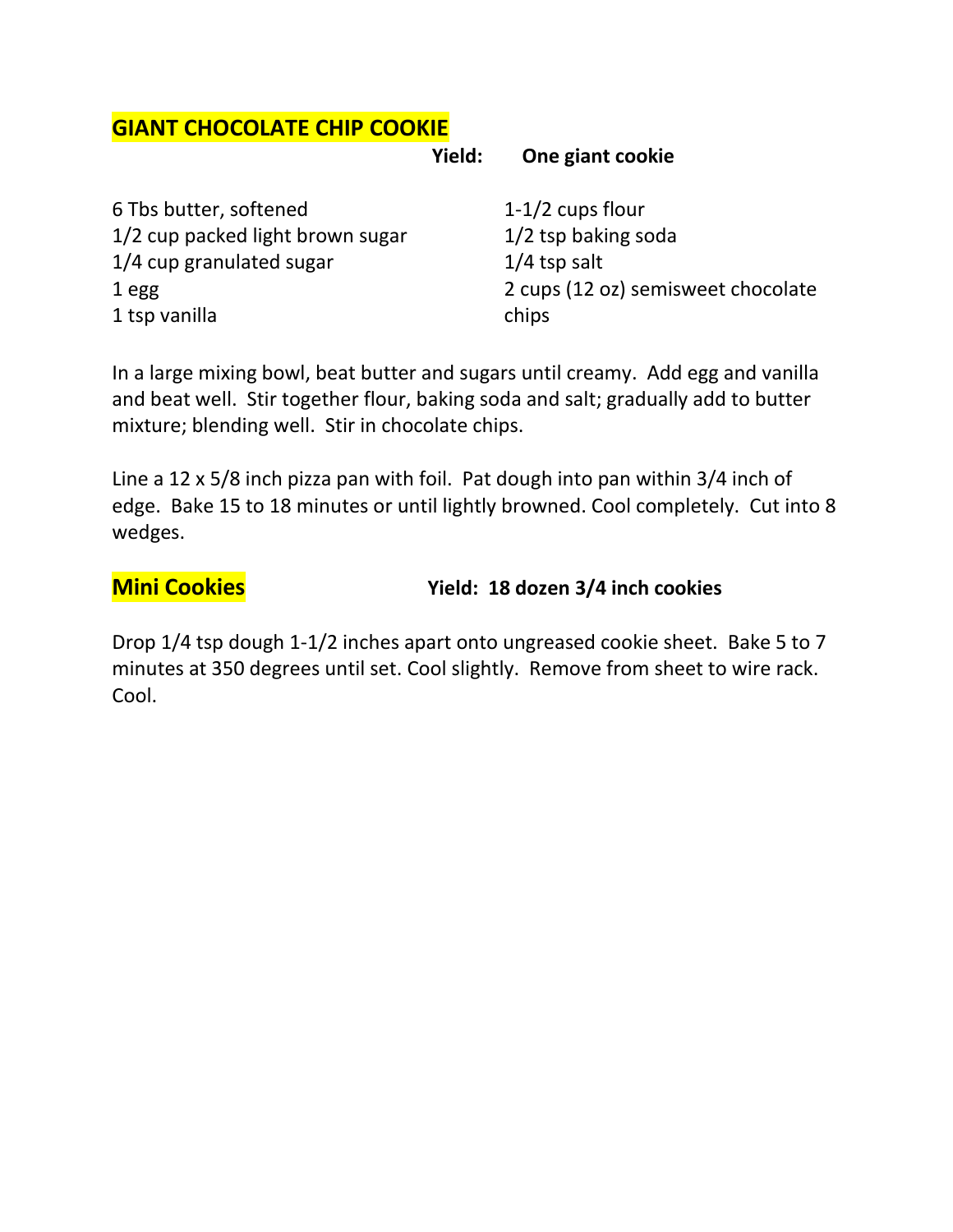## **GIANT CHOCOLATE CHIP COOKIE**

 **Yield: One giant cookie**

6 Tbs butter, softened 1/2 cup packed light brown sugar 1/4 cup granulated sugar 1 egg 1 tsp vanilla

1-1/2 cups flour 1/2 tsp baking soda 1/4 tsp salt 2 cups (12 oz) semisweet chocolate chips

In a large mixing bowl, beat butter and sugars until creamy. Add egg and vanilla and beat well. Stir together flour, baking soda and salt; gradually add to butter mixture; blending well. Stir in chocolate chips.

Line a 12 x 5/8 inch pizza pan with foil. Pat dough into pan within 3/4 inch of edge. Bake 15 to 18 minutes or until lightly browned. Cool completely. Cut into 8 wedges.

**Mini Cookies Yield: 18 dozen 3/4 inch cookies**

Drop 1/4 tsp dough 1-1/2 inches apart onto ungreased cookie sheet. Bake 5 to 7 minutes at 350 degrees until set. Cool slightly. Remove from sheet to wire rack. Cool.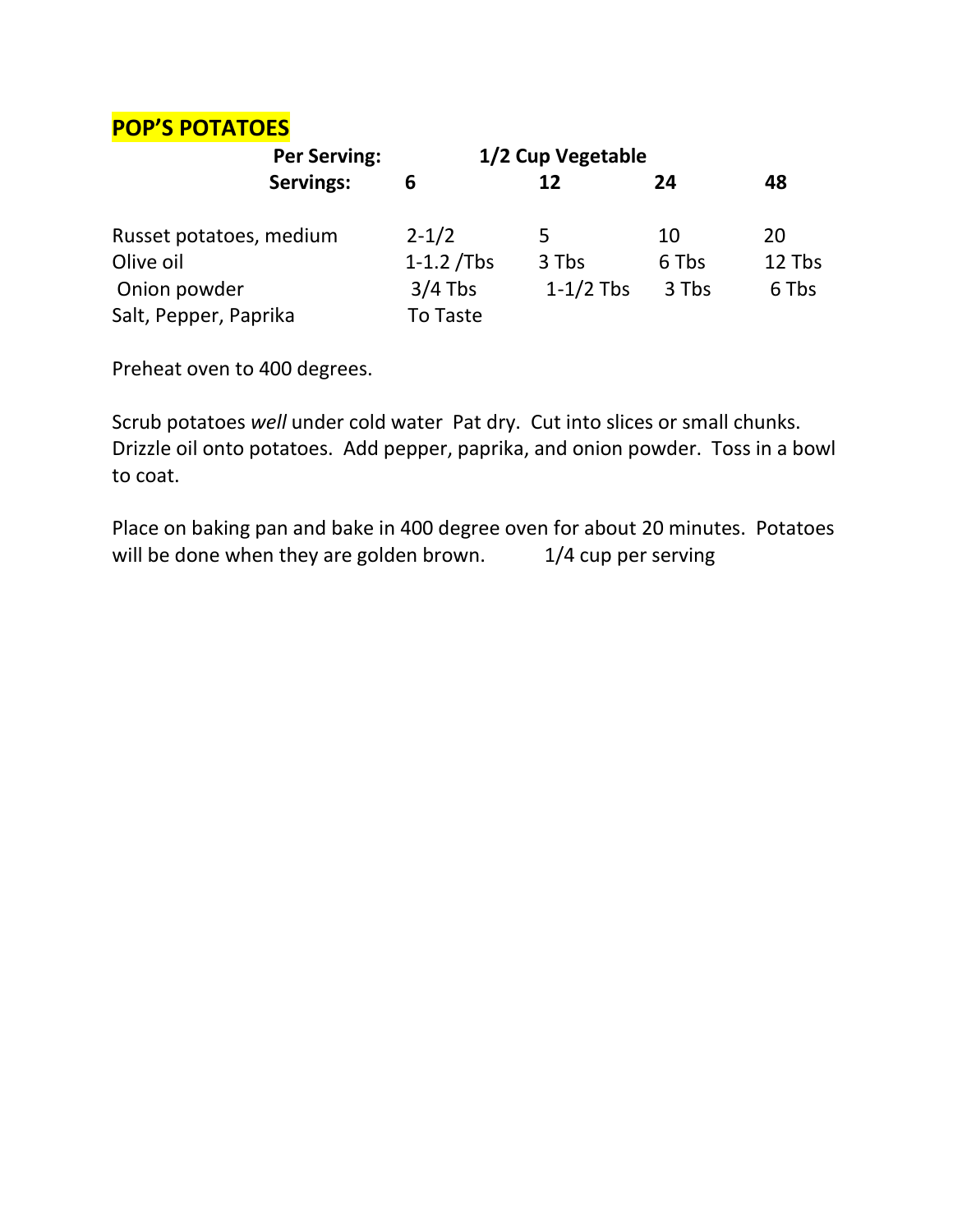# **POP'S POTATOES**

| <b>Per Serving:</b>     |                | 1/2 Cup Vegetable |       |        |
|-------------------------|----------------|-------------------|-------|--------|
| <b>Servings:</b>        | 6              | 12                | 24    | 48     |
| Russet potatoes, medium | $2 - 1/2$      | 5                 | 10    | 20     |
| Olive oil               | $1 - 1.2$ /Tbs | 3 Tbs             | 6 Tbs | 12 Tbs |
| Onion powder            | $3/4$ Tbs      | $1-1/2$ Tbs       | 3 Tbs | 6 Tbs  |
| Salt, Pepper, Paprika   | To Taste       |                   |       |        |

Preheat oven to 400 degrees.

Scrub potatoes *well* under cold water Pat dry. Cut into slices or small chunks. Drizzle oil onto potatoes. Add pepper, paprika, and onion powder. Toss in a bowl to coat.

Place on baking pan and bake in 400 degree oven for about 20 minutes. Potatoes will be done when they are golden brown.  $1/4$  cup per serving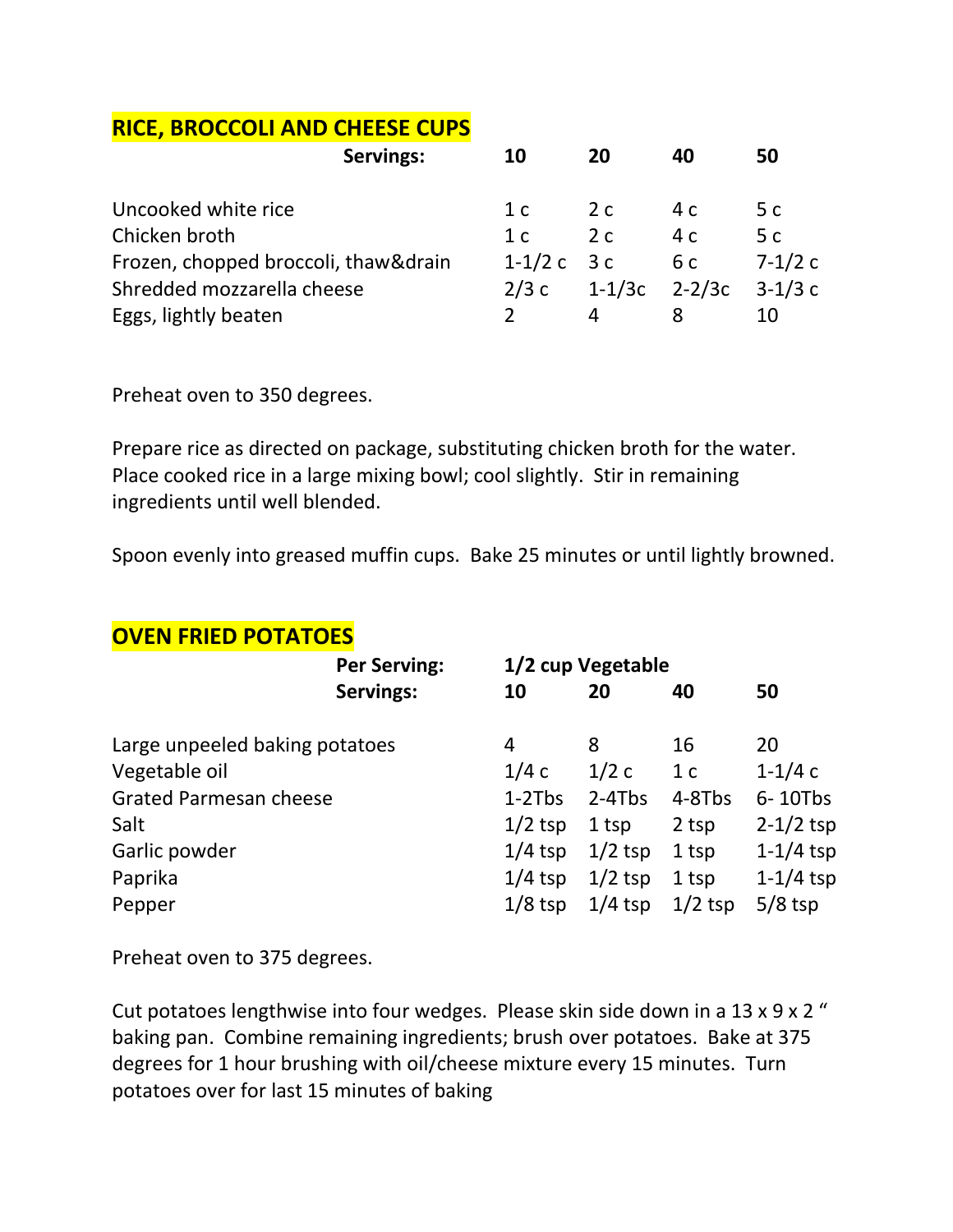## **RICE, BROCCOLI AND CHEESE CUPS**

| <b>Servings:</b>                     | 10           | 20              | 40                    | 50         |
|--------------------------------------|--------------|-----------------|-----------------------|------------|
| Uncooked white rice                  | 1 c          | $\overline{2}c$ | 4 C                   | 5c         |
| Chicken broth                        | 1 $\epsilon$ | 2c              | 4 c                   | 5c         |
| Frozen, chopped broccoli, thaw&drain | $1-1/2c$ 3 c |                 | 6 c                   | $7 - 1/2c$ |
| Shredded mozzarella cheese           | 2/3c         |                 | $1 - 1/3c$ $2 - 2/3c$ | $3-1/3c$   |
| Eggs, lightly beaten                 |              |                 |                       | 10         |

Preheat oven to 350 degrees.

Prepare rice as directed on package, substituting chicken broth for the water. Place cooked rice in a large mixing bowl; cool slightly. Stir in remaining ingredients until well blended.

Spoon evenly into greased muffin cups. Bake 25 minutes or until lightly browned.

# **OVEN FRIED POTATOES**

|                                | <b>Per Serving:</b><br><b>Servings:</b> | 1/2 cup Vegetable |           |                |               |
|--------------------------------|-----------------------------------------|-------------------|-----------|----------------|---------------|
|                                |                                         | <b>10</b>         | 20        | 40             | 50            |
| Large unpeeled baking potatoes |                                         | 4                 | 8         | 16             | 20            |
| Vegetable oil                  |                                         | 1/4c              | 1/2c      | 1 <sub>c</sub> | $1 - 1/4c$    |
| <b>Grated Parmesan cheese</b>  |                                         | $1-2Tbs$          | $2-4TbS$  | 4-8Tbs         | 6-10Tbs       |
| Salt                           |                                         | $1/2$ tsp         | 1 tsp     | 2 tsp          | $2 - 1/2$ tsp |
| Garlic powder                  |                                         | $1/4$ tsp         | $1/2$ tsp | 1 tsp          | $1 - 1/4$ tsp |
| Paprika                        |                                         | $1/4$ tsp         | $1/2$ tsp | $1$ tsp        | $1 - 1/4$ tsp |
| Pepper                         |                                         | $1/8$ tsp         | $1/4$ tsp | $1/2$ tsp      | $5/8$ tsp     |

Preheat oven to 375 degrees.

Cut potatoes lengthwise into four wedges. Please skin side down in a 13 x 9 x 2 " baking pan. Combine remaining ingredients; brush over potatoes. Bake at 375 degrees for 1 hour brushing with oil/cheese mixture every 15 minutes. Turn potatoes over for last 15 minutes of baking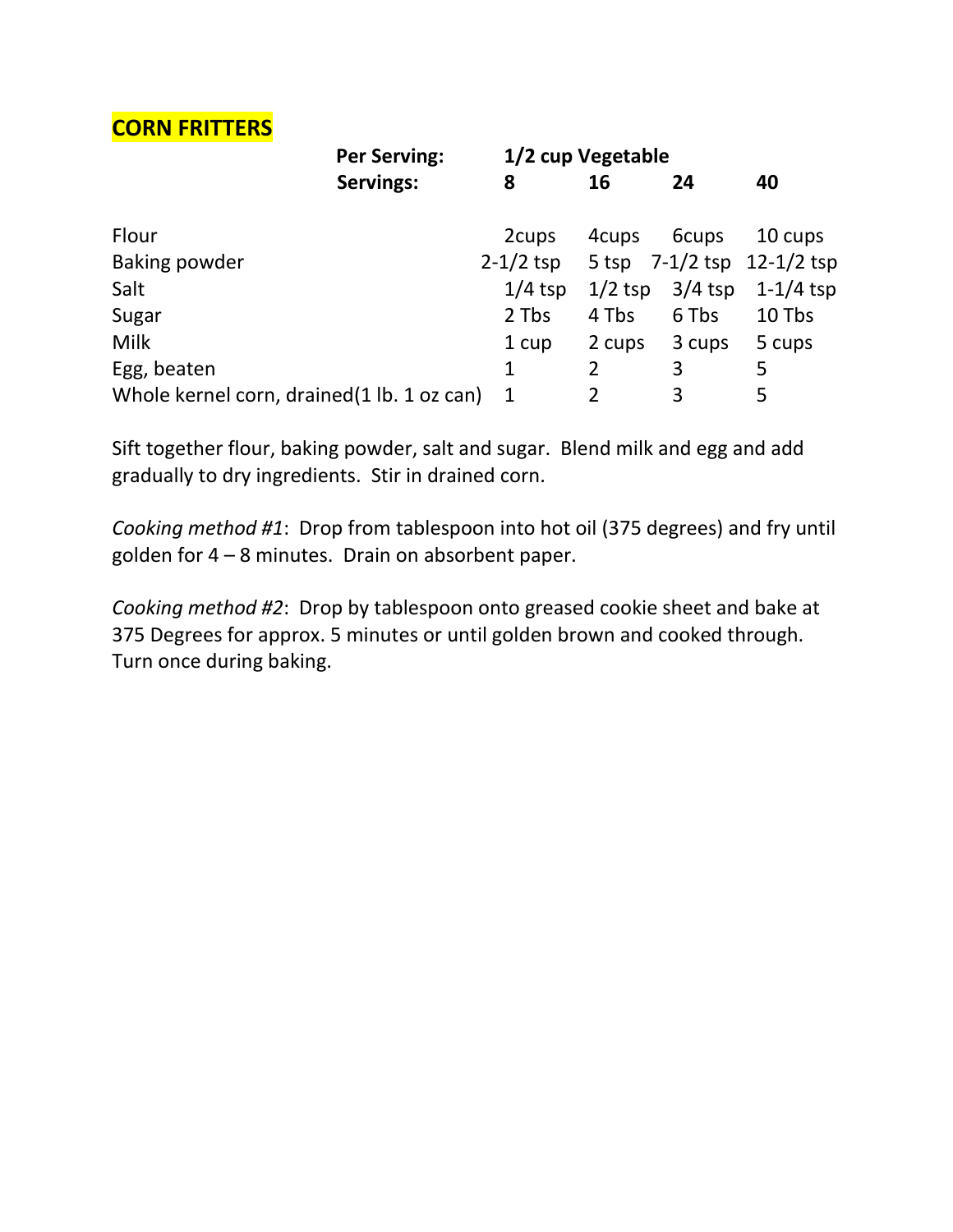# **CORN FRITTERS**

| <b>Per Serving:</b>                        | 1/2 cup Vegetable |                |           |                            |  |
|--------------------------------------------|-------------------|----------------|-----------|----------------------------|--|
| <b>Servings:</b>                           | 8                 | 16             | 24        | 40                         |  |
| Flour                                      | 2 <sub>cups</sub> | 4cups          | 6cups     | 10 cups                    |  |
| Baking powder                              | $2 - 1/2$ tsp     |                |           | 5 tsp 7-1/2 tsp 12-1/2 tsp |  |
| Salt                                       | $1/4$ tsp         | $1/2$ tsp      | $3/4$ tsp | $1 - 1/4$ tsp              |  |
| Sugar                                      | 2 Tbs             | 4 Tbs          | 6 Tbs     | 10 Tbs                     |  |
| <b>Milk</b>                                | 1 cup             | 2 cups         | 3 cups    | 5 cups                     |  |
| Egg, beaten                                | 1                 | $\overline{2}$ | 3         | 5                          |  |
| Whole kernel corn, drained(1 lb. 1 oz can) | $\mathbf{1}$      | 2              | 3         | 5                          |  |

Sift together flour, baking powder, salt and sugar. Blend milk and egg and add gradually to dry ingredients. Stir in drained corn.

*Cooking method #1*: Drop from tablespoon into hot oil (375 degrees) and fry until golden for 4 – 8 minutes. Drain on absorbent paper.

*Cooking method #2*: Drop by tablespoon onto greased cookie sheet and bake at 375 Degrees for approx. 5 minutes or until golden brown and cooked through. Turn once during baking.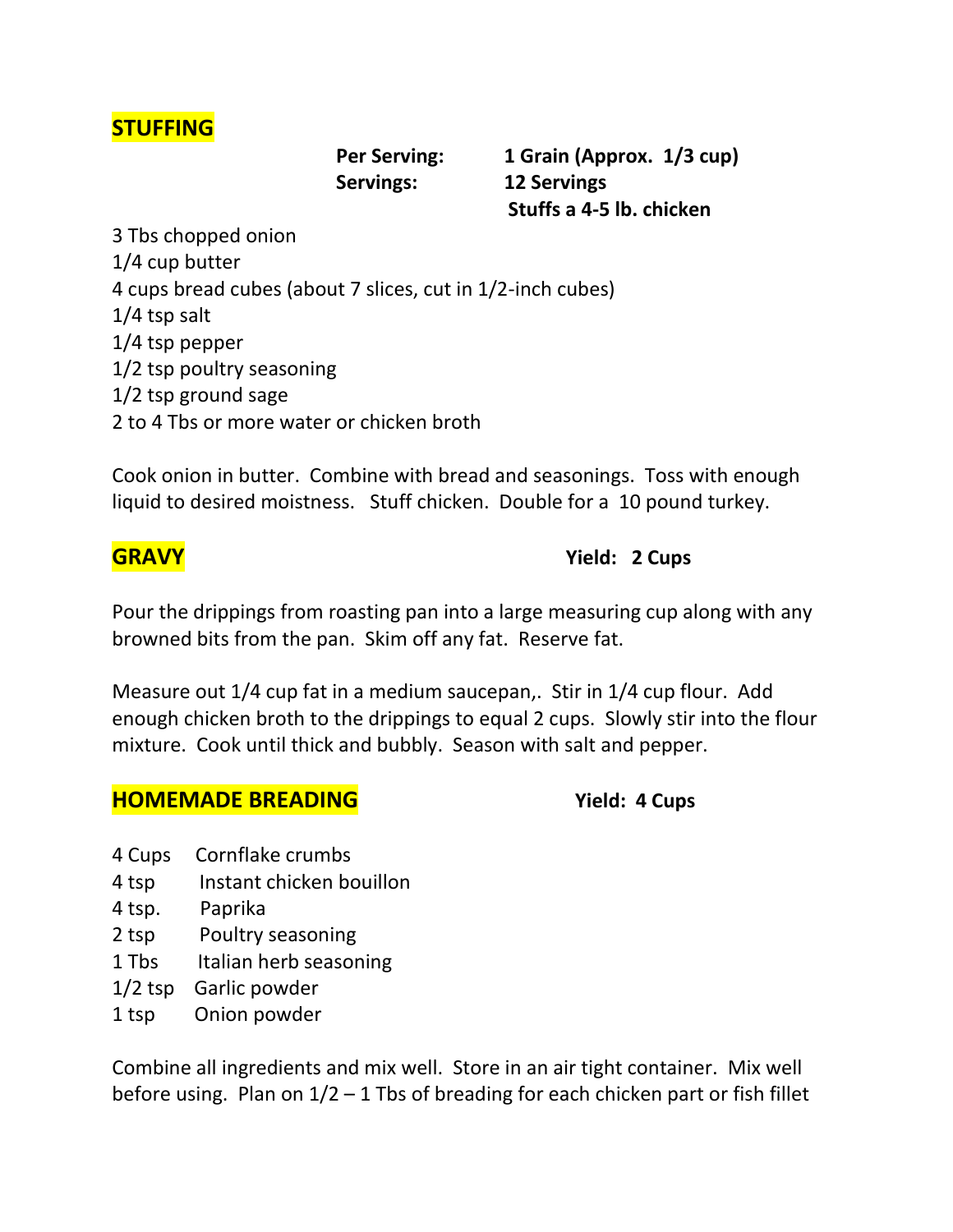## **STUFFING**

**Per Serving: 1 Grain (Approx. 1/3 cup) Servings: 12 Servings Stuffs a 4-5 lb. chicken** 

3 Tbs chopped onion 1/4 cup butter 4 cups bread cubes (about 7 slices, cut in 1/2-inch cubes) 1/4 tsp salt 1/4 tsp pepper 1/2 tsp poultry seasoning 1/2 tsp ground sage 2 to 4 Tbs or more water or chicken broth

Cook onion in butter. Combine with bread and seasonings. Toss with enough liquid to desired moistness. Stuff chicken. Double for a 10 pound turkey.

### **GRAVY Yield: 2 Cups**

Pour the drippings from roasting pan into a large measuring cup along with any browned bits from the pan. Skim off any fat. Reserve fat.

Measure out 1/4 cup fat in a medium saucepan,. Stir in 1/4 cup flour. Add enough chicken broth to the drippings to equal 2 cups. Slowly stir into the flour mixture. Cook until thick and bubbly. Season with salt and pepper.

## **HOMEMADE BREADING Yield: 4 Cups**

- 4 Cups Cornflake crumbs
- 4 tsp Instant chicken bouillon
- 4 tsp. Paprika
- 2 tsp Poultry seasoning
- 1 Tbs Italian herb seasoning
- 1/2 tsp Garlic powder
- 1 tsp Onion powder

Combine all ingredients and mix well. Store in an air tight container. Mix well before using. Plan on  $1/2 - 1$  Tbs of breading for each chicken part or fish fillet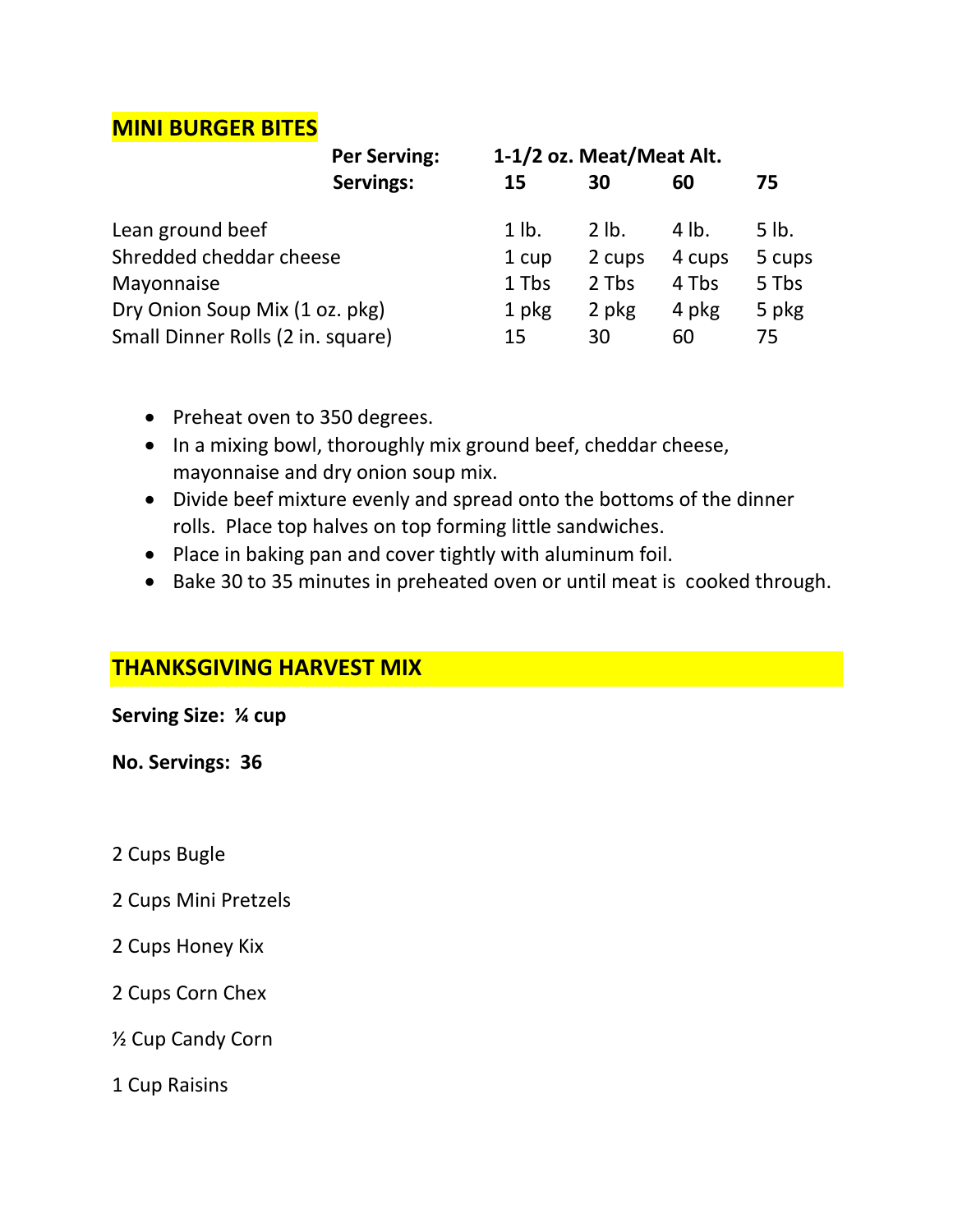## **MINI BURGER BITES**

|                                   | <b>Per Serving:</b> | 1-1/2 oz. Meat/Meat Alt. |         |        |        |
|-----------------------------------|---------------------|--------------------------|---------|--------|--------|
|                                   | <b>Servings:</b>    | 15                       | 30      | 60     | 75     |
| Lean ground beef                  |                     | 1 lb.                    | $2$ lb. | 4 lb.  | 5 lb.  |
| Shredded cheddar cheese           |                     | 1 cup                    | 2 cups  | 4 cups | 5 cups |
| Mayonnaise                        |                     | 1 Tbs                    | 2 Tbs   | 4 Tbs  | 5 Tbs  |
| Dry Onion Soup Mix (1 oz. pkg)    |                     | 1 pkg                    | 2 pkg   | 4 pkg  | 5 pkg  |
| Small Dinner Rolls (2 in. square) |                     | 15                       | 30      | 60     | 75     |

- Preheat oven to 350 degrees.
- In a mixing bowl, thoroughly mix ground beef, cheddar cheese, mayonnaise and dry onion soup mix.
- Divide beef mixture evenly and spread onto the bottoms of the dinner rolls. Place top halves on top forming little sandwiches.
- Place in baking pan and cover tightly with aluminum foil.
- Bake 30 to 35 minutes in preheated oven or until meat is cooked through.

#### **THANKSGIVING HARVEST MIX**

**Serving Size: ¼ cup**

**No. Servings: 36**

- 2 Cups Bugle
- 2 Cups Mini Pretzels
- 2 Cups Honey Kix
- 2 Cups Corn Chex
- ½ Cup Candy Corn
- 1 Cup Raisins